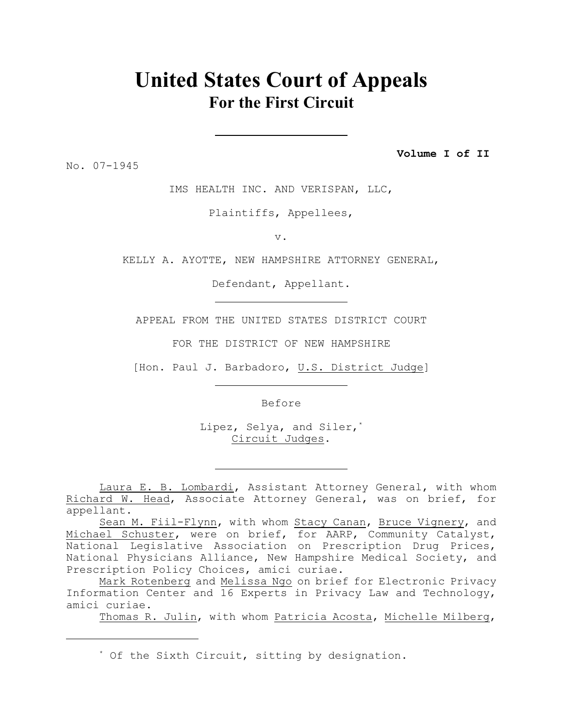# **United States Court of Appeals For the First Circuit**

No. 07-1945

**Volume I of II**

IMS HEALTH INC. AND VERISPAN, LLC,

Plaintiffs, Appellees,

v.

KELLY A. AYOTTE, NEW HAMPSHIRE ATTORNEY GENERAL,

Defendant, Appellant.

APPEAL FROM THE UNITED STATES DISTRICT COURT

FOR THE DISTRICT OF NEW HAMPSHIRE

[Hon. Paul J. Barbadoro, U.S. District Judge]

Before

 Lipez, Selya, and Siler,\* Circuit Judges.

Laura E. B. Lombardi, Assistant Attorney General, with whom Richard W. Head, Associate Attorney General, was on brief, for appellant.

Sean M. Fiil-Flynn, with whom Stacy Canan, Bruce Vignery, and Michael Schuster, were on brief, for AARP, Community Catalyst, National Legislative Association on Prescription Drug Prices, National Physicians Alliance, New Hampshire Medical Society, and Prescription Policy Choices, amici curiae.

Mark Rotenberg and Melissa Ngo on brief for Electronic Privacy Information Center and 16 Experts in Privacy Law and Technology, amici curiae.

Thomas R. Julin, with whom Patricia Acosta, Michelle Milberg,

<sup>\*</sup> Of the Sixth Circuit, sitting by designation.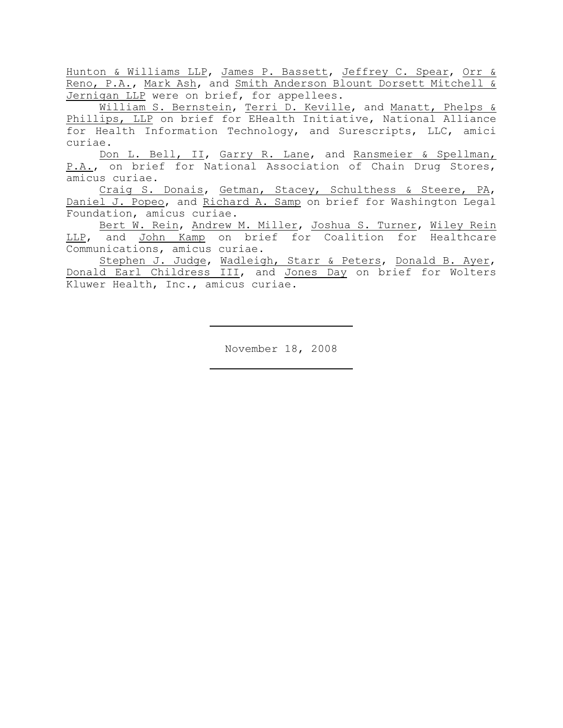Hunton & Williams LLP, James P. Bassett, Jeffrey C. Spear, Orr & Reno, P.A., Mark Ash, and Smith Anderson Blount Dorsett Mitchell & Jernigan LLP were on brief, for appellees.

William S. Bernstein, Terri D. Keville, and Manatt, Phelps & Phillips, LLP on brief for EHealth Initiative, National Alliance for Health Information Technology, and Surescripts, LLC, amici curiae.

Don L. Bell, II, Garry R. Lane, and Ransmeier & Spellman, P.A., on brief for National Association of Chain Drug Stores, amicus curiae.

Craig S. Donais, Getman, Stacey, Schulthess & Steere, PA, Daniel J. Popeo, and Richard A. Samp on brief for Washington Legal Foundation, amicus curiae.

Bert W. Rein, Andrew M. Miller, Joshua S. Turner, Wiley Rein LLP, and John Kamp on brief for Coalition for Healthcare Communications, amicus curiae.

Stephen J. Judge, Wadleigh, Starr & Peters, Donald B. Ayer, Donald Earl Childress III, and Jones Day on brief for Wolters Kluwer Health, Inc., amicus curiae.

November 18, 2008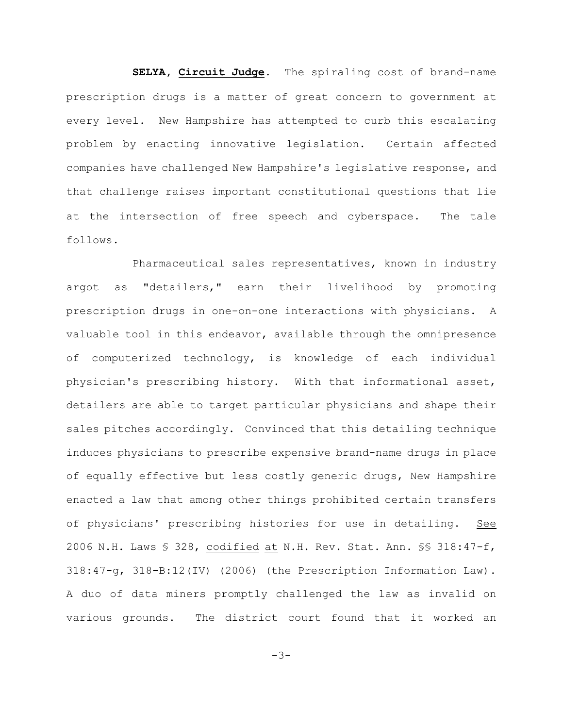**SELYA, Circuit Judge.** The spiraling cost of brand-name prescription drugs is a matter of great concern to government at every level. New Hampshire has attempted to curb this escalating problem by enacting innovative legislation. Certain affected companies have challenged New Hampshire's legislative response, and that challenge raises important constitutional questions that lie at the intersection of free speech and cyberspace. The tale follows.

Pharmaceutical sales representatives, known in industry argot as "detailers," earn their livelihood by promoting prescription drugs in one-on-one interactions with physicians. A valuable tool in this endeavor, available through the omnipresence of computerized technology, is knowledge of each individual physician's prescribing history. With that informational asset, detailers are able to target particular physicians and shape their sales pitches accordingly. Convinced that this detailing technique induces physicians to prescribe expensive brand-name drugs in place of equally effective but less costly generic drugs, New Hampshire enacted a law that among other things prohibited certain transfers of physicians' prescribing histories for use in detailing. See 2006 N.H. Laws § 328, codified at N.H. Rev. Stat. Ann. §§ 318:47-f, 318:47-g, 318-B:12(IV) (2006) (the Prescription Information Law). A duo of data miners promptly challenged the law as invalid on various grounds. The district court found that it worked an

 $-3-$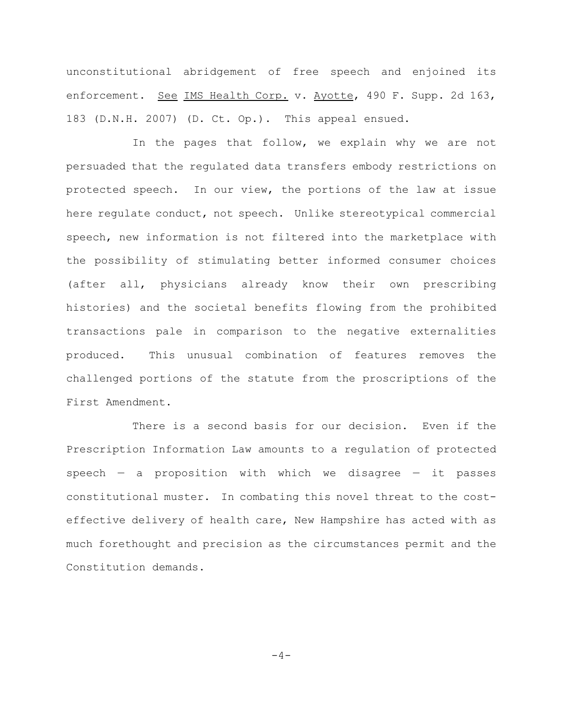unconstitutional abridgement of free speech and enjoined its enforcement. See IMS Health Corp. v. Ayotte, 490 F. Supp. 2d 163, 183 (D.N.H. 2007) (D. Ct. Op.). This appeal ensued.

In the pages that follow, we explain why we are not persuaded that the regulated data transfers embody restrictions on protected speech. In our view, the portions of the law at issue here regulate conduct, not speech. Unlike stereotypical commercial speech, new information is not filtered into the marketplace with the possibility of stimulating better informed consumer choices (after all, physicians already know their own prescribing histories) and the societal benefits flowing from the prohibited transactions pale in comparison to the negative externalities produced. This unusual combination of features removes the challenged portions of the statute from the proscriptions of the First Amendment.

There is a second basis for our decision. Even if the Prescription Information Law amounts to a regulation of protected speech  $-$  a proposition with which we disagree  $-$  it passes constitutional muster. In combating this novel threat to the costeffective delivery of health care, New Hampshire has acted with as much forethought and precision as the circumstances permit and the Constitution demands.

 $-4-$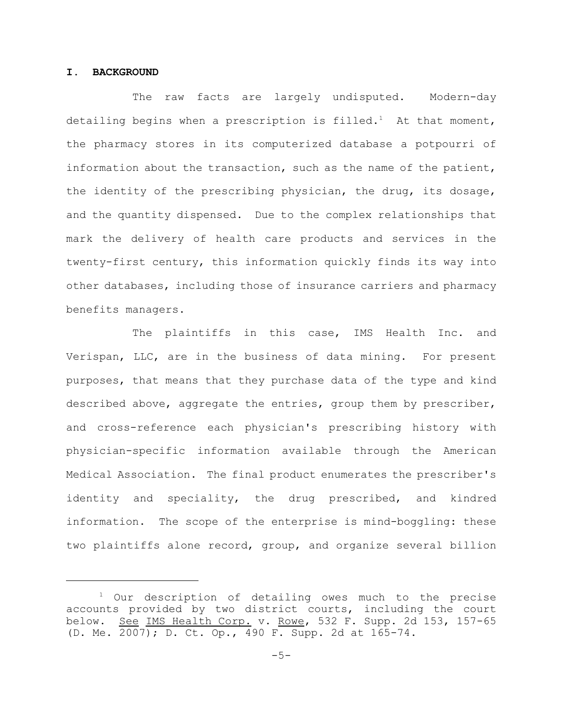# **I. BACKGROUND**

The raw facts are largely undisputed. Modern-day detailing begins when a prescription is filled.<sup>1</sup> At that moment, the pharmacy stores in its computerized database a potpourri of information about the transaction, such as the name of the patient, the identity of the prescribing physician, the drug, its dosage, and the quantity dispensed. Due to the complex relationships that mark the delivery of health care products and services in the twenty-first century, this information quickly finds its way into other databases, including those of insurance carriers and pharmacy benefits managers.

The plaintiffs in this case, IMS Health Inc. and Verispan, LLC, are in the business of data mining. For present purposes, that means that they purchase data of the type and kind described above, aggregate the entries, group them by prescriber, and cross-reference each physician's prescribing history with physician-specific information available through the American Medical Association. The final product enumerates the prescriber's identity and speciality, the drug prescribed, and kindred information. The scope of the enterprise is mind-boggling: these two plaintiffs alone record, group, and organize several billion

 $1$  Our description of detailing owes much to the precise accounts provided by two district courts, including the court below. See IMS Health Corp. v. Rowe, 532 F. Supp. 2d 153, 157-65 (D. Me. 2007); D. Ct. Op., 490 F. Supp. 2d at 165-74.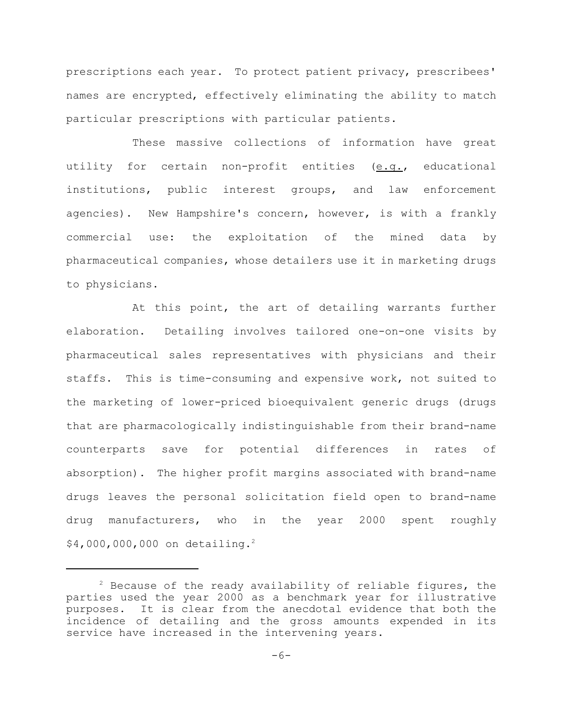prescriptions each year. To protect patient privacy, prescribees' names are encrypted, effectively eliminating the ability to match particular prescriptions with particular patients.

These massive collections of information have great utility for certain non-profit entities (e.g., educational institutions, public interest groups, and law enforcement agencies). New Hampshire's concern, however, is with a frankly commercial use: the exploitation of the mined data by pharmaceutical companies, whose detailers use it in marketing drugs to physicians.

At this point, the art of detailing warrants further elaboration. Detailing involves tailored one-on-one visits by pharmaceutical sales representatives with physicians and their staffs. This is time-consuming and expensive work, not suited to the marketing of lower-priced bioequivalent generic drugs (drugs that are pharmacologically indistinguishable from their brand-name counterparts save for potential differences in rates of absorption). The higher profit margins associated with brand-name drugs leaves the personal solicitation field open to brand-name drug manufacturers, who in the year 2000 spent roughly \$4,000,000,000 on detailing.2

 $2$  Because of the ready availability of reliable figures, the parties used the year 2000 as a benchmark year for illustrative purposes. It is clear from the anecdotal evidence that both the incidence of detailing and the gross amounts expended in its service have increased in the intervening years.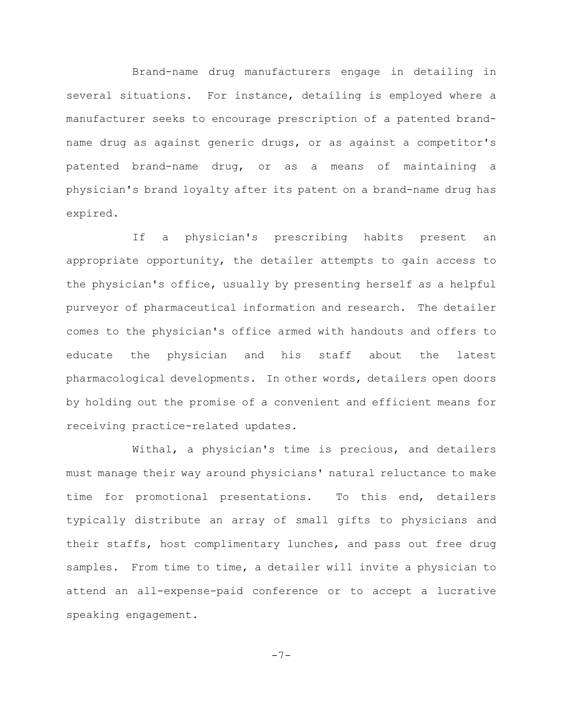Brand-name drug manufacturers engage in detailing in several situations. For instance, detailing is employed where a manufacturer seeks to encourage prescription of a patented brandname drug as against generic drugs, or as against a competitor's patented brand-name drug, or as a means of maintaining a physician's brand loyalty after its patent on a brand-name drug has expired.

If a physician's prescribing habits present an appropriate opportunity, the detailer attempts to gain access to the physician's office, usually by presenting herself as a helpful purveyor of pharmaceutical information and research. The detailer comes to the physician's office armed with handouts and offers to educate the physician and his staff about the latest pharmacological developments. In other words, detailers open doors by holding out the promise of a convenient and efficient means for receiving practice-related updates.

Withal, a physician's time is precious, and detailers must manage their way around physicians' natural reluctance to make time for promotional presentations. To this end, detailers typically distribute an array of small gifts to physicians and their staffs, host complimentary lunches, and pass out free drug samples. From time to time, a detailer will invite a physician to attend an all-expense-paid conference or to accept a lucrative speaking engagement.

-7-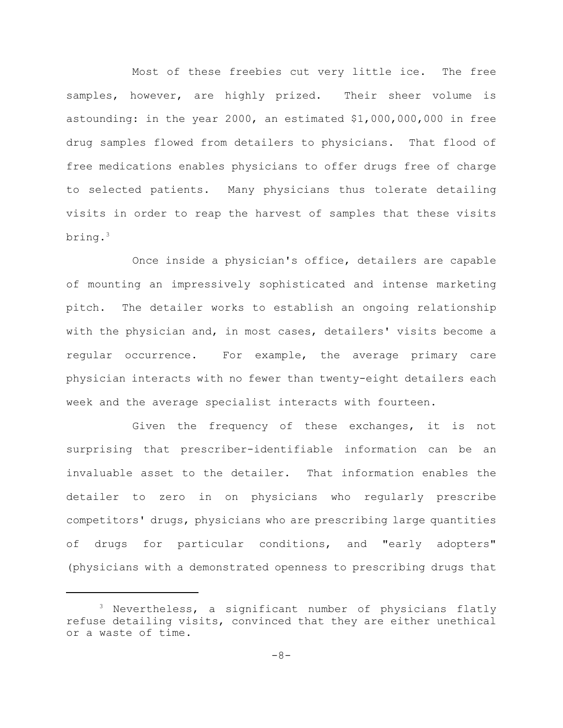Most of these freebies cut very little ice. The free samples, however, are highly prized. Their sheer volume is astounding: in the year 2000, an estimated \$1,000,000,000 in free drug samples flowed from detailers to physicians. That flood of free medications enables physicians to offer drugs free of charge to selected patients. Many physicians thus tolerate detailing visits in order to reap the harvest of samples that these visits bring.<sup>3</sup>

Once inside a physician's office, detailers are capable of mounting an impressively sophisticated and intense marketing pitch. The detailer works to establish an ongoing relationship with the physician and, in most cases, detailers' visits become a regular occurrence. For example, the average primary care physician interacts with no fewer than twenty-eight detailers each week and the average specialist interacts with fourteen.

Given the frequency of these exchanges, it is not surprising that prescriber-identifiable information can be an invaluable asset to the detailer. That information enables the detailer to zero in on physicians who regularly prescribe competitors' drugs, physicians who are prescribing large quantities of drugs for particular conditions, and "early adopters" (physicians with a demonstrated openness to prescribing drugs that

 $3$  Nevertheless, a significant number of physicians flatly refuse detailing visits, convinced that they are either unethical or a waste of time.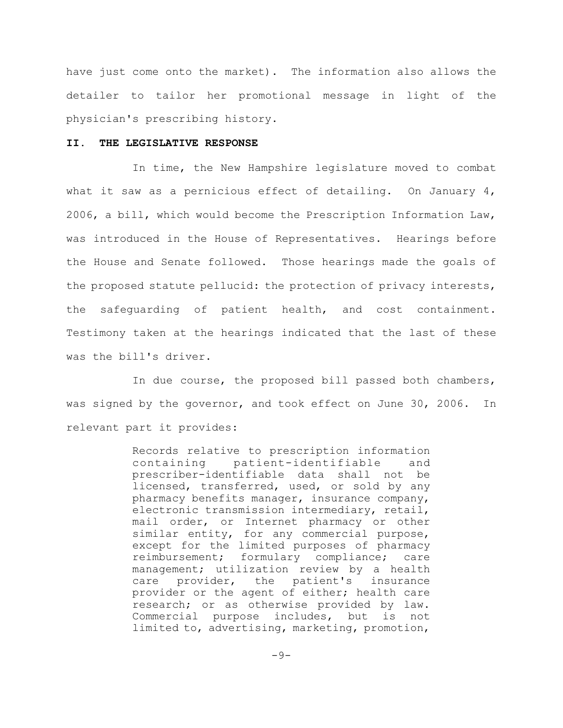have just come onto the market). The information also allows the detailer to tailor her promotional message in light of the physician's prescribing history.

## **II. THE LEGISLATIVE RESPONSE**

In time, the New Hampshire legislature moved to combat what it saw as a pernicious effect of detailing. On January  $4$ , 2006, a bill, which would become the Prescription Information Law, was introduced in the House of Representatives. Hearings before the House and Senate followed. Those hearings made the goals of the proposed statute pellucid: the protection of privacy interests, the safeguarding of patient health, and cost containment. Testimony taken at the hearings indicated that the last of these was the bill's driver.

In due course, the proposed bill passed both chambers, was signed by the governor, and took effect on June 30, 2006. In relevant part it provides:

> Records relative to prescription information containing patient-identifiable and prescriber-identifiable data shall not be licensed, transferred, used, or sold by any pharmacy benefits manager, insurance company, electronic transmission intermediary, retail, mail order, or Internet pharmacy or other similar entity, for any commercial purpose, except for the limited purposes of pharmacy reimbursement; formulary compliance; care management; utilization review by a health care provider, the patient's insurance provider or the agent of either; health care research; or as otherwise provided by law. Commercial purpose includes, but is not limited to, advertising, marketing, promotion,

> > $-9-$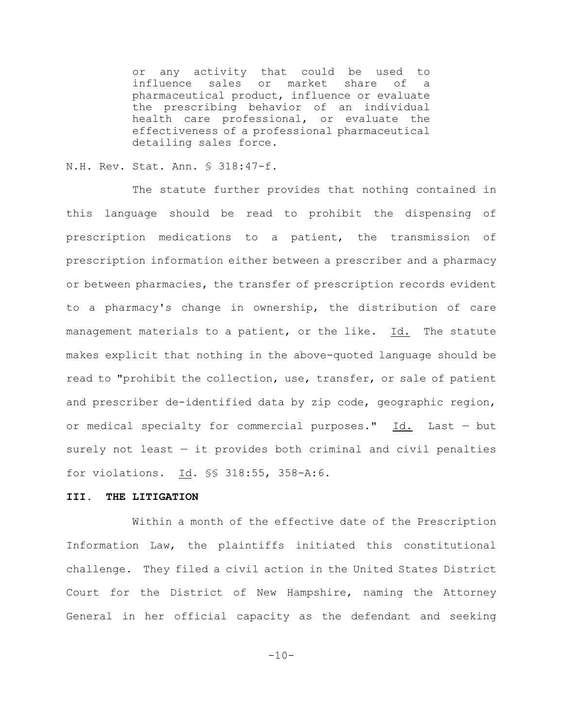or any activity that could be used to influence sales or market share of a pharmaceutical product, influence or evaluate the prescribing behavior of an individual health care professional, or evaluate the effectiveness of a professional pharmaceutical detailing sales force.

# N.H. Rev. Stat. Ann. § 318:47-f.

The statute further provides that nothing contained in this language should be read to prohibit the dispensing of prescription medications to a patient, the transmission of prescription information either between a prescriber and a pharmacy or between pharmacies, the transfer of prescription records evident to a pharmacy's change in ownership, the distribution of care management materials to a patient, or the like. Id. The statute makes explicit that nothing in the above-quoted language should be read to "prohibit the collection, use, transfer, or sale of patient and prescriber de-identified data by zip code, geographic region, or medical specialty for commercial purposes." Id. Last — but surely not least — it provides both criminal and civil penalties for violations. Id. §§ 318:55, 358-A:6.

#### **III. THE LITIGATION**

Within a month of the effective date of the Prescription Information Law, the plaintiffs initiated this constitutional challenge. They filed a civil action in the United States District Court for the District of New Hampshire, naming the Attorney General in her official capacity as the defendant and seeking

 $-10-$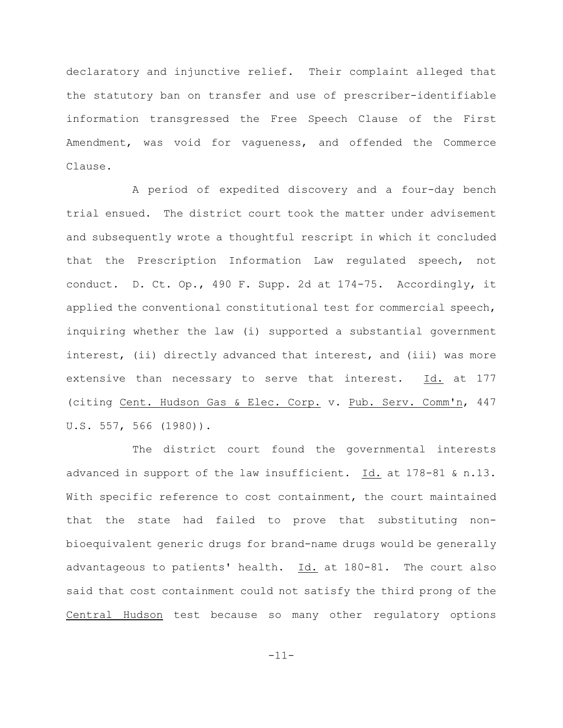declaratory and injunctive relief. Their complaint alleged that the statutory ban on transfer and use of prescriber-identifiable information transgressed the Free Speech Clause of the First Amendment, was void for vagueness, and offended the Commerce Clause.

A period of expedited discovery and a four-day bench trial ensued. The district court took the matter under advisement and subsequently wrote a thoughtful rescript in which it concluded that the Prescription Information Law regulated speech, not conduct. D. Ct. Op., 490 F. Supp. 2d at 174-75. Accordingly, it applied the conventional constitutional test for commercial speech, inquiring whether the law (i) supported a substantial government interest, (ii) directly advanced that interest, and (iii) was more extensive than necessary to serve that interest. Id. at 177 (citing Cent. Hudson Gas & Elec. Corp. v. Pub. Serv. Comm'n, 447 U.S. 557, 566 (1980)).

The district court found the governmental interests advanced in support of the law insufficient. Id. at 178-81 & n.13. With specific reference to cost containment, the court maintained that the state had failed to prove that substituting nonbioequivalent generic drugs for brand-name drugs would be generally advantageous to patients' health.  $Id.$  at 180-81. The court also said that cost containment could not satisfy the third prong of the Central Hudson test because so many other regulatory options

-11-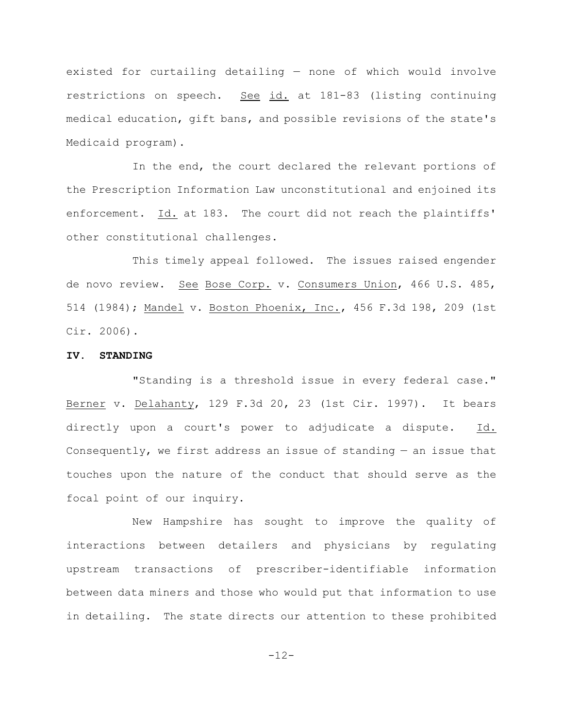existed for curtailing detailing — none of which would involve restrictions on speech. See id. at 181-83 (listing continuing medical education, gift bans, and possible revisions of the state's Medicaid program).

In the end, the court declared the relevant portions of the Prescription Information Law unconstitutional and enjoined its enforcement. Id. at 183. The court did not reach the plaintiffs' other constitutional challenges.

This timely appeal followed. The issues raised engender de novo review. See Bose Corp. v. Consumers Union, 466 U.S. 485, 514 (1984); Mandel v. Boston Phoenix, Inc., 456 F.3d 198, 209 (1st Cir. 2006).

# **IV. STANDING**

"Standing is a threshold issue in every federal case." Berner v. Delahanty, 129 F.3d 20, 23 (1st Cir. 1997). It bears directly upon a court's power to adjudicate a dispute. Id. Consequently, we first address an issue of standing  $-$  an issue that touches upon the nature of the conduct that should serve as the focal point of our inquiry.

New Hampshire has sought to improve the quality of interactions between detailers and physicians by regulating upstream transactions of prescriber-identifiable information between data miners and those who would put that information to use in detailing. The state directs our attention to these prohibited

-12-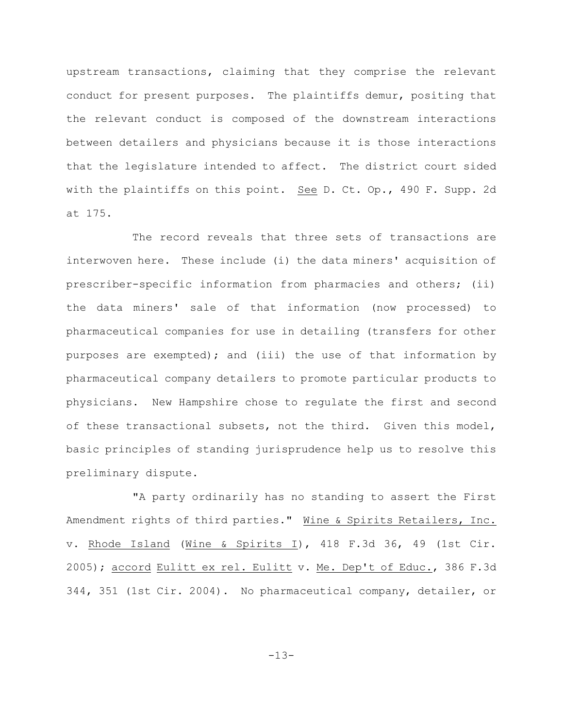upstream transactions, claiming that they comprise the relevant conduct for present purposes. The plaintiffs demur, positing that the relevant conduct is composed of the downstream interactions between detailers and physicians because it is those interactions that the legislature intended to affect. The district court sided with the plaintiffs on this point. See D. Ct. Op., 490 F. Supp. 2d at 175.

The record reveals that three sets of transactions are interwoven here. These include (i) the data miners' acquisition of prescriber-specific information from pharmacies and others; (ii) the data miners' sale of that information (now processed) to pharmaceutical companies for use in detailing (transfers for other purposes are exempted); and (iii) the use of that information by pharmaceutical company detailers to promote particular products to physicians. New Hampshire chose to regulate the first and second of these transactional subsets, not the third. Given this model, basic principles of standing jurisprudence help us to resolve this preliminary dispute.

"A party ordinarily has no standing to assert the First Amendment rights of third parties." Wine & Spirits Retailers, Inc. v. Rhode Island (Wine & Spirits I), 418 F.3d 36, 49 (1st Cir. 2005); accord Eulitt ex rel. Eulitt v. Me. Dep't of Educ., 386 F.3d 344, 351 (1st Cir. 2004). No pharmaceutical company, detailer, or

-13-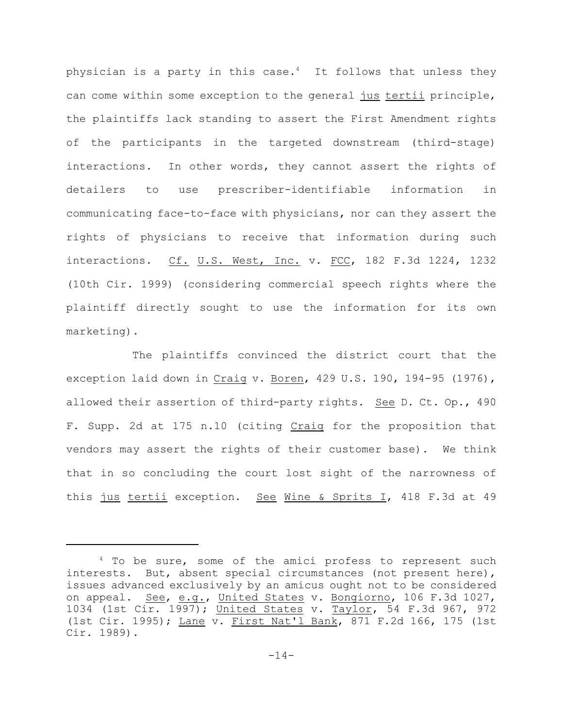physician is a party in this case. $4$  It follows that unless they can come within some exception to the general jus tertii principle, the plaintiffs lack standing to assert the First Amendment rights of the participants in the targeted downstream (third-stage) interactions. In other words, they cannot assert the rights of detailers to use prescriber-identifiable information in communicating face-to-face with physicians, nor can they assert the rights of physicians to receive that information during such interactions. Cf. U.S. West, Inc. v. FCC, 182 F.3d 1224, 1232 (10th Cir. 1999) (considering commercial speech rights where the plaintiff directly sought to use the information for its own marketing).

The plaintiffs convinced the district court that the exception laid down in Craig v. Boren, 429 U.S. 190, 194-95 (1976), allowed their assertion of third-party rights. See D. Ct. Op., 490 F. Supp. 2d at 175 n.10 (citing Craig for the proposition that vendors may assert the rights of their customer base). We think that in so concluding the court lost sight of the narrowness of this jus tertii exception. See Wine & Sprits I, 418 F.3d at 49

 $4$  To be sure, some of the amici profess to represent such interests. But, absent special circumstances (not present here), issues advanced exclusively by an amicus ought not to be considered on appeal. See, e.g., United States v. Bongiorno, 106 F.3d 1027, 1034 (1st Cir. 1997); United States v. Taylor, 54 F.3d 967, 972 (1st Cir. 1995); Lane v. First Nat'l Bank, 871 F.2d 166, 175 (1st Cir. 1989).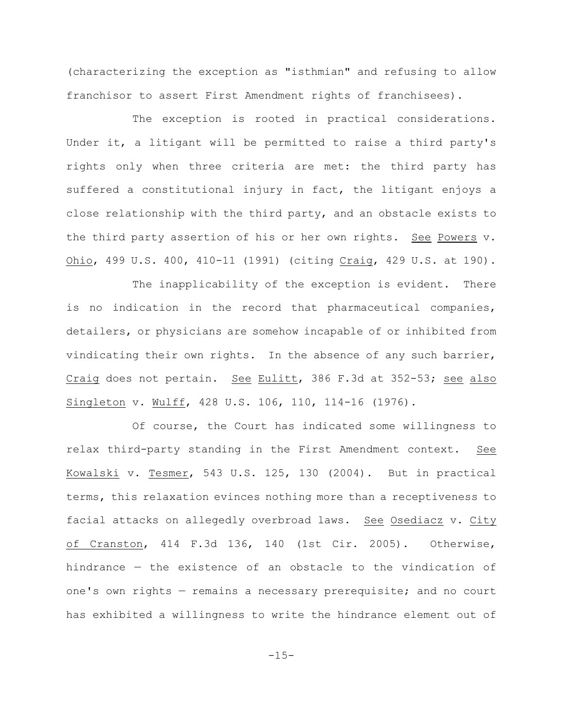(characterizing the exception as "isthmian" and refusing to allow franchisor to assert First Amendment rights of franchisees).

The exception is rooted in practical considerations. Under it, a litigant will be permitted to raise a third party's rights only when three criteria are met: the third party has suffered a constitutional injury in fact, the litigant enjoys a close relationship with the third party, and an obstacle exists to the third party assertion of his or her own rights. See Powers v. Ohio, 499 U.S. 400, 410-11 (1991) (citing Craig, 429 U.S. at 190).

The inapplicability of the exception is evident. There is no indication in the record that pharmaceutical companies, detailers, or physicians are somehow incapable of or inhibited from vindicating their own rights. In the absence of any such barrier, Craig does not pertain. See Eulitt, 386 F.3d at 352-53; see also Singleton v. Wulff, 428 U.S. 106, 110, 114-16 (1976).

Of course, the Court has indicated some willingness to relax third-party standing in the First Amendment context. See Kowalski v. Tesmer, 543 U.S. 125, 130 (2004). But in practical terms, this relaxation evinces nothing more than a receptiveness to facial attacks on allegedly overbroad laws. See Osediacz v. City of Cranston, 414 F.3d 136, 140 (1st Cir. 2005). Otherwise, hindrance — the existence of an obstacle to the vindication of one's own rights — remains a necessary prerequisite; and no court has exhibited a willingness to write the hindrance element out of

 $-15-$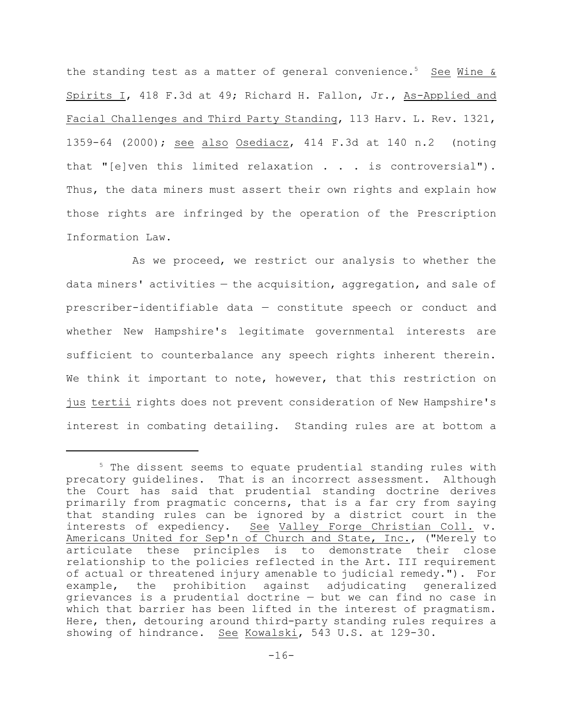the standing test as a matter of general convenience.<sup>5</sup> See Wine & Spirits I, 418 F.3d at 49; Richard H. Fallon, Jr., As-Applied and Facial Challenges and Third Party Standing, 113 Harv. L. Rev. 1321, 1359-64 (2000); see also Osediacz, 414 F.3d at 140 n.2 (noting that "[e]ven this limited relaxation . . . is controversial"). Thus, the data miners must assert their own rights and explain how those rights are infringed by the operation of the Prescription Information Law.

As we proceed, we restrict our analysis to whether the data miners' activities — the acquisition, aggregation, and sale of prescriber-identifiable data — constitute speech or conduct and whether New Hampshire's legitimate governmental interests are sufficient to counterbalance any speech rights inherent therein. We think it important to note, however, that this restriction on jus tertii rights does not prevent consideration of New Hampshire's interest in combating detailing. Standing rules are at bottom a

 $5$  The dissent seems to equate prudential standing rules with precatory guidelines. That is an incorrect assessment. Although the Court has said that prudential standing doctrine derives primarily from pragmatic concerns, that is a far cry from saying that standing rules can be ignored by a district court in the interests of expediency. See Valley Forge Christian Coll. v. Americans United for Sep'n of Church and State, Inc., ("Merely to articulate these principles is to demonstrate their close relationship to the policies reflected in the Art. III requirement of actual or threatened injury amenable to judicial remedy."). For example, the prohibition against adjudicating generalized grievances is a prudential doctrine — but we can find no case in which that barrier has been lifted in the interest of pragmatism. Here, then, detouring around third-party standing rules requires a showing of hindrance. See Kowalski, 543 U.S. at 129-30.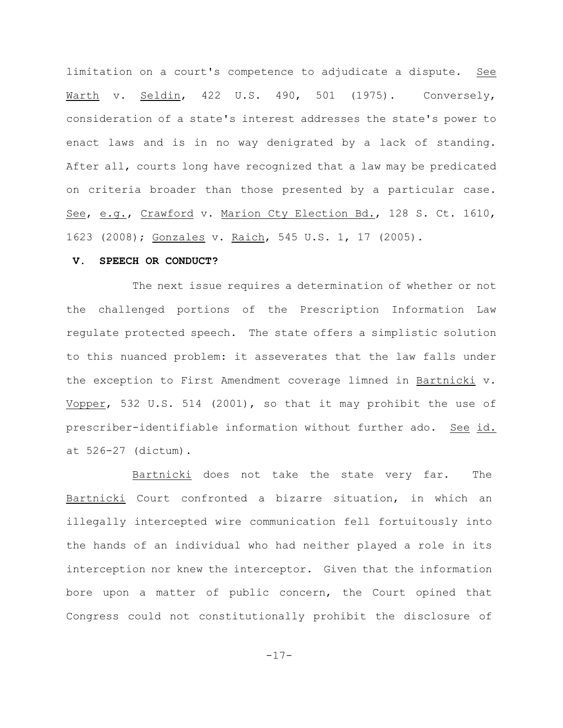limitation on a court's competence to adjudicate a dispute. See Warth v. Seldin, 422 U.S. 490, 501 (1975). Conversely, consideration of a state's interest addresses the state's power to enact laws and is in no way denigrated by a lack of standing. After all, courts long have recognized that a law may be predicated on criteria broader than those presented by a particular case. See, e.g., Crawford v. Marion Cty Election Bd., 128 S. Ct. 1610, 1623 (2008); Gonzales v. Raich, 545 U.S. 1, 17 (2005).

## **V. SPEECH OR CONDUCT?**

The next issue requires a determination of whether or not the challenged portions of the Prescription Information Law regulate protected speech. The state offers a simplistic solution to this nuanced problem: it asseverates that the law falls under the exception to First Amendment coverage limned in Bartnicki v. Vopper, 532 U.S. 514 (2001), so that it may prohibit the use of prescriber-identifiable information without further ado. See id. at 526-27 (dictum).

Bartnicki does not take the state very far. The Bartnicki Court confronted a bizarre situation, in which an illegally intercepted wire communication fell fortuitously into the hands of an individual who had neither played a role in its interception nor knew the interceptor. Given that the information bore upon a matter of public concern, the Court opined that Congress could not constitutionally prohibit the disclosure of

-17-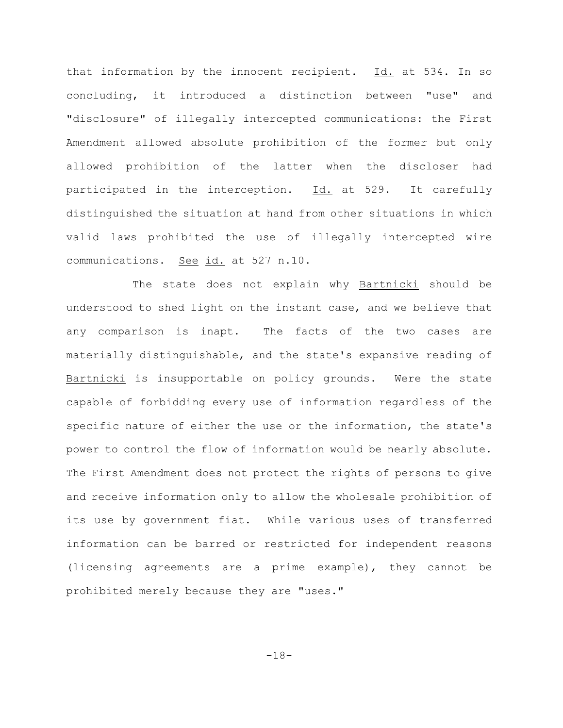that information by the innocent recipient. Id. at 534. In so concluding, it introduced a distinction between "use" and "disclosure" of illegally intercepted communications: the First Amendment allowed absolute prohibition of the former but only allowed prohibition of the latter when the discloser had participated in the interception. Id. at 529. It carefully distinguished the situation at hand from other situations in which valid laws prohibited the use of illegally intercepted wire communications. See id. at 527 n.10.

The state does not explain why Bartnicki should be understood to shed light on the instant case, and we believe that any comparison is inapt. The facts of the two cases are materially distinguishable, and the state's expansive reading of Bartnicki is insupportable on policy grounds. Were the state capable of forbidding every use of information regardless of the specific nature of either the use or the information, the state's power to control the flow of information would be nearly absolute. The First Amendment does not protect the rights of persons to give and receive information only to allow the wholesale prohibition of its use by government fiat. While various uses of transferred information can be barred or restricted for independent reasons (licensing agreements are a prime example), they cannot be prohibited merely because they are "uses."

-18-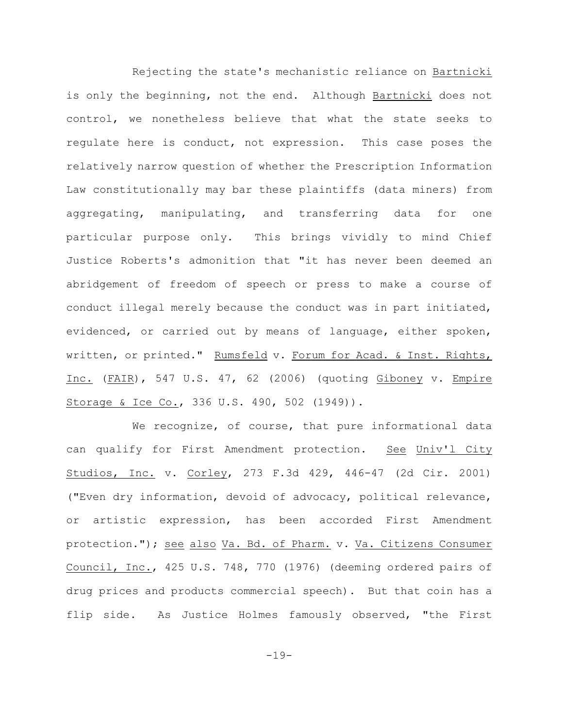Rejecting the state's mechanistic reliance on Bartnicki is only the beginning, not the end. Although Bartnicki does not control, we nonetheless believe that what the state seeks to regulate here is conduct, not expression. This case poses the relatively narrow question of whether the Prescription Information Law constitutionally may bar these plaintiffs (data miners) from aggregating, manipulating, and transferring data for one particular purpose only. This brings vividly to mind Chief Justice Roberts's admonition that "it has never been deemed an abridgement of freedom of speech or press to make a course of conduct illegal merely because the conduct was in part initiated, evidenced, or carried out by means of language, either spoken, written, or printed." Rumsfeld v. Forum for Acad. & Inst. Rights, Inc. (FAIR), 547 U.S. 47, 62 (2006) (quoting Giboney v. Empire Storage & Ice Co., 336 U.S. 490, 502 (1949)).

We recognize, of course, that pure informational data can qualify for First Amendment protection. See Univ'l City Studios, Inc. v. Corley, 273 F.3d 429, 446-47 (2d Cir. 2001) ("Even dry information, devoid of advocacy, political relevance, or artistic expression, has been accorded First Amendment protection."); see also Va. Bd. of Pharm. v. Va. Citizens Consumer Council, Inc., 425 U.S. 748, 770 (1976) (deeming ordered pairs of drug prices and products commercial speech). But that coin has a flip side. As Justice Holmes famously observed, "the First

-19-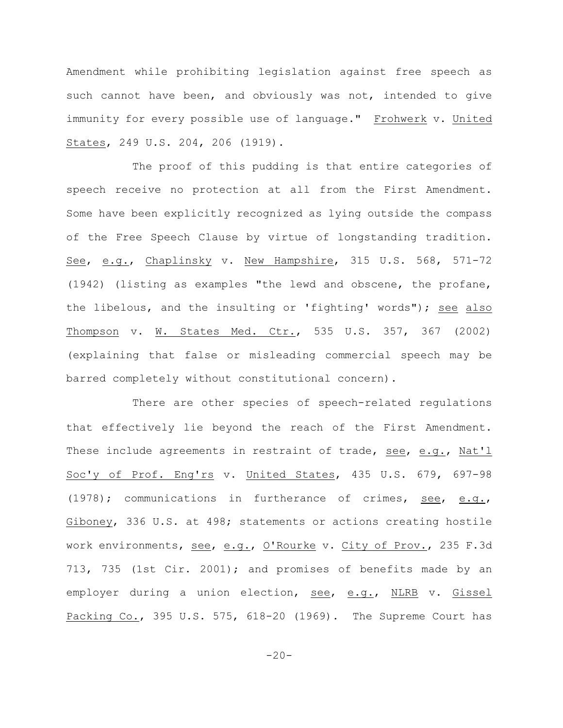Amendment while prohibiting legislation against free speech as such cannot have been, and obviously was not, intended to give immunity for every possible use of language." Frohwerk v. United States, 249 U.S. 204, 206 (1919).

The proof of this pudding is that entire categories of speech receive no protection at all from the First Amendment. Some have been explicitly recognized as lying outside the compass of the Free Speech Clause by virtue of longstanding tradition. See, e.g., Chaplinsky v. New Hampshire, 315 U.S. 568, 571-72 (1942) (listing as examples "the lewd and obscene, the profane, the libelous, and the insulting or 'fighting' words"); see also Thompson v. W. States Med. Ctr., 535 U.S. 357, 367 (2002) (explaining that false or misleading commercial speech may be barred completely without constitutional concern).

There are other species of speech-related regulations that effectively lie beyond the reach of the First Amendment. These include agreements in restraint of trade, see, e.g., Nat'l Soc'y of Prof. Eng'rs v. United States, 435 U.S. 679, 697-98 (1978); communications in furtherance of crimes, see, e.g., Giboney, 336 U.S. at 498; statements or actions creating hostile work environments, see, e.g., O'Rourke v. City of Prov., 235 F.3d 713, 735 (1st Cir. 2001); and promises of benefits made by an employer during a union election, see, e.g., NLRB v. Gissel Packing Co., 395 U.S. 575, 618-20 (1969). The Supreme Court has

 $-20-$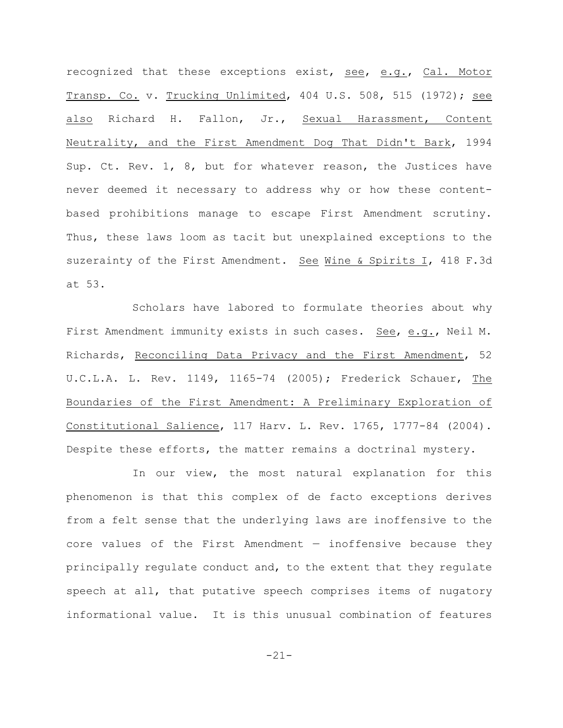recognized that these exceptions exist, see, e.g., Cal. Motor Transp. Co. v. Trucking Unlimited, 404 U.S. 508, 515 (1972); see also Richard H. Fallon, Jr., Sexual Harassment, Content Neutrality, and the First Amendment Dog That Didn't Bark, 1994 Sup. Ct. Rev. 1, 8, but for whatever reason, the Justices have never deemed it necessary to address why or how these contentbased prohibitions manage to escape First Amendment scrutiny. Thus, these laws loom as tacit but unexplained exceptions to the suzerainty of the First Amendment. See Wine & Spirits I, 418 F.3d at 53.

Scholars have labored to formulate theories about why First Amendment immunity exists in such cases. See, e.g., Neil M. Richards, Reconciling Data Privacy and the First Amendment, 52 U.C.L.A. L. Rev. 1149, 1165-74 (2005); Frederick Schauer, The Boundaries of the First Amendment: A Preliminary Exploration of Constitutional Salience, 117 Harv. L. Rev. 1765, 1777-84 (2004). Despite these efforts, the matter remains a doctrinal mystery.

In our view, the most natural explanation for this phenomenon is that this complex of de facto exceptions derives from a felt sense that the underlying laws are inoffensive to the core values of the First Amendment — inoffensive because they principally regulate conduct and, to the extent that they regulate speech at all, that putative speech comprises items of nugatory informational value. It is this unusual combination of features

-21-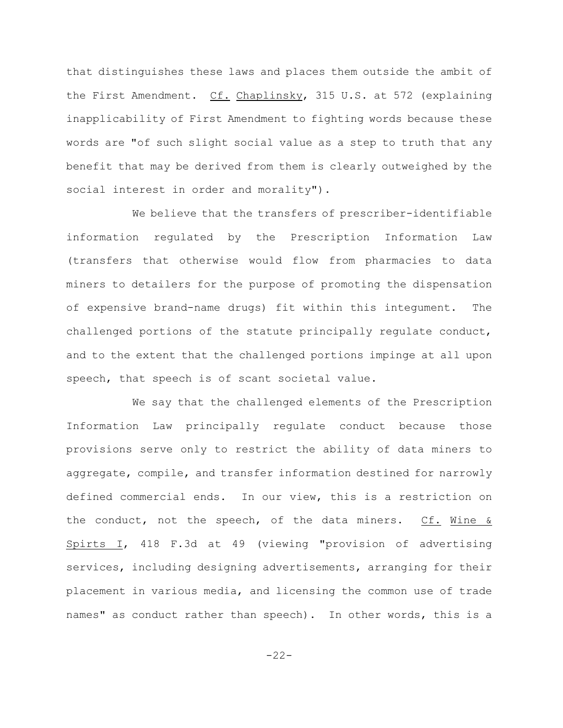that distinguishes these laws and places them outside the ambit of the First Amendment. Cf. Chaplinsky, 315 U.S. at 572 (explaining inapplicability of First Amendment to fighting words because these words are "of such slight social value as a step to truth that any benefit that may be derived from them is clearly outweighed by the social interest in order and morality").

We believe that the transfers of prescriber-identifiable information regulated by the Prescription Information Law (transfers that otherwise would flow from pharmacies to data miners to detailers for the purpose of promoting the dispensation of expensive brand-name drugs) fit within this integument. The challenged portions of the statute principally regulate conduct, and to the extent that the challenged portions impinge at all upon speech, that speech is of scant societal value.

We say that the challenged elements of the Prescription Information Law principally regulate conduct because those provisions serve only to restrict the ability of data miners to aggregate, compile, and transfer information destined for narrowly defined commercial ends. In our view, this is a restriction on the conduct, not the speech, of the data miners.  $Cf.$  Wine & Spirts I, 418 F.3d at 49 (viewing "provision of advertising services, including designing advertisements, arranging for their placement in various media, and licensing the common use of trade names" as conduct rather than speech). In other words, this is a

-22-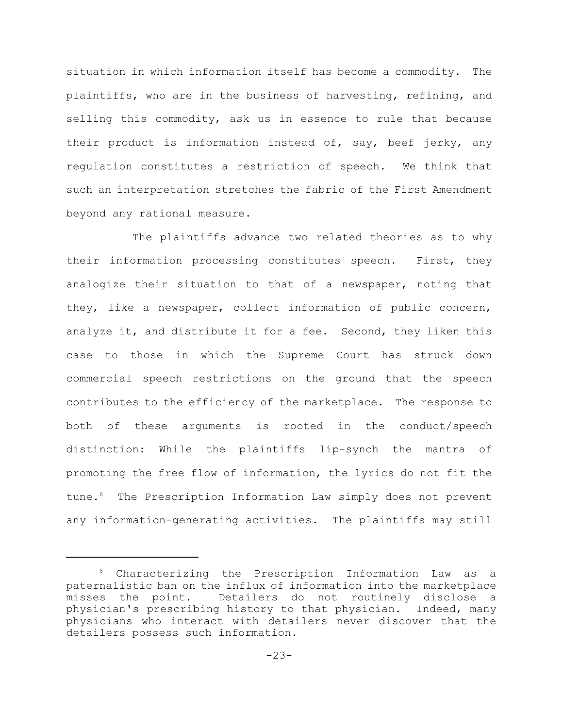situation in which information itself has become a commodity. The plaintiffs, who are in the business of harvesting, refining, and selling this commodity, ask us in essence to rule that because their product is information instead of, say, beef jerky, any regulation constitutes a restriction of speech. We think that such an interpretation stretches the fabric of the First Amendment beyond any rational measure.

The plaintiffs advance two related theories as to why their information processing constitutes speech. First, they analogize their situation to that of a newspaper, noting that they, like a newspaper, collect information of public concern, analyze it, and distribute it for a fee. Second, they liken this case to those in which the Supreme Court has struck down commercial speech restrictions on the ground that the speech contributes to the efficiency of the marketplace. The response to both of these arguments is rooted in the conduct/speech distinction: While the plaintiffs lip-synch the mantra of promoting the free flow of information, the lyrics do not fit the tune.<sup>6</sup> The Prescription Information Law simply does not prevent any information-generating activities. The plaintiffs may still

 $6$  Characterizing the Prescription Information Law as a paternalistic ban on the influx of information into the marketplace misses the point. Detailers do not routinely disclose a physician's prescribing history to that physician. Indeed, many physicians who interact with detailers never discover that the detailers possess such information.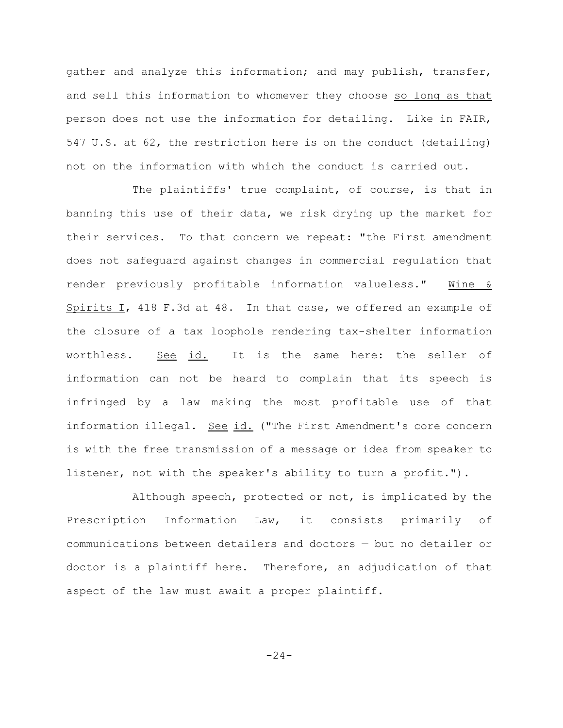gather and analyze this information; and may publish, transfer, and sell this information to whomever they choose so long as that person does not use the information for detailing. Like in FAIR, 547 U.S. at 62, the restriction here is on the conduct (detailing) not on the information with which the conduct is carried out.

The plaintiffs' true complaint, of course, is that in banning this use of their data, we risk drying up the market for their services. To that concern we repeat: "the First amendment does not safeguard against changes in commercial regulation that render previously profitable information valueless." Wine & Spirits I, 418 F.3d at 48. In that case, we offered an example of the closure of a tax loophole rendering tax-shelter information worthless. See id. It is the same here: the seller of information can not be heard to complain that its speech is infringed by a law making the most profitable use of that information illegal. See id. ("The First Amendment's core concern is with the free transmission of a message or idea from speaker to listener, not with the speaker's ability to turn a profit.").

Although speech, protected or not, is implicated by the Prescription Information Law, it consists primarily of communications between detailers and doctors — but no detailer or doctor is a plaintiff here. Therefore, an adjudication of that aspect of the law must await a proper plaintiff.

 $-24-$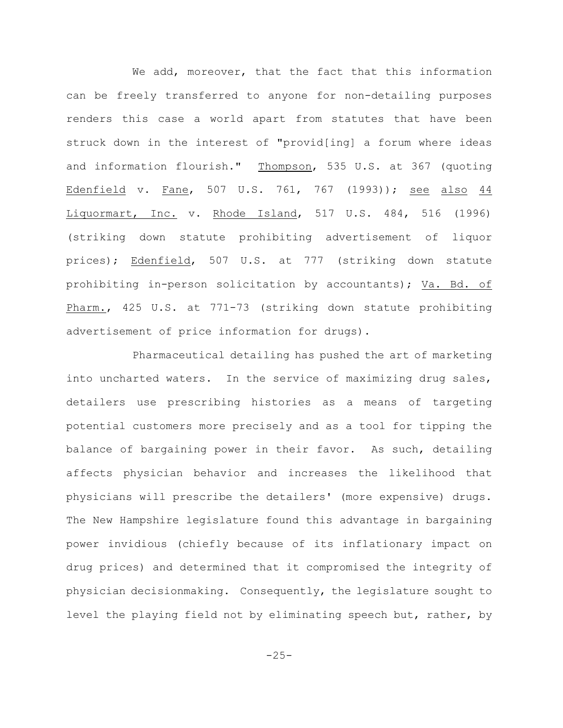We add, moreover, that the fact that this information can be freely transferred to anyone for non-detailing purposes renders this case a world apart from statutes that have been struck down in the interest of "provid[ing] a forum where ideas and information flourish." Thompson, 535 U.S. at 367 (quoting Edenfield v. Fane, 507 U.S. 761, 767 (1993)); see also 44 Liquormart, Inc. v. Rhode Island, 517 U.S. 484, 516 (1996) (striking down statute prohibiting advertisement of liquor prices); Edenfield, 507 U.S. at 777 (striking down statute prohibiting in-person solicitation by accountants); Va. Bd. of Pharm., 425 U.S. at 771-73 (striking down statute prohibiting advertisement of price information for drugs).

Pharmaceutical detailing has pushed the art of marketing into uncharted waters. In the service of maximizing drug sales, detailers use prescribing histories as a means of targeting potential customers more precisely and as a tool for tipping the balance of bargaining power in their favor. As such, detailing affects physician behavior and increases the likelihood that physicians will prescribe the detailers' (more expensive) drugs. The New Hampshire legislature found this advantage in bargaining power invidious (chiefly because of its inflationary impact on drug prices) and determined that it compromised the integrity of physician decisionmaking. Consequently, the legislature sought to level the playing field not by eliminating speech but, rather, by

 $-25-$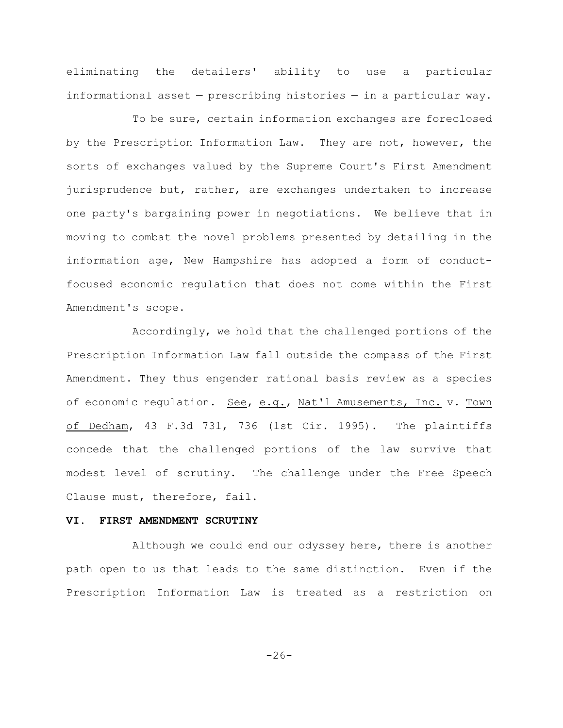eliminating the detailers' ability to use a particular informational asset — prescribing histories — in a particular way.

To be sure, certain information exchanges are foreclosed by the Prescription Information Law. They are not, however, the sorts of exchanges valued by the Supreme Court's First Amendment jurisprudence but, rather, are exchanges undertaken to increase one party's bargaining power in negotiations. We believe that in moving to combat the novel problems presented by detailing in the information age, New Hampshire has adopted a form of conductfocused economic regulation that does not come within the First Amendment's scope.

Accordingly, we hold that the challenged portions of the Prescription Information Law fall outside the compass of the First Amendment. They thus engender rational basis review as a species of economic regulation. See, e.g., Nat'l Amusements, Inc. v. Town of Dedham, 43 F.3d 731, 736 (1st Cir. 1995). The plaintiffs concede that the challenged portions of the law survive that modest level of scrutiny. The challenge under the Free Speech Clause must, therefore, fail.

## **VI. FIRST AMENDMENT SCRUTINY**

Although we could end our odyssey here, there is another path open to us that leads to the same distinction. Even if the Prescription Information Law is treated as a restriction on

 $-26-$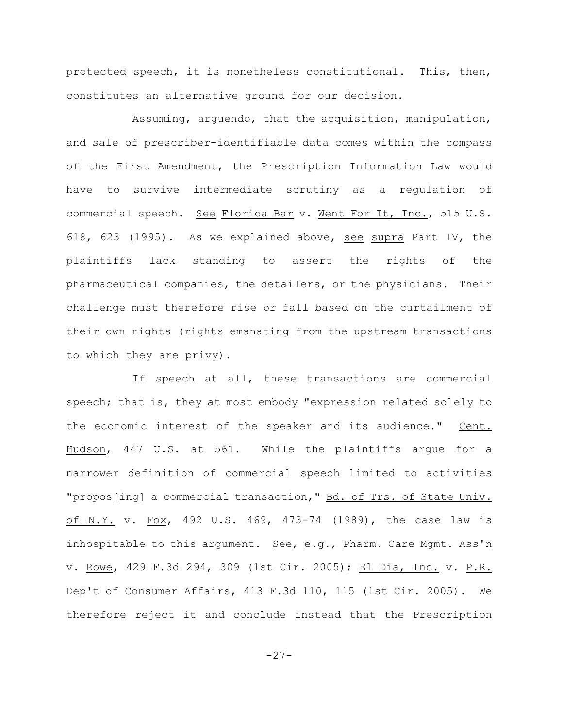protected speech, it is nonetheless constitutional. This, then, constitutes an alternative ground for our decision.

Assuming, arguendo, that the acquisition, manipulation, and sale of prescriber-identifiable data comes within the compass of the First Amendment, the Prescription Information Law would have to survive intermediate scrutiny as a regulation of commercial speech. See Florida Bar v. Went For It, Inc., 515 U.S. 618, 623 (1995). As we explained above, see supra Part IV, the plaintiffs lack standing to assert the rights of the pharmaceutical companies, the detailers, or the physicians. Their challenge must therefore rise or fall based on the curtailment of their own rights (rights emanating from the upstream transactions to which they are privy).

If speech at all, these transactions are commercial speech; that is, they at most embody "expression related solely to the economic interest of the speaker and its audience." Cent. Hudson, 447 U.S. at 561. While the plaintiffs argue for a narrower definition of commercial speech limited to activities "propos[ing] a commercial transaction," Bd. of Trs. of State Univ. of N.Y. v. Fox, 492 U.S. 469, 473-74 (1989), the case law is inhospitable to this argument. <u>See</u>, e.g., Pharm. Care Mgmt. Ass'n v. Rowe, 429 F.3d 294, 309 (1st Cir. 2005); El Día, Inc. v. P.R. Dep't of Consumer Affairs, 413 F.3d 110, 115 (1st Cir. 2005). We therefore reject it and conclude instead that the Prescription

-27-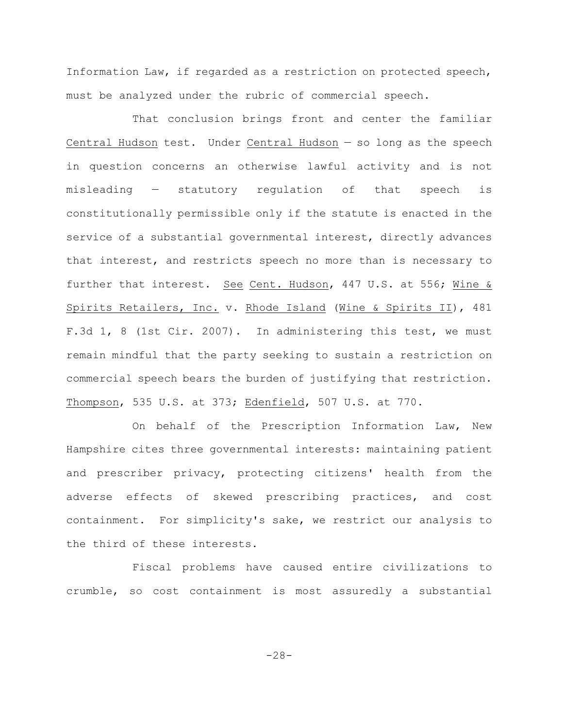Information Law, if regarded as a restriction on protected speech, must be analyzed under the rubric of commercial speech.

That conclusion brings front and center the familiar Central Hudson test. Under Central Hudson — so long as the speech in question concerns an otherwise lawful activity and is not misleading — statutory regulation of that speech is constitutionally permissible only if the statute is enacted in the service of a substantial governmental interest, directly advances that interest, and restricts speech no more than is necessary to further that interest. See Cent. Hudson, 447 U.S. at 556; Wine & Spirits Retailers, Inc. v. Rhode Island (Wine & Spirits II), 481 F.3d 1, 8 (1st Cir. 2007). In administering this test, we must remain mindful that the party seeking to sustain a restriction on commercial speech bears the burden of justifying that restriction. Thompson, 535 U.S. at 373; Edenfield, 507 U.S. at 770.

On behalf of the Prescription Information Law, New Hampshire cites three governmental interests: maintaining patient and prescriber privacy, protecting citizens' health from the adverse effects of skewed prescribing practices, and cost containment. For simplicity's sake, we restrict our analysis to the third of these interests.

Fiscal problems have caused entire civilizations to crumble, so cost containment is most assuredly a substantial

-28-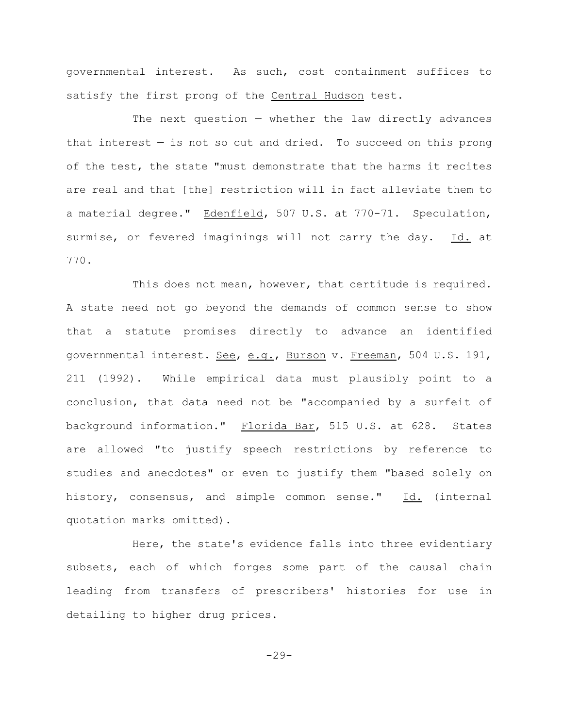governmental interest. As such, cost containment suffices to satisfy the first prong of the Central Hudson test.

The next question  $-$  whether the law directly advances that interest  $-$  is not so cut and dried. To succeed on this prong of the test, the state "must demonstrate that the harms it recites are real and that [the] restriction will in fact alleviate them to a material degree." Edenfield, 507 U.S. at 770-71. Speculation, surmise, or fevered imaginings will not carry the day. Id. at 770.

This does not mean, however, that certitude is required. A state need not go beyond the demands of common sense to show that a statute promises directly to advance an identified governmental interest. See, e.g., Burson v. Freeman, 504 U.S. 191, 211 (1992). While empirical data must plausibly point to a conclusion, that data need not be "accompanied by a surfeit of background information." Florida Bar, 515 U.S. at 628. States are allowed "to justify speech restrictions by reference to studies and anecdotes" or even to justify them "based solely on history, consensus, and simple common sense." Id. (internal quotation marks omitted).

Here, the state's evidence falls into three evidentiary subsets, each of which forges some part of the causal chain leading from transfers of prescribers' histories for use in detailing to higher drug prices.

 $-29-$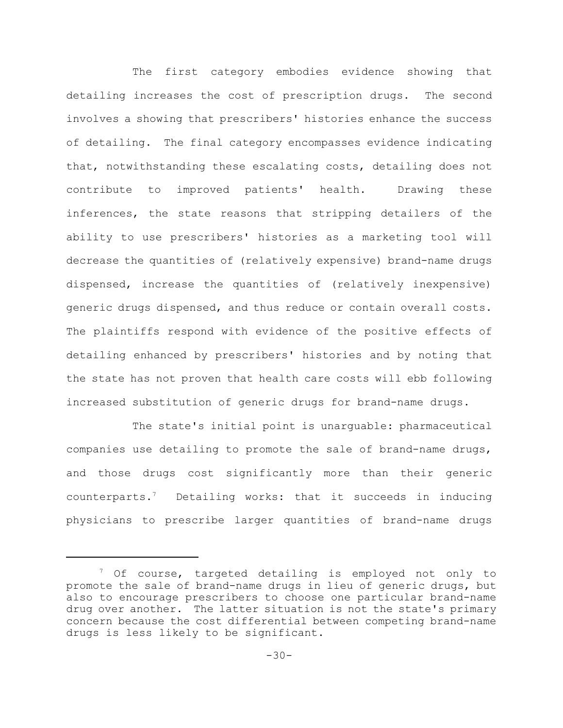The first category embodies evidence showing that detailing increases the cost of prescription drugs. The second involves a showing that prescribers' histories enhance the success of detailing. The final category encompasses evidence indicating that, notwithstanding these escalating costs, detailing does not contribute to improved patients' health. Drawing these inferences, the state reasons that stripping detailers of the ability to use prescribers' histories as a marketing tool will decrease the quantities of (relatively expensive) brand-name drugs dispensed, increase the quantities of (relatively inexpensive) generic drugs dispensed, and thus reduce or contain overall costs. The plaintiffs respond with evidence of the positive effects of detailing enhanced by prescribers' histories and by noting that the state has not proven that health care costs will ebb following increased substitution of generic drugs for brand-name drugs.

The state's initial point is unarguable: pharmaceutical companies use detailing to promote the sale of brand-name drugs, and those drugs cost significantly more than their generic counterparts.<sup>7</sup> Detailing works: that it succeeds in inducing physicians to prescribe larger quantities of brand-name drugs

 $\frac{7}{7}$  Of course, targeted detailing is employed not only to promote the sale of brand-name drugs in lieu of generic drugs, but also to encourage prescribers to choose one particular brand-name drug over another. The latter situation is not the state's primary concern because the cost differential between competing brand-name drugs is less likely to be significant.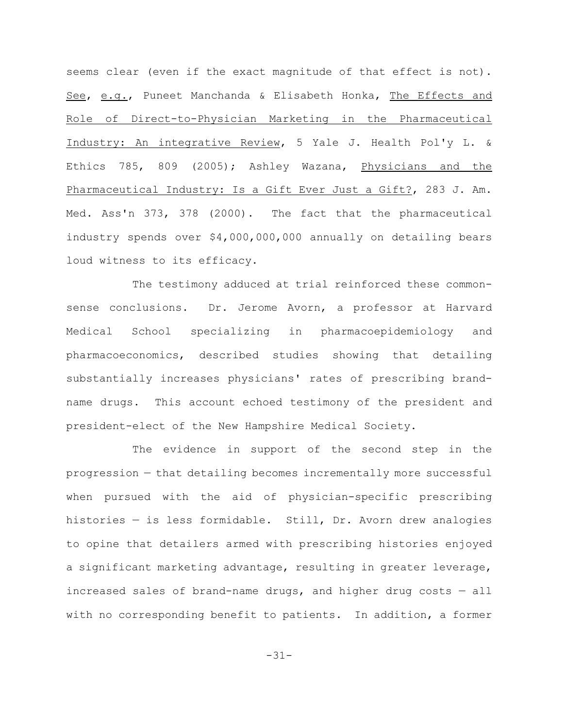seems clear (even if the exact magnitude of that effect is not). See, e.g., Puneet Manchanda & Elisabeth Honka, The Effects and Role of Direct-to-Physician Marketing in the Pharmaceutical Industry: An integrative Review, 5 Yale J. Health Pol'y L. & Ethics 785, 809 (2005); Ashley Wazana, Physicians and the Pharmaceutical Industry: Is a Gift Ever Just a Gift?, 283 J. Am. Med. Ass'n 373, 378 (2000). The fact that the pharmaceutical industry spends over \$4,000,000,000 annually on detailing bears loud witness to its efficacy.

The testimony adduced at trial reinforced these commonsense conclusions. Dr. Jerome Avorn, a professor at Harvard Medical School specializing in pharmacoepidemiology and pharmacoeconomics, described studies showing that detailing substantially increases physicians' rates of prescribing brandname drugs. This account echoed testimony of the president and president-elect of the New Hampshire Medical Society.

The evidence in support of the second step in the progression — that detailing becomes incrementally more successful when pursued with the aid of physician-specific prescribing histories — is less formidable. Still, Dr. Avorn drew analogies to opine that detailers armed with prescribing histories enjoyed a significant marketing advantage, resulting in greater leverage, increased sales of brand-name drugs, and higher drug costs  $-$  all with no corresponding benefit to patients. In addition, a former

-31-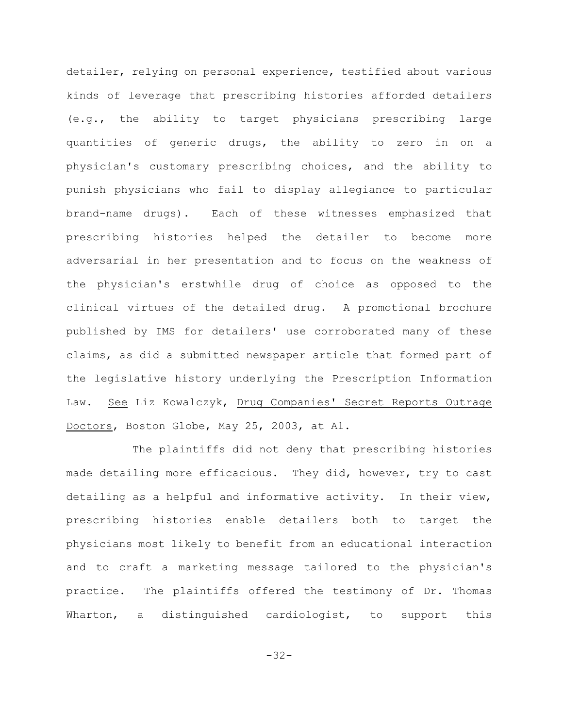detailer, relying on personal experience, testified about various kinds of leverage that prescribing histories afforded detailers (e.g., the ability to target physicians prescribing large quantities of generic drugs, the ability to zero in on a physician's customary prescribing choices, and the ability to punish physicians who fail to display allegiance to particular brand-name drugs). Each of these witnesses emphasized that prescribing histories helped the detailer to become more adversarial in her presentation and to focus on the weakness of the physician's erstwhile drug of choice as opposed to the clinical virtues of the detailed drug. A promotional brochure published by IMS for detailers' use corroborated many of these claims, as did a submitted newspaper article that formed part of the legislative history underlying the Prescription Information Law. See Liz Kowalczyk, Drug Companies' Secret Reports Outrage Doctors, Boston Globe, May 25, 2003, at A1.

The plaintiffs did not deny that prescribing histories made detailing more efficacious. They did, however, try to cast detailing as a helpful and informative activity. In their view, prescribing histories enable detailers both to target the physicians most likely to benefit from an educational interaction and to craft a marketing message tailored to the physician's practice. The plaintiffs offered the testimony of Dr. Thomas Wharton, a distinguished cardiologist, to support this

-32-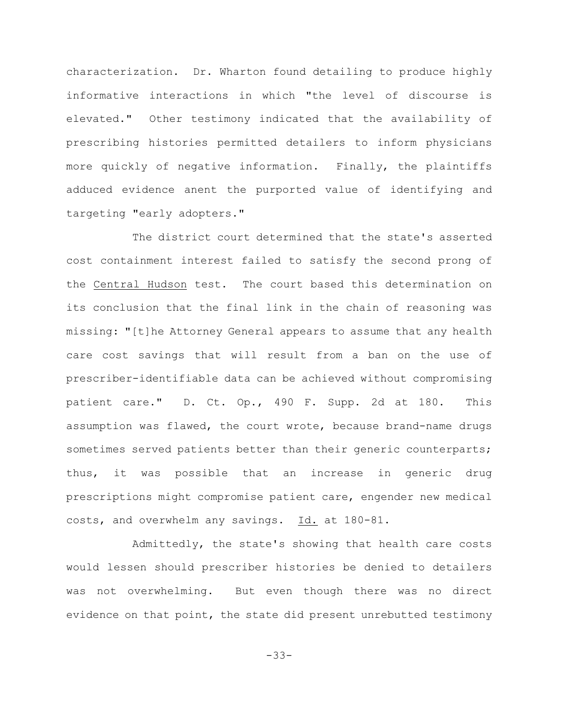characterization. Dr. Wharton found detailing to produce highly informative interactions in which "the level of discourse is elevated." Other testimony indicated that the availability of prescribing histories permitted detailers to inform physicians more quickly of negative information. Finally, the plaintiffs adduced evidence anent the purported value of identifying and targeting "early adopters."

The district court determined that the state's asserted cost containment interest failed to satisfy the second prong of the Central Hudson test. The court based this determination on its conclusion that the final link in the chain of reasoning was missing: "[t]he Attorney General appears to assume that any health care cost savings that will result from a ban on the use of prescriber-identifiable data can be achieved without compromising patient care." D. Ct. Op., 490 F. Supp. 2d at 180. This assumption was flawed, the court wrote, because brand-name drugs sometimes served patients better than their generic counterparts; thus, it was possible that an increase in generic drug prescriptions might compromise patient care, engender new medical costs, and overwhelm any savings. Id. at 180-81.

Admittedly, the state's showing that health care costs would lessen should prescriber histories be denied to detailers was not overwhelming. But even though there was no direct evidence on that point, the state did present unrebutted testimony

-33-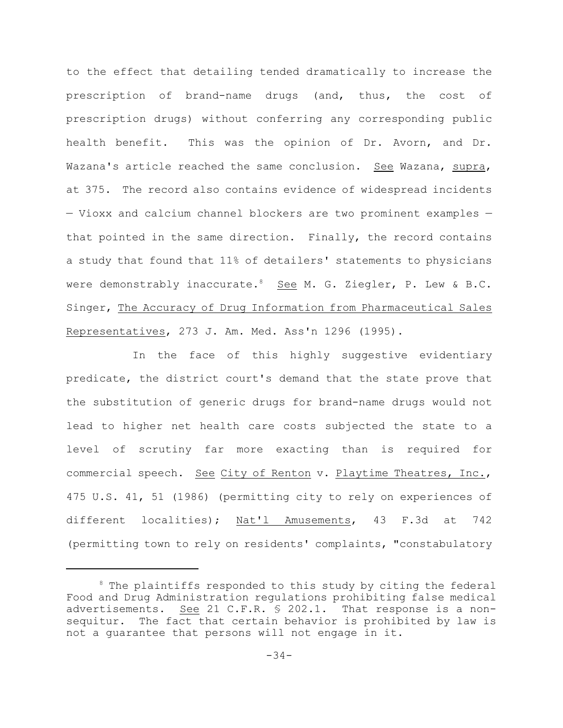to the effect that detailing tended dramatically to increase the prescription of brand-name drugs (and, thus, the cost of prescription drugs) without conferring any corresponding public health benefit. This was the opinion of Dr. Avorn, and Dr. Wazana's article reached the same conclusion. See Wazana, supra, at 375. The record also contains evidence of widespread incidents — Vioxx and calcium channel blockers are two prominent examples that pointed in the same direction. Finally, the record contains a study that found that 11% of detailers' statements to physicians were demonstrably inaccurate.<sup>8</sup> See M. G. Ziegler, P. Lew & B.C. Singer, The Accuracy of Drug Information from Pharmaceutical Sales Representatives, 273 J. Am. Med. Ass'n 1296 (1995).

In the face of this highly suggestive evidentiary predicate, the district court's demand that the state prove that the substitution of generic drugs for brand-name drugs would not lead to higher net health care costs subjected the state to a level of scrutiny far more exacting than is required for commercial speech. See City of Renton v. Playtime Theatres, Inc., 475 U.S. 41, 51 (1986) (permitting city to rely on experiences of different localities); Nat'l Amusements, 43 F.3d at 742 (permitting town to rely on residents' complaints, "constabulatory

 $8$  The plaintiffs responded to this study by citing the federal Food and Drug Administration regulations prohibiting false medical advertisements. See 21 C.F.R.  $\S$  202.1. That response is a nonsequitur. The fact that certain behavior is prohibited by law is not a guarantee that persons will not engage in it.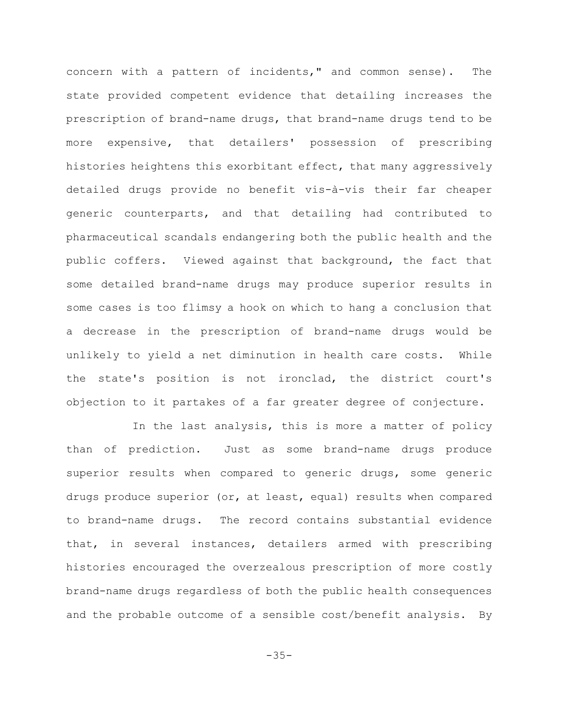concern with a pattern of incidents," and common sense). The state provided competent evidence that detailing increases the prescription of brand-name drugs, that brand-name drugs tend to be more expensive, that detailers' possession of prescribing histories heightens this exorbitant effect, that many aggressively detailed drugs provide no benefit vis-à-vis their far cheaper generic counterparts, and that detailing had contributed to pharmaceutical scandals endangering both the public health and the public coffers. Viewed against that background, the fact that some detailed brand-name drugs may produce superior results in some cases is too flimsy a hook on which to hang a conclusion that a decrease in the prescription of brand-name drugs would be unlikely to yield a net diminution in health care costs. While the state's position is not ironclad, the district court's objection to it partakes of a far greater degree of conjecture.

In the last analysis, this is more a matter of policy than of prediction. Just as some brand-name drugs produce superior results when compared to generic drugs, some generic drugs produce superior (or, at least, equal) results when compared to brand-name drugs. The record contains substantial evidence that, in several instances, detailers armed with prescribing histories encouraged the overzealous prescription of more costly brand-name drugs regardless of both the public health consequences and the probable outcome of a sensible cost/benefit analysis. By

 $-35-$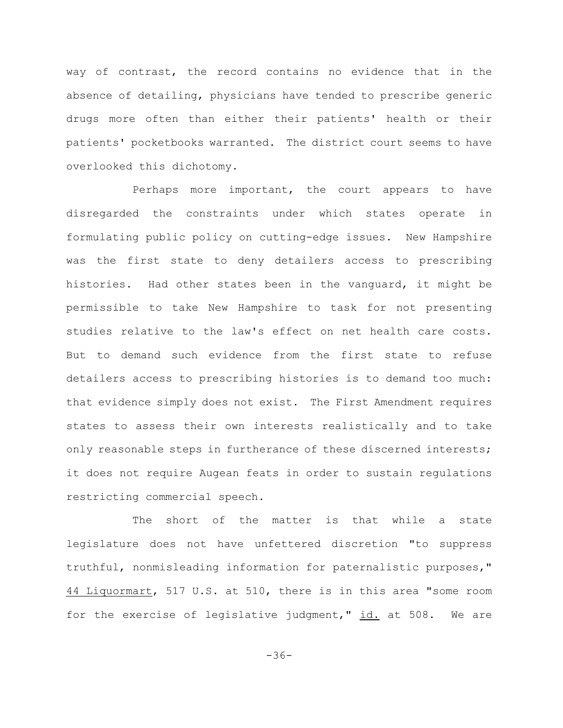way of contrast, the record contains no evidence that in the absence of detailing, physicians have tended to prescribe generic drugs more often than either their patients' health or their patients' pocketbooks warranted. The district court seems to have overlooked this dichotomy.

Perhaps more important, the court appears to have disregarded the constraints under which states operate in formulating public policy on cutting-edge issues. New Hampshire was the first state to deny detailers access to prescribing histories. Had other states been in the vanguard, it might be permissible to take New Hampshire to task for not presenting studies relative to the law's effect on net health care costs. But to demand such evidence from the first state to refuse detailers access to prescribing histories is to demand too much: that evidence simply does not exist. The First Amendment requires states to assess their own interests realistically and to take only reasonable steps in furtherance of these discerned interests; it does not require Augean feats in order to sustain regulations restricting commercial speech.

The short of the matter is that while a state legislature does not have unfettered discretion "to suppress truthful, nonmisleading information for paternalistic purposes," 44 Liquormart, 517 U.S. at 510, there is in this area "some room for the exercise of legislative judgment," id. at 508. We are

-36-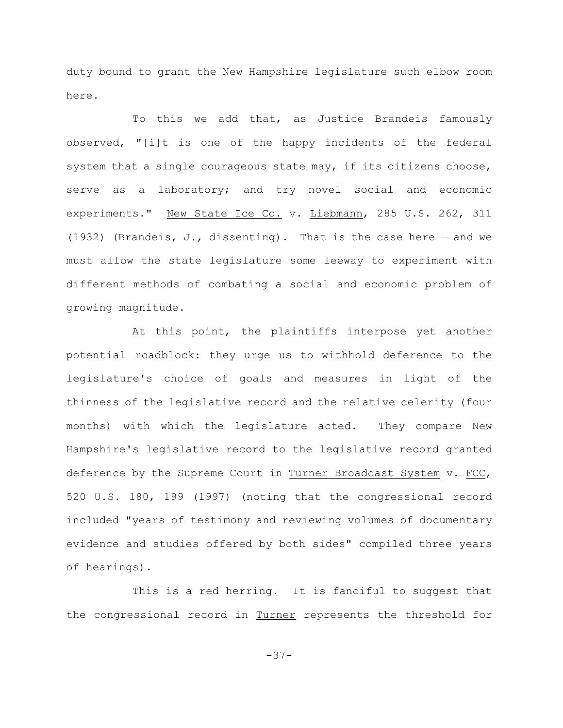duty bound to grant the New Hampshire legislature such elbow room here.

To this we add that, as Justice Brandeis famously observed, "[i]t is one of the happy incidents of the federal system that a single courageous state may, if its citizens choose, serve as a laboratory; and try novel social and economic experiments." New State Ice Co. v. Liebmann, 285 U.S. 262, 311 (1932) (Brandeis, J., dissenting). That is the case here  $-$  and we must allow the state legislature some leeway to experiment with different methods of combating a social and economic problem of growing magnitude.

At this point, the plaintiffs interpose yet another potential roadblock: they urge us to withhold deference to the legislature's choice of goals and measures in light of the thinness of the legislative record and the relative celerity (four months) with which the legislature acted. They compare New Hampshire's legislative record to the legislative record granted deference by the Supreme Court in Turner Broadcast System v. FCC, 520 U.S. 180, 199 (1997) (noting that the congressional record included "years of testimony and reviewing volumes of documentary evidence and studies offered by both sides" compiled three years of hearings).

This is a red herring. It is fanciful to suggest that the congressional record in Turner represents the threshold for

-37-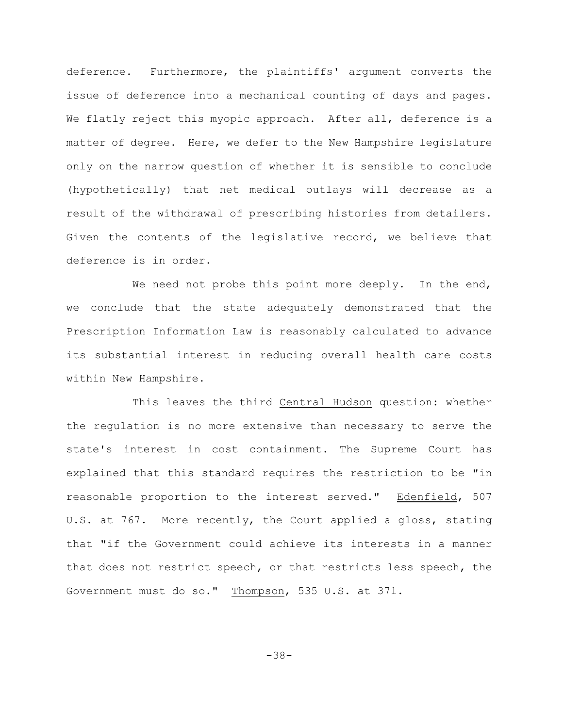deference. Furthermore, the plaintiffs' argument converts the issue of deference into a mechanical counting of days and pages. We flatly reject this myopic approach. After all, deference is a matter of degree. Here, we defer to the New Hampshire legislature only on the narrow question of whether it is sensible to conclude (hypothetically) that net medical outlays will decrease as a result of the withdrawal of prescribing histories from detailers. Given the contents of the legislative record, we believe that deference is in order.

We need not probe this point more deeply. In the end, we conclude that the state adequately demonstrated that the Prescription Information Law is reasonably calculated to advance its substantial interest in reducing overall health care costs within New Hampshire.

This leaves the third Central Hudson question: whether the regulation is no more extensive than necessary to serve the state's interest in cost containment. The Supreme Court has explained that this standard requires the restriction to be "in reasonable proportion to the interest served." Edenfield, 507 U.S. at 767. More recently, the Court applied a gloss, stating that "if the Government could achieve its interests in a manner that does not restrict speech, or that restricts less speech, the Government must do so." Thompson, 535 U.S. at 371.

-38-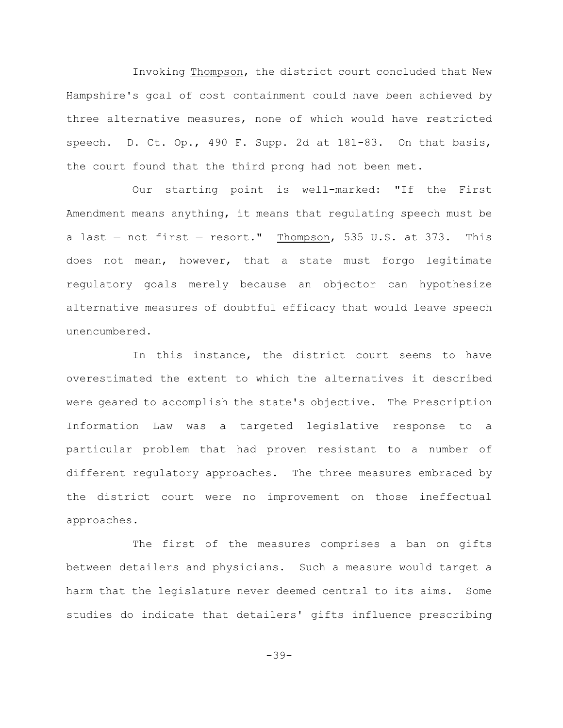Invoking Thompson, the district court concluded that New Hampshire's goal of cost containment could have been achieved by three alternative measures, none of which would have restricted speech. D. Ct. Op., 490 F. Supp. 2d at  $181-83$ . On that basis, the court found that the third prong had not been met.

Our starting point is well-marked: "If the First Amendment means anything, it means that regulating speech must be a last  $-$  not first  $-$  resort." Thompson, 535 U.S. at 373. This does not mean, however, that a state must forgo legitimate regulatory goals merely because an objector can hypothesize alternative measures of doubtful efficacy that would leave speech unencumbered.

In this instance, the district court seems to have overestimated the extent to which the alternatives it described were geared to accomplish the state's objective. The Prescription Information Law was a targeted legislative response to a particular problem that had proven resistant to a number of different regulatory approaches. The three measures embraced by the district court were no improvement on those ineffectual approaches.

The first of the measures comprises a ban on gifts between detailers and physicians. Such a measure would target a harm that the legislature never deemed central to its aims. Some studies do indicate that detailers' gifts influence prescribing

-39-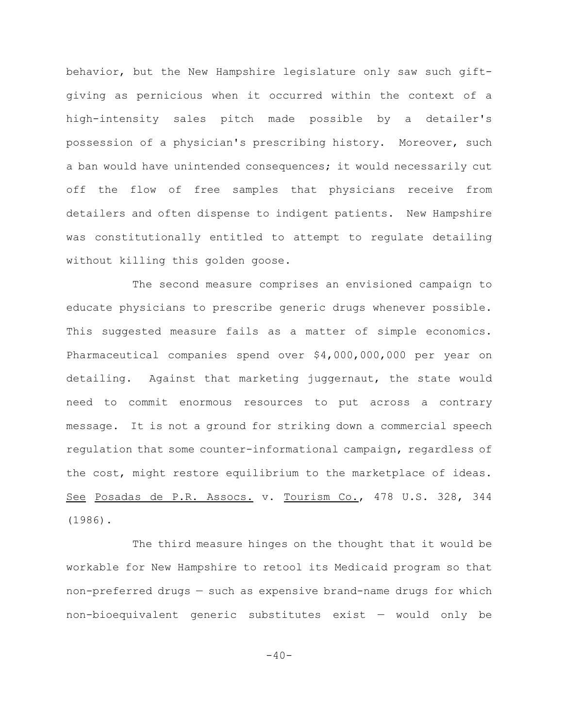behavior, but the New Hampshire legislature only saw such giftgiving as pernicious when it occurred within the context of a high-intensity sales pitch made possible by a detailer's possession of a physician's prescribing history. Moreover, such a ban would have unintended consequences; it would necessarily cut off the flow of free samples that physicians receive from detailers and often dispense to indigent patients. New Hampshire was constitutionally entitled to attempt to regulate detailing without killing this golden goose.

The second measure comprises an envisioned campaign to educate physicians to prescribe generic drugs whenever possible. This suggested measure fails as a matter of simple economics. Pharmaceutical companies spend over \$4,000,000,000 per year on detailing. Against that marketing juggernaut, the state would need to commit enormous resources to put across a contrary message. It is not a ground for striking down a commercial speech regulation that some counter-informational campaign, regardless of the cost, might restore equilibrium to the marketplace of ideas. See Posadas de P.R. Assocs. v. Tourism Co., 478 U.S. 328, 344 (1986).

The third measure hinges on the thought that it would be workable for New Hampshire to retool its Medicaid program so that non-preferred drugs — such as expensive brand-name drugs for which non-bioequivalent generic substitutes exist — would only be

 $-40-$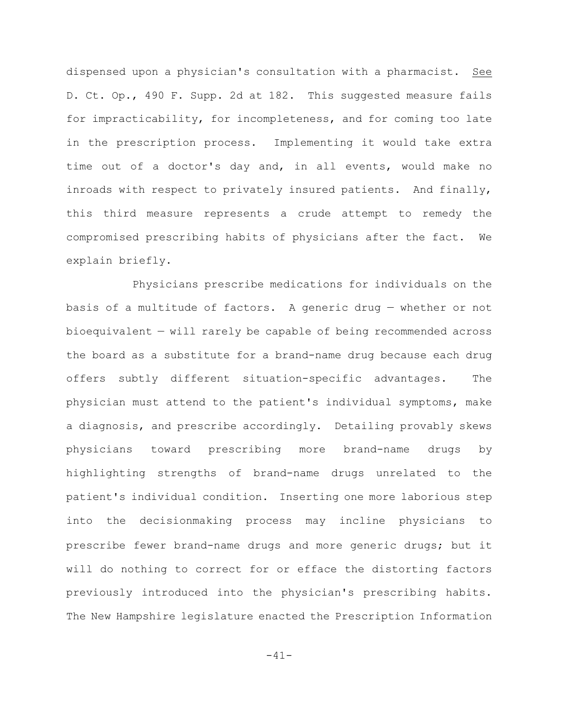dispensed upon a physician's consultation with a pharmacist. See D. Ct. Op., 490 F. Supp. 2d at 182. This suggested measure fails for impracticability, for incompleteness, and for coming too late in the prescription process. Implementing it would take extra time out of a doctor's day and, in all events, would make no inroads with respect to privately insured patients. And finally, this third measure represents a crude attempt to remedy the compromised prescribing habits of physicians after the fact. We explain briefly.

Physicians prescribe medications for individuals on the basis of a multitude of factors. A generic drug — whether or not bioequivalent — will rarely be capable of being recommended across the board as a substitute for a brand-name drug because each drug offers subtly different situation-specific advantages. The physician must attend to the patient's individual symptoms, make a diagnosis, and prescribe accordingly. Detailing provably skews physicians toward prescribing more brand-name drugs by highlighting strengths of brand-name drugs unrelated to the patient's individual condition. Inserting one more laborious step into the decisionmaking process may incline physicians to prescribe fewer brand-name drugs and more generic drugs; but it will do nothing to correct for or efface the distorting factors previously introduced into the physician's prescribing habits. The New Hampshire legislature enacted the Prescription Information

-41-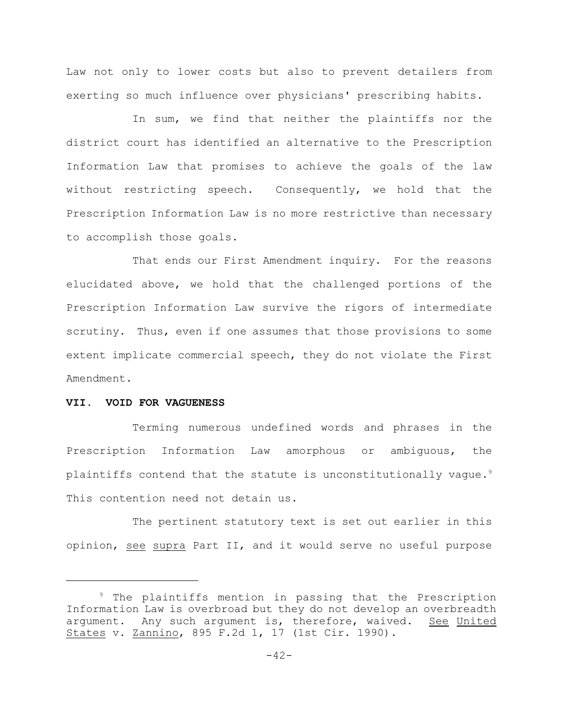Law not only to lower costs but also to prevent detailers from exerting so much influence over physicians' prescribing habits.

In sum, we find that neither the plaintiffs nor the district court has identified an alternative to the Prescription Information Law that promises to achieve the goals of the law without restricting speech. Consequently, we hold that the Prescription Information Law is no more restrictive than necessary to accomplish those goals.

That ends our First Amendment inquiry. For the reasons elucidated above, we hold that the challenged portions of the Prescription Information Law survive the rigors of intermediate scrutiny. Thus, even if one assumes that those provisions to some extent implicate commercial speech, they do not violate the First Amendment.

### **VII. VOID FOR VAGUENESS**

Terming numerous undefined words and phrases in the Prescription Information Law amorphous or ambiguous, the plaintiffs contend that the statute is unconstitutionally vague.<sup>9</sup> This contention need not detain us.

The pertinent statutory text is set out earlier in this opinion, see supra Part II, and it would serve no useful purpose

 $9$  The plaintiffs mention in passing that the Prescription Information Law is overbroad but they do not develop an overbreadth argument. Any such argument is, therefore, waived. See United States v. Zannino, 895 F.2d 1, 17 (1st Cir. 1990).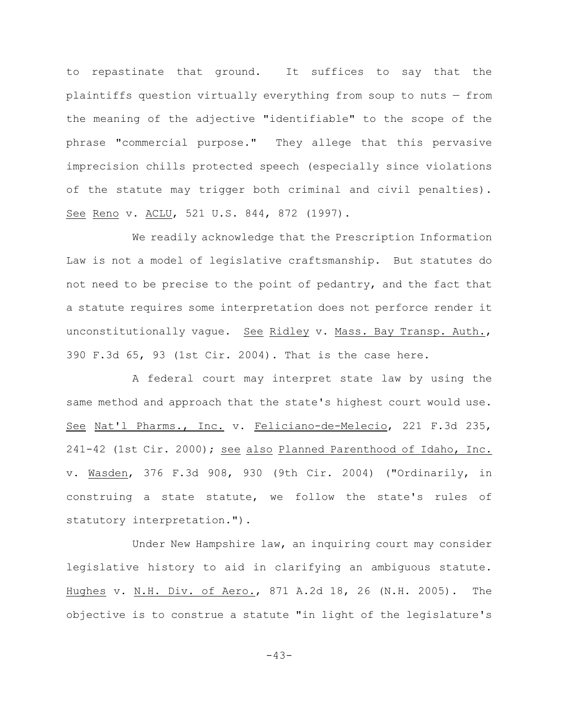to repastinate that ground. It suffices to say that the plaintiffs question virtually everything from soup to nuts — from the meaning of the adjective "identifiable" to the scope of the phrase "commercial purpose." They allege that this pervasive imprecision chills protected speech (especially since violations of the statute may trigger both criminal and civil penalties). See Reno v. ACLU, 521 U.S. 844, 872 (1997).

We readily acknowledge that the Prescription Information Law is not a model of legislative craftsmanship. But statutes do not need to be precise to the point of pedantry, and the fact that a statute requires some interpretation does not perforce render it unconstitutionally vague. See Ridley v. Mass. Bay Transp. Auth., 390 F.3d 65, 93 (1st Cir. 2004). That is the case here.

A federal court may interpret state law by using the same method and approach that the state's highest court would use. See Nat'l Pharms., Inc. v. Feliciano-de-Melecio, 221 F.3d 235, 241-42 (1st Cir. 2000); see also Planned Parenthood of Idaho, Inc. v. Wasden, 376 F.3d 908, 930 (9th Cir. 2004) ("Ordinarily, in construing a state statute, we follow the state's rules of statutory interpretation.").

Under New Hampshire law, an inquiring court may consider legislative history to aid in clarifying an ambiguous statute. Hughes v. N.H. Div. of Aero., 871 A.2d 18, 26 (N.H. 2005). The objective is to construe a statute "in light of the legislature's

 $-43-$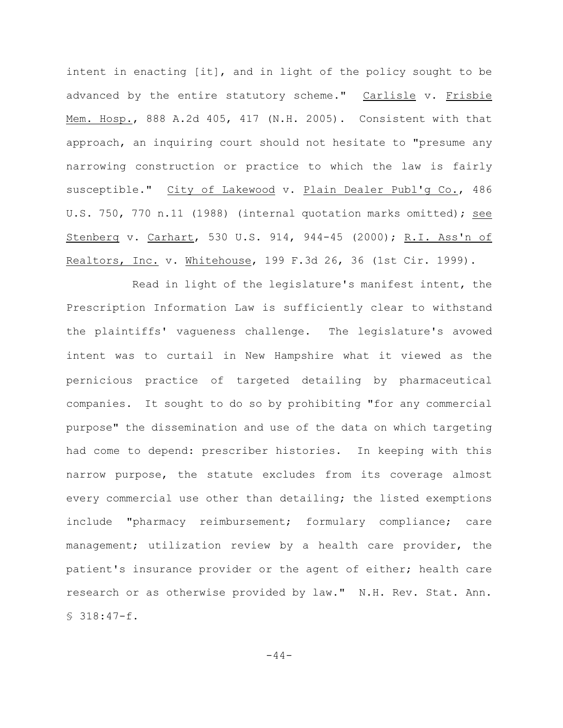intent in enacting [it], and in light of the policy sought to be advanced by the entire statutory scheme." Carlisle v. Frisbie Mem. Hosp., 888 A.2d 405, 417 (N.H. 2005). Consistent with that approach, an inquiring court should not hesitate to "presume any narrowing construction or practice to which the law is fairly susceptible." City of Lakewood v. Plain Dealer Publ'g Co., 486 U.S. 750, 770 n.11 (1988) (internal quotation marks omitted); see Stenberg v. Carhart, 530 U.S. 914, 944-45 (2000); R.I. Ass'n of Realtors, Inc. v. Whitehouse, 199 F.3d 26, 36 (1st Cir. 1999).

Read in light of the legislature's manifest intent, the Prescription Information Law is sufficiently clear to withstand the plaintiffs' vagueness challenge. The legislature's avowed intent was to curtail in New Hampshire what it viewed as the pernicious practice of targeted detailing by pharmaceutical companies. It sought to do so by prohibiting "for any commercial purpose" the dissemination and use of the data on which targeting had come to depend: prescriber histories. In keeping with this narrow purpose, the statute excludes from its coverage almost every commercial use other than detailing; the listed exemptions include "pharmacy reimbursement; formulary compliance; care management; utilization review by a health care provider, the patient's insurance provider or the agent of either; health care research or as otherwise provided by law." N.H. Rev. Stat. Ann. § 318:47-f.

 $-44-$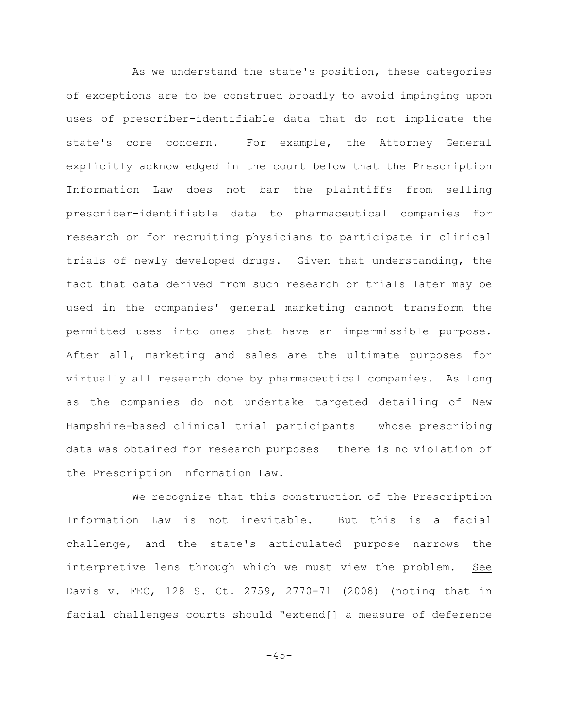As we understand the state's position, these categories of exceptions are to be construed broadly to avoid impinging upon uses of prescriber-identifiable data that do not implicate the state's core concern. For example, the Attorney General explicitly acknowledged in the court below that the Prescription Information Law does not bar the plaintiffs from selling prescriber-identifiable data to pharmaceutical companies for research or for recruiting physicians to participate in clinical trials of newly developed drugs. Given that understanding, the fact that data derived from such research or trials later may be used in the companies' general marketing cannot transform the permitted uses into ones that have an impermissible purpose. After all, marketing and sales are the ultimate purposes for virtually all research done by pharmaceutical companies. As long as the companies do not undertake targeted detailing of New Hampshire-based clinical trial participants — whose prescribing data was obtained for research purposes — there is no violation of the Prescription Information Law.

We recognize that this construction of the Prescription Information Law is not inevitable. But this is a facial challenge, and the state's articulated purpose narrows the interpretive lens through which we must view the problem. See Davis v. FEC, 128 S. Ct. 2759, 2770-71 (2008) (noting that in facial challenges courts should "extend[] a measure of deference

 $-45-$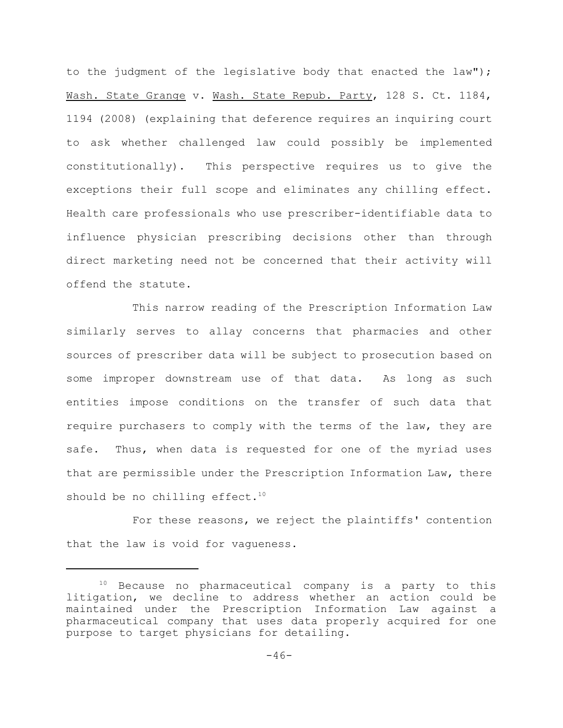to the judgment of the legislative body that enacted the law"); Wash. State Grange v. Wash. State Repub. Party, 128 S. Ct. 1184, 1194 (2008) (explaining that deference requires an inquiring court to ask whether challenged law could possibly be implemented constitutionally). This perspective requires us to give the exceptions their full scope and eliminates any chilling effect. Health care professionals who use prescriber-identifiable data to influence physician prescribing decisions other than through direct marketing need not be concerned that their activity will offend the statute.

This narrow reading of the Prescription Information Law similarly serves to allay concerns that pharmacies and other sources of prescriber data will be subject to prosecution based on some improper downstream use of that data. As long as such entities impose conditions on the transfer of such data that require purchasers to comply with the terms of the law, they are safe. Thus, when data is requested for one of the myriad uses that are permissible under the Prescription Information Law, there should be no chilling effect.<sup>10</sup>

For these reasons, we reject the plaintiffs' contention that the law is void for vagueness.

 $10$  Because no pharmaceutical company is a party to this litigation, we decline to address whether an action could be maintained under the Prescription Information Law against a pharmaceutical company that uses data properly acquired for one purpose to target physicians for detailing.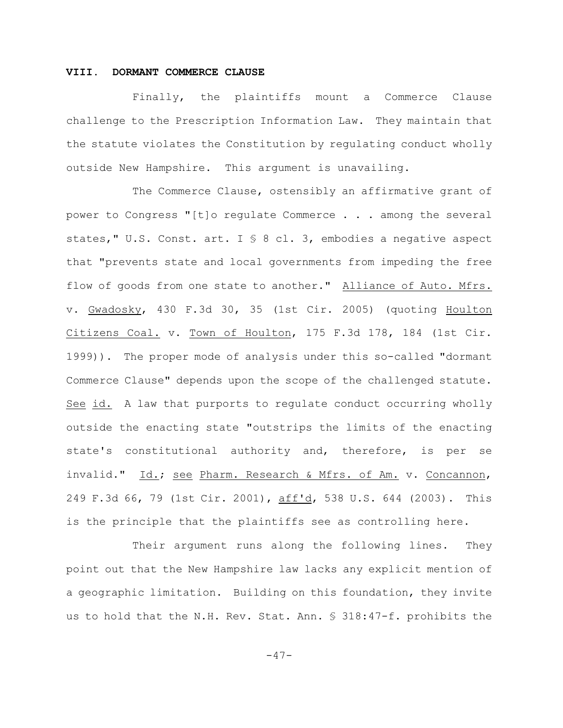### **VIII. DORMANT COMMERCE CLAUSE**

Finally, the plaintiffs mount a Commerce Clause challenge to the Prescription Information Law. They maintain that the statute violates the Constitution by regulating conduct wholly outside New Hampshire. This argument is unavailing.

The Commerce Clause, ostensibly an affirmative grant of power to Congress "[t]o regulate Commerce . . . among the several states," U.S. Const. art. I § 8 cl. 3, embodies a negative aspect that "prevents state and local governments from impeding the free flow of goods from one state to another." Alliance of Auto. Mfrs. v. Gwadosky, 430 F.3d 30, 35 (1st Cir. 2005) (quoting Houlton Citizens Coal. v. Town of Houlton, 175 F.3d 178, 184 (1st Cir. 1999)). The proper mode of analysis under this so-called "dormant Commerce Clause" depends upon the scope of the challenged statute. See id. A law that purports to regulate conduct occurring wholly outside the enacting state "outstrips the limits of the enacting state's constitutional authority and, therefore, is per se invalid." Id.; see Pharm. Research & Mfrs. of Am. v. Concannon, 249 F.3d 66, 79 (1st Cir. 2001), aff'd, 538 U.S. 644 (2003). This is the principle that the plaintiffs see as controlling here.

Their argument runs along the following lines. They point out that the New Hampshire law lacks any explicit mention of a geographic limitation. Building on this foundation, they invite us to hold that the N.H. Rev. Stat. Ann. § 318:47-f. prohibits the

 $-47-$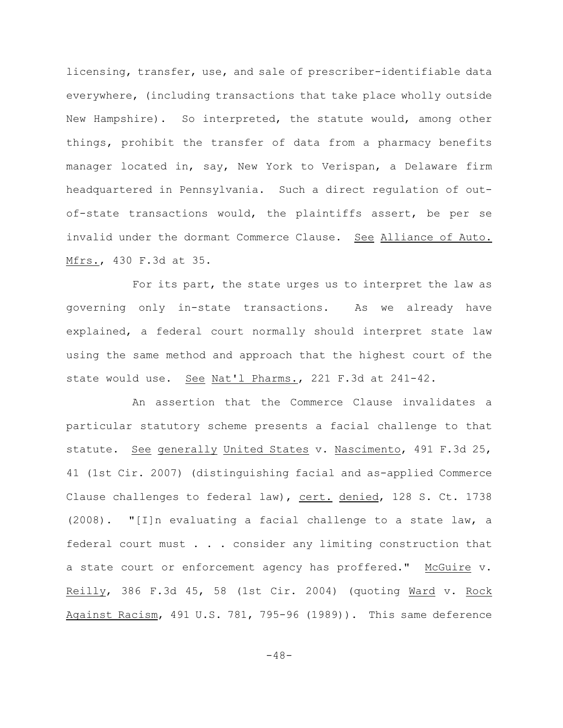licensing, transfer, use, and sale of prescriber-identifiable data everywhere, (including transactions that take place wholly outside New Hampshire). So interpreted, the statute would, among other things, prohibit the transfer of data from a pharmacy benefits manager located in, say, New York to Verispan, a Delaware firm headquartered in Pennsylvania. Such a direct regulation of outof-state transactions would, the plaintiffs assert, be per se invalid under the dormant Commerce Clause. See Alliance of Auto. Mfrs., 430 F.3d at 35.

For its part, the state urges us to interpret the law as governing only in-state transactions. As we already have explained, a federal court normally should interpret state law using the same method and approach that the highest court of the state would use. See Nat'l Pharms., 221 F.3d at 241-42.

An assertion that the Commerce Clause invalidates a particular statutory scheme presents a facial challenge to that statute. See generally United States v. Nascimento, 491 F.3d 25, 41 (1st Cir. 2007) (distinguishing facial and as-applied Commerce Clause challenges to federal law), cert. denied, 128 S. Ct. 1738 (2008). "[I]n evaluating a facial challenge to a state law, a federal court must . . . consider any limiting construction that a state court or enforcement agency has proffered." McGuire v. Reilly, 386 F.3d 45, 58 (1st Cir. 2004) (quoting Ward v. Rock Against Racism, 491 U.S. 781, 795-96 (1989)). This same deference

-48-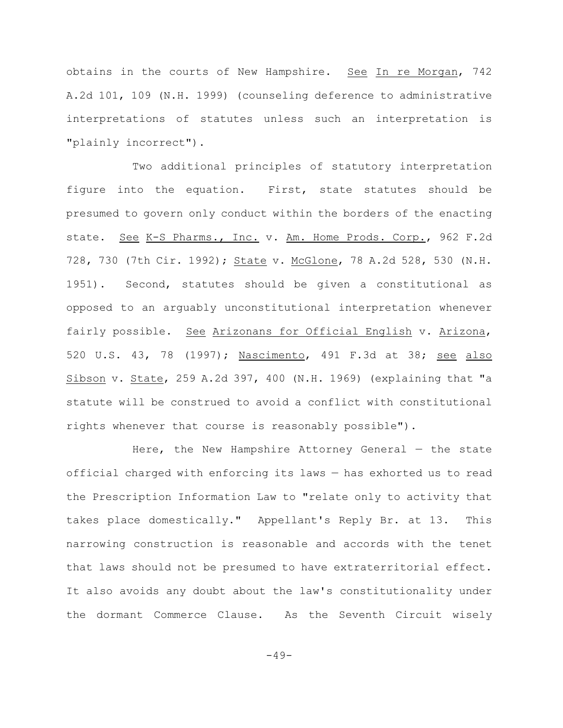obtains in the courts of New Hampshire. See In re Morgan, 742 A.2d 101, 109 (N.H. 1999) (counseling deference to administrative interpretations of statutes unless such an interpretation is "plainly incorrect").

Two additional principles of statutory interpretation figure into the equation. First, state statutes should be presumed to govern only conduct within the borders of the enacting state. See K-S Pharms., Inc. v. Am. Home Prods. Corp., 962 F.2d 728, 730 (7th Cir. 1992); State v. McGlone, 78 A.2d 528, 530 (N.H. 1951). Second, statutes should be given a constitutional as opposed to an arguably unconstitutional interpretation whenever fairly possible. See Arizonans for Official English v. Arizona, 520 U.S. 43, 78 (1997); Nascimento, 491 F.3d at 38; see also Sibson v. State, 259 A.2d 397, 400 (N.H. 1969) (explaining that "a statute will be construed to avoid a conflict with constitutional rights whenever that course is reasonably possible").

Here, the New Hampshire Attorney General  $-$  the state official charged with enforcing its laws — has exhorted us to read the Prescription Information Law to "relate only to activity that takes place domestically." Appellant's Reply Br. at 13. This narrowing construction is reasonable and accords with the tenet that laws should not be presumed to have extraterritorial effect. It also avoids any doubt about the law's constitutionality under the dormant Commerce Clause. As the Seventh Circuit wisely

 $-49-$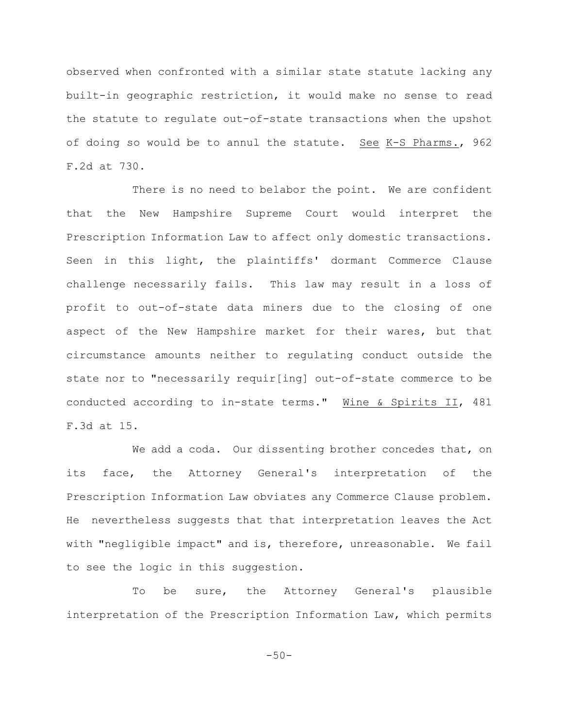observed when confronted with a similar state statute lacking any built-in geographic restriction, it would make no sense to read the statute to regulate out-of-state transactions when the upshot of doing so would be to annul the statute. See K-S Pharms., 962 F.2d at 730.

There is no need to belabor the point. We are confident that the New Hampshire Supreme Court would interpret the Prescription Information Law to affect only domestic transactions. Seen in this light, the plaintiffs' dormant Commerce Clause challenge necessarily fails. This law may result in a loss of profit to out-of-state data miners due to the closing of one aspect of the New Hampshire market for their wares, but that circumstance amounts neither to regulating conduct outside the state nor to "necessarily requir[ing] out-of-state commerce to be conducted according to in-state terms." Wine & Spirits II, 481 F.3d at 15.

We add a coda. Our dissenting brother concedes that, on its face, the Attorney General's interpretation of the Prescription Information Law obviates any Commerce Clause problem. He nevertheless suggests that that interpretation leaves the Act with "negligible impact" and is, therefore, unreasonable. We fail to see the logic in this suggestion.

To be sure, the Attorney General's plausible interpretation of the Prescription Information Law, which permits

 $-50-$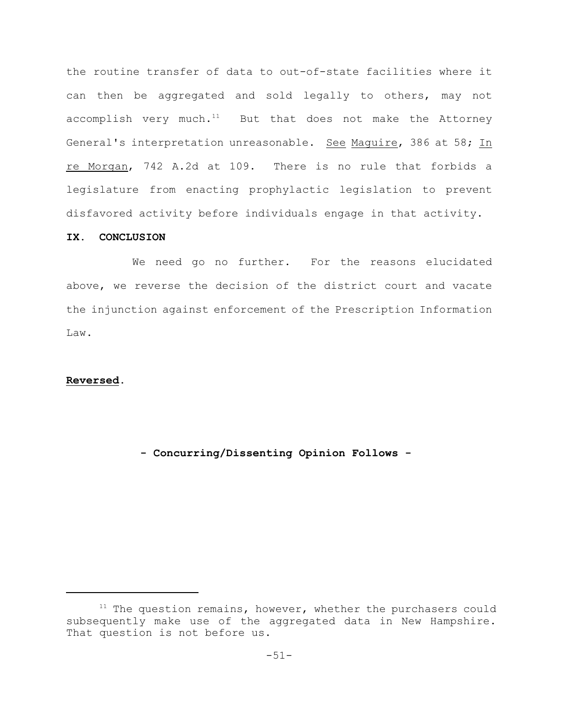the routine transfer of data to out-of-state facilities where it can then be aggregated and sold legally to others, may not accomplish very much. $^{11}$  But that does not make the Attorney General's interpretation unreasonable. See Maguire, 386 at 58; In re Morgan, 742 A.2d at 109. There is no rule that forbids a legislature from enacting prophylactic legislation to prevent disfavored activity before individuals engage in that activity.

# **IX. CONCLUSION**

We need go no further. For the reasons elucidated above, we reverse the decision of the district court and vacate the injunction against enforcement of the Prescription Information Law.

## **Reversed.**

**- Concurring/Dissenting Opinion Follows -** 

 $11$  The question remains, however, whether the purchasers could subsequently make use of the aggregated data in New Hampshire. That question is not before us.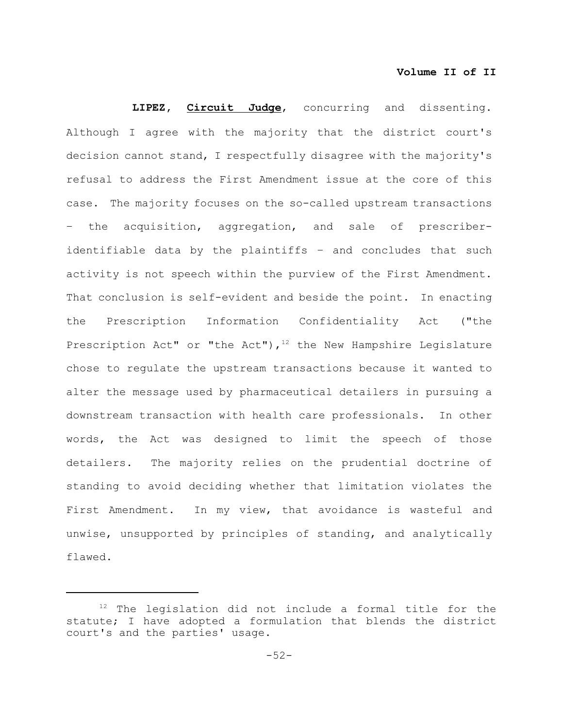**LIPEZ, Circuit Judge**, concurring and dissenting. Although I agree with the majority that the district court's decision cannot stand, I respectfully disagree with the majority's refusal to address the First Amendment issue at the core of this case. The majority focuses on the so-called upstream transactions – the acquisition, aggregation, and sale of prescriberidentifiable data by the plaintiffs – and concludes that such activity is not speech within the purview of the First Amendment. That conclusion is self-evident and beside the point. In enacting the Prescription Information Confidentiality Act ("the Prescription Act" or "the Act"),  $12$  the New Hampshire Legislature chose to regulate the upstream transactions because it wanted to alter the message used by pharmaceutical detailers in pursuing a downstream transaction with health care professionals. In other words, the Act was designed to limit the speech of those detailers. The majority relies on the prudential doctrine of standing to avoid deciding whether that limitation violates the First Amendment. In my view, that avoidance is wasteful and unwise, unsupported by principles of standing, and analytically flawed.

 $12$  The legislation did not include a formal title for the statute; I have adopted a formulation that blends the district court's and the parties' usage.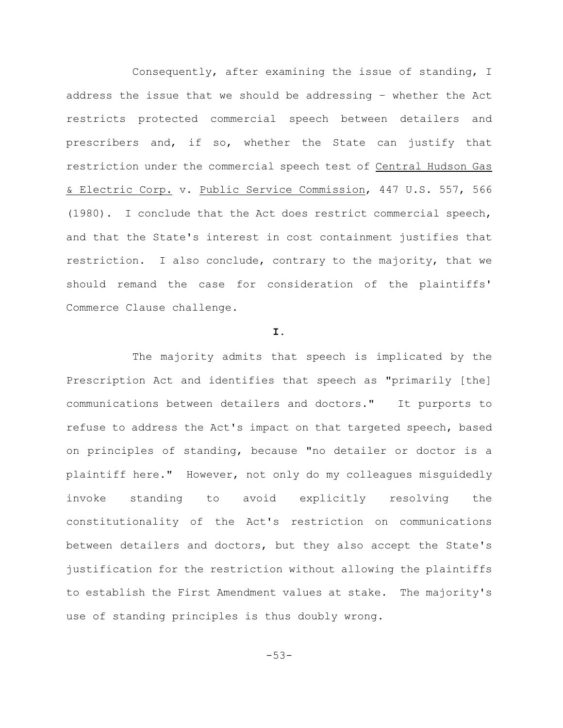Consequently, after examining the issue of standing, I address the issue that we should be addressing – whether the Act restricts protected commercial speech between detailers and prescribers and, if so, whether the State can justify that restriction under the commercial speech test of Central Hudson Gas & Electric Corp. v. Public Service Commission, 447 U.S. 557, 566 (1980). I conclude that the Act does restrict commercial speech, and that the State's interest in cost containment justifies that restriction. I also conclude, contrary to the majority, that we should remand the case for consideration of the plaintiffs' Commerce Clause challenge.

#### **I.**

The majority admits that speech is implicated by the Prescription Act and identifies that speech as "primarily [the] communications between detailers and doctors." It purports to refuse to address the Act's impact on that targeted speech, based on principles of standing, because "no detailer or doctor is a plaintiff here." However, not only do my colleagues misguidedly invoke standing to avoid explicitly resolving the constitutionality of the Act's restriction on communications between detailers and doctors, but they also accept the State's justification for the restriction without allowing the plaintiffs to establish the First Amendment values at stake. The majority's use of standing principles is thus doubly wrong.

-53-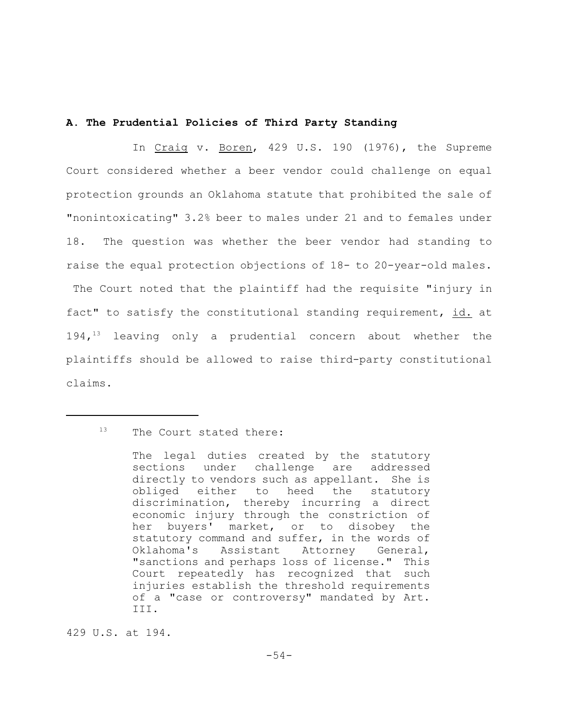# **A. The Prudential Policies of Third Party Standing**

In Craig v. Boren, 429 U.S. 190 (1976), the Supreme Court considered whether a beer vendor could challenge on equal protection grounds an Oklahoma statute that prohibited the sale of "nonintoxicating" 3.2% beer to males under 21 and to females under 18. The question was whether the beer vendor had standing to raise the equal protection objections of 18- to 20-year-old males. The Court noted that the plaintiff had the requisite "injury in fact" to satisfy the constitutional standing requirement, id. at  $194,$ <sup>13</sup> leaving only a prudential concern about whether the plaintiffs should be allowed to raise third-party constitutional claims.

429 U.S. at 194.

<sup>&</sup>lt;sup>13</sup> The Court stated there:

The legal duties created by the statutory sections under challenge are addressed directly to vendors such as appellant. She is obliged either to heed the statutory discrimination, thereby incurring a direct economic injury through the constriction of her buyers' market, or to disobey the statutory command and suffer, in the words of Oklahoma's Assistant Attorney General, "sanctions and perhaps loss of license." This Court repeatedly has recognized that such injuries establish the threshold requirements of a "case or controversy" mandated by Art. III.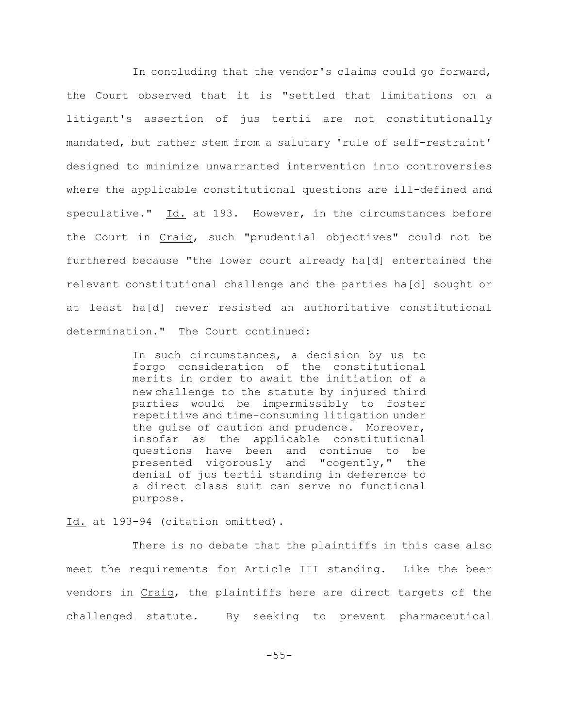In concluding that the vendor's claims could go forward, the Court observed that it is "settled that limitations on a litigant's assertion of jus tertii are not constitutionally mandated, but rather stem from a salutary 'rule of self-restraint' designed to minimize unwarranted intervention into controversies where the applicable constitutional questions are ill-defined and speculative." Id. at 193. However, in the circumstances before the Court in Craig, such "prudential objectives" could not be furthered because "the lower court already ha[d] entertained the relevant constitutional challenge and the parties ha[d] sought or at least ha[d] never resisted an authoritative constitutional determination." The Court continued:

> In such circumstances, a decision by us to forgo consideration of the constitutional merits in order to await the initiation of a new challenge to the statute by injured third parties would be impermissibly to foster repetitive and time-consuming litigation under the guise of caution and prudence. Moreover, insofar as the applicable constitutional questions have been and continue to be presented vigorously and "cogently," the denial of jus tertii standing in deference to a direct class suit can serve no functional purpose.

Id. at 193-94 (citation omitted).

There is no debate that the plaintiffs in this case also meet the requirements for Article III standing. Like the beer vendors in Craig, the plaintiffs here are direct targets of the challenged statute. By seeking to prevent pharmaceutical

-55-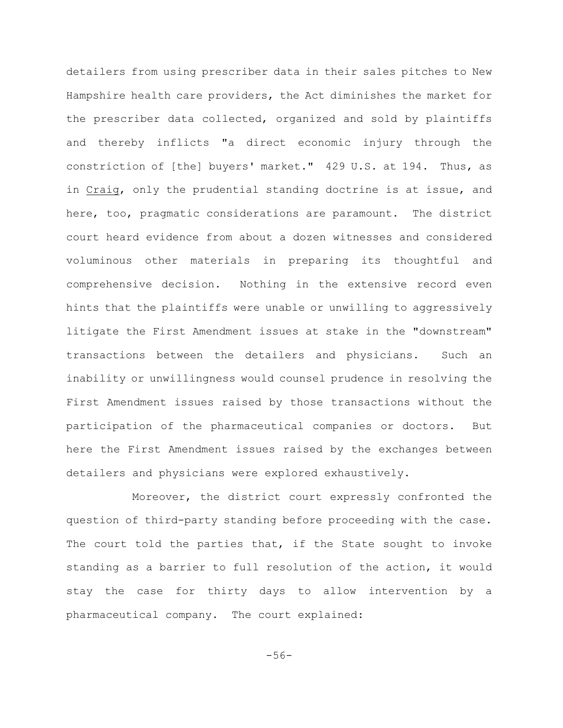detailers from using prescriber data in their sales pitches to New Hampshire health care providers, the Act diminishes the market for the prescriber data collected, organized and sold by plaintiffs and thereby inflicts "a direct economic injury through the constriction of [the] buyers' market." 429 U.S. at 194. Thus, as in Craig, only the prudential standing doctrine is at issue, and here, too, pragmatic considerations are paramount. The district court heard evidence from about a dozen witnesses and considered voluminous other materials in preparing its thoughtful and comprehensive decision. Nothing in the extensive record even hints that the plaintiffs were unable or unwilling to aggressively litigate the First Amendment issues at stake in the "downstream" transactions between the detailers and physicians. Such an inability or unwillingness would counsel prudence in resolving the First Amendment issues raised by those transactions without the participation of the pharmaceutical companies or doctors. But here the First Amendment issues raised by the exchanges between detailers and physicians were explored exhaustively.

Moreover, the district court expressly confronted the question of third-party standing before proceeding with the case. The court told the parties that, if the State sought to invoke standing as a barrier to full resolution of the action, it would stay the case for thirty days to allow intervention by a pharmaceutical company. The court explained:

-56-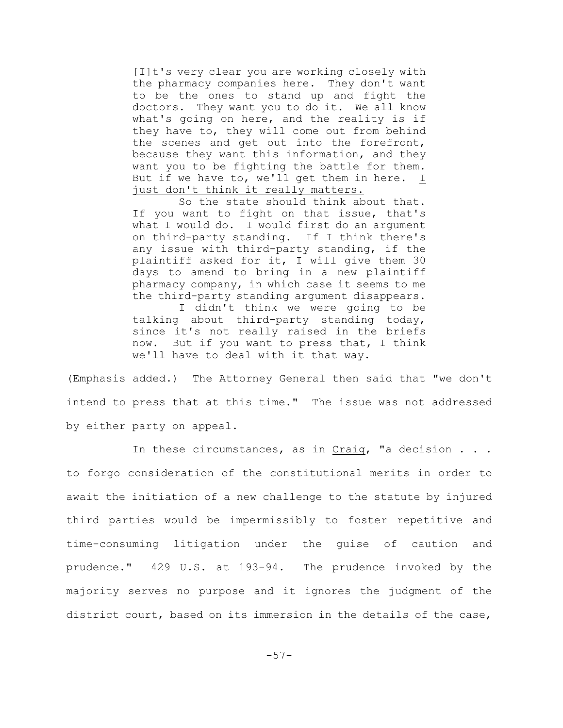[I]t's very clear you are working closely with the pharmacy companies here. They don't want to be the ones to stand up and fight the doctors. They want you to do it. We all know what's going on here, and the reality is if they have to, they will come out from behind the scenes and get out into the forefront, because they want this information, and they want you to be fighting the battle for them. But if we have to, we'll get them in here. I just don't think it really matters.

So the state should think about that. If you want to fight on that issue, that's what I would do. I would first do an argument on third-party standing. If I think there's any issue with third-party standing, if the plaintiff asked for it, I will give them 30 days to amend to bring in a new plaintiff pharmacy company, in which case it seems to me the third-party standing argument disappears.

I didn't think we were going to be talking about third-party standing today, since it's not really raised in the briefs now. But if you want to press that, I think we'll have to deal with it that way.

(Emphasis added.) The Attorney General then said that "we don't intend to press that at this time." The issue was not addressed by either party on appeal.

In these circumstances, as in  $Craig$ , "a decision . . . to forgo consideration of the constitutional merits in order to await the initiation of a new challenge to the statute by injured third parties would be impermissibly to foster repetitive and time-consuming litigation under the guise of caution and prudence." 429 U.S. at 193-94. The prudence invoked by the majority serves no purpose and it ignores the judgment of the district court, based on its immersion in the details of the case,

-57-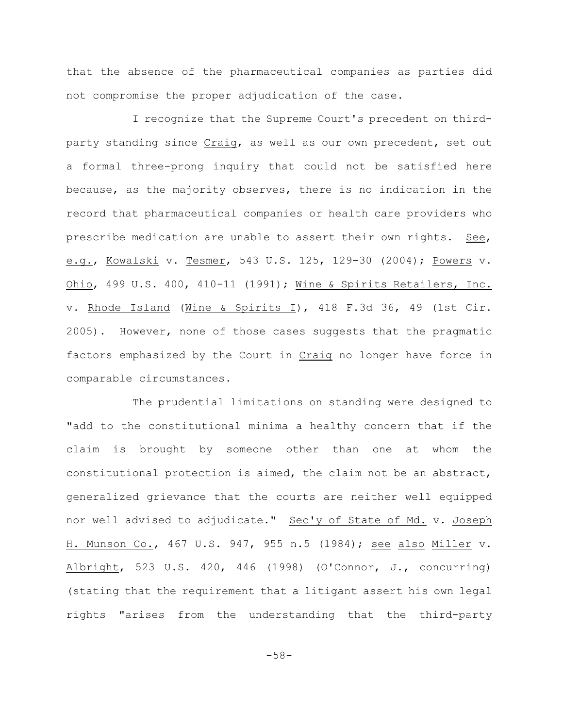that the absence of the pharmaceutical companies as parties did not compromise the proper adjudication of the case.

I recognize that the Supreme Court's precedent on thirdparty standing since Craig, as well as our own precedent, set out a formal three-prong inquiry that could not be satisfied here because, as the majority observes, there is no indication in the record that pharmaceutical companies or health care providers who prescribe medication are unable to assert their own rights. See, e.g., Kowalski v. Tesmer, 543 U.S. 125, 129-30 (2004); Powers v. Ohio, 499 U.S. 400, 410-11 (1991); Wine & Spirits Retailers, Inc. v. Rhode Island (Wine & Spirits I), 418 F.3d 36, 49 (1st Cir. 2005). However, none of those cases suggests that the pragmatic factors emphasized by the Court in Craig no longer have force in comparable circumstances.

The prudential limitations on standing were designed to "add to the constitutional minima a healthy concern that if the claim is brought by someone other than one at whom the constitutional protection is aimed, the claim not be an abstract, generalized grievance that the courts are neither well equipped nor well advised to adjudicate." Sec'y of State of Md. v. Joseph H. Munson Co., 467 U.S. 947, 955 n.5 (1984); see also Miller v. Albright, 523 U.S. 420, 446 (1998) (O'Connor, J., concurring) (stating that the requirement that a litigant assert his own legal rights "arises from the understanding that the third-party

-58-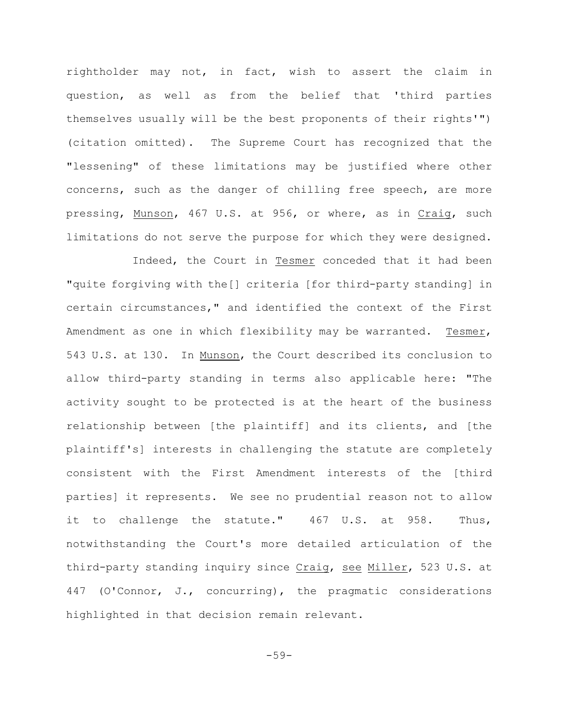rightholder may not, in fact, wish to assert the claim in question, as well as from the belief that 'third parties themselves usually will be the best proponents of their rights'") (citation omitted). The Supreme Court has recognized that the "lessening" of these limitations may be justified where other concerns, such as the danger of chilling free speech, are more pressing, Munson, 467 U.S. at 956, or where, as in Craig, such limitations do not serve the purpose for which they were designed.

Indeed, the Court in Tesmer conceded that it had been "quite forgiving with the[] criteria [for third-party standing] in certain circumstances," and identified the context of the First Amendment as one in which flexibility may be warranted. Tesmer, 543 U.S. at 130. In Munson, the Court described its conclusion to allow third-party standing in terms also applicable here: "The activity sought to be protected is at the heart of the business relationship between [the plaintiff] and its clients, and [the plaintiff's] interests in challenging the statute are completely consistent with the First Amendment interests of the [third parties] it represents. We see no prudential reason not to allow it to challenge the statute." 467 U.S. at 958. Thus, notwithstanding the Court's more detailed articulation of the third-party standing inquiry since Craig, see Miller, 523 U.S. at 447 (O'Connor, J., concurring), the pragmatic considerations highlighted in that decision remain relevant.

-59-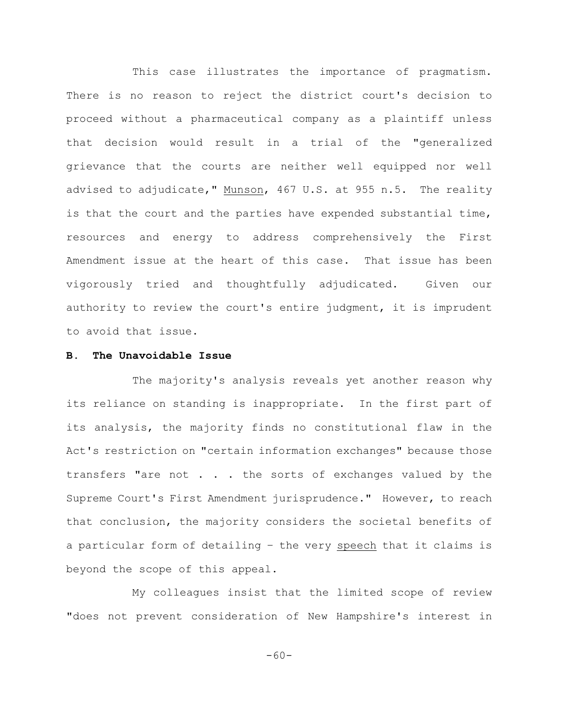This case illustrates the importance of pragmatism. There is no reason to reject the district court's decision to proceed without a pharmaceutical company as a plaintiff unless that decision would result in a trial of the "generalized grievance that the courts are neither well equipped nor well advised to adjudicate," Munson, 467 U.S. at 955 n.5. The reality is that the court and the parties have expended substantial time, resources and energy to address comprehensively the First Amendment issue at the heart of this case. That issue has been vigorously tried and thoughtfully adjudicated. Given our authority to review the court's entire judgment, it is imprudent to avoid that issue.

## **B. The Unavoidable Issue**

The majority's analysis reveals yet another reason why its reliance on standing is inappropriate. In the first part of its analysis, the majority finds no constitutional flaw in the Act's restriction on "certain information exchanges" because those transfers "are not . . . the sorts of exchanges valued by the Supreme Court's First Amendment jurisprudence." However, to reach that conclusion, the majority considers the societal benefits of a particular form of detailing – the very speech that it claims is beyond the scope of this appeal.

My colleagues insist that the limited scope of review "does not prevent consideration of New Hampshire's interest in

-60-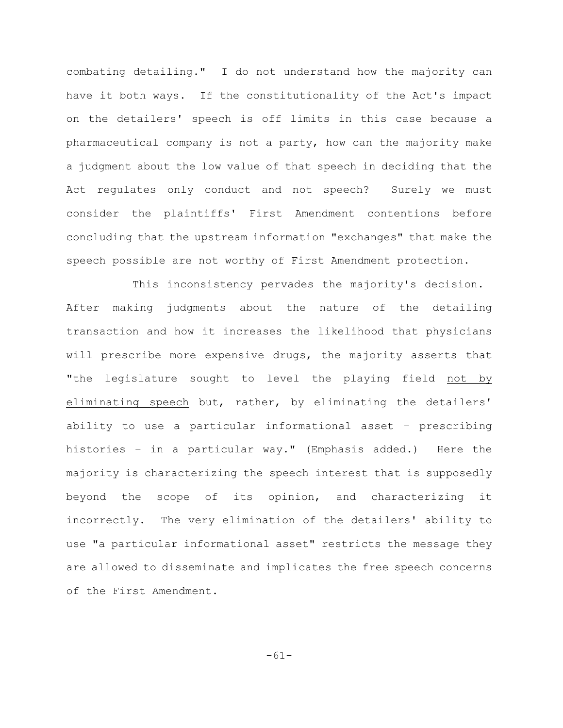combating detailing." I do not understand how the majority can have it both ways. If the constitutionality of the Act's impact on the detailers' speech is off limits in this case because a pharmaceutical company is not a party, how can the majority make a judgment about the low value of that speech in deciding that the Act regulates only conduct and not speech? Surely we must consider the plaintiffs' First Amendment contentions before concluding that the upstream information "exchanges" that make the speech possible are not worthy of First Amendment protection.

This inconsistency pervades the majority's decision. After making judgments about the nature of the detailing transaction and how it increases the likelihood that physicians will prescribe more expensive drugs, the majority asserts that "the legislature sought to level the playing field not by eliminating speech but, rather, by eliminating the detailers' ability to use a particular informational asset – prescribing histories – in a particular way." (Emphasis added.) Here the majority is characterizing the speech interest that is supposedly beyond the scope of its opinion, and characterizing it incorrectly. The very elimination of the detailers' ability to use "a particular informational asset" restricts the message they are allowed to disseminate and implicates the free speech concerns of the First Amendment.

-61-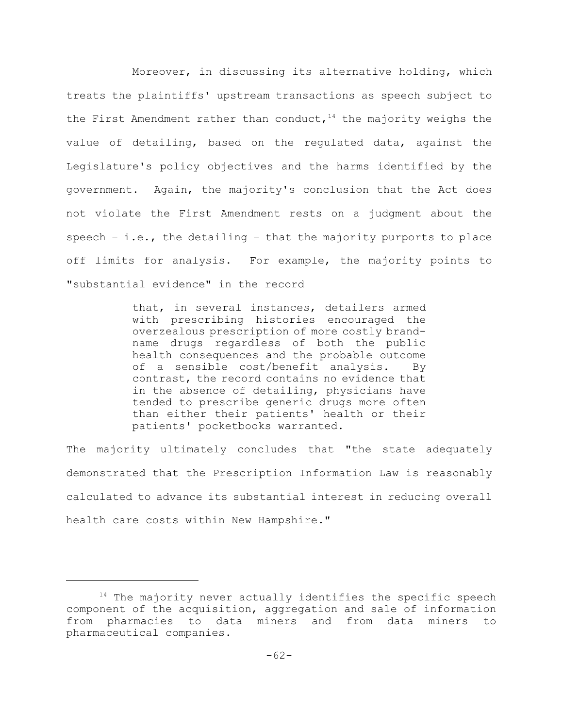Moreover, in discussing its alternative holding, which treats the plaintiffs' upstream transactions as speech subject to the First Amendment rather than conduct,  $14$  the majority weighs the value of detailing, based on the regulated data, against the Legislature's policy objectives and the harms identified by the government. Again, the majority's conclusion that the Act does not violate the First Amendment rests on a judgment about the speech  $-$  i.e., the detailing  $-$  that the majority purports to place off limits for analysis. For example, the majority points to "substantial evidence" in the record

> that, in several instances, detailers armed with prescribing histories encouraged the overzealous prescription of more costly brandname drugs regardless of both the public health consequences and the probable outcome of a sensible cost/benefit analysis. By contrast, the record contains no evidence that in the absence of detailing, physicians have tended to prescribe generic drugs more often than either their patients' health or their patients' pocketbooks warranted.

The majority ultimately concludes that "the state adequately demonstrated that the Prescription Information Law is reasonably calculated to advance its substantial interest in reducing overall health care costs within New Hampshire."

 $14$  The majority never actually identifies the specific speech component of the acquisition, aggregation and sale of information from pharmacies to data miners and from data miners to pharmaceutical companies.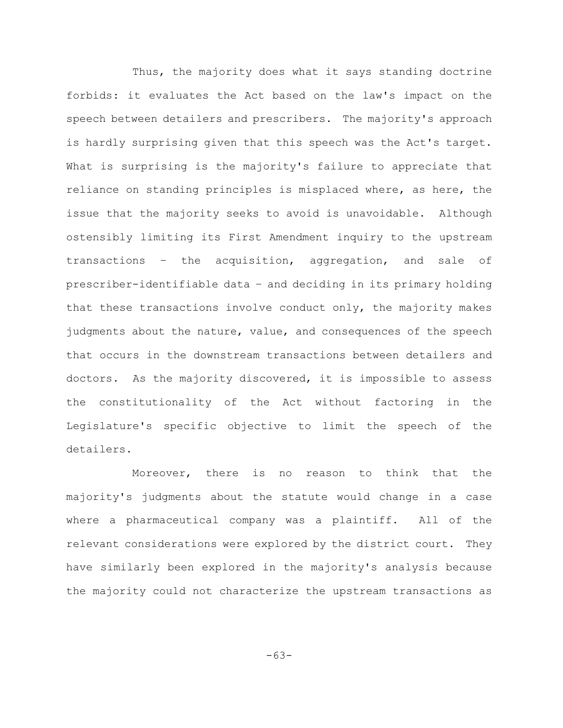Thus, the majority does what it says standing doctrine forbids: it evaluates the Act based on the law's impact on the speech between detailers and prescribers. The majority's approach is hardly surprising given that this speech was the Act's target. What is surprising is the majority's failure to appreciate that reliance on standing principles is misplaced where, as here, the issue that the majority seeks to avoid is unavoidable. Although ostensibly limiting its First Amendment inquiry to the upstream transactions – the acquisition, aggregation, and sale of prescriber-identifiable data – and deciding in its primary holding that these transactions involve conduct only, the majority makes judgments about the nature, value, and consequences of the speech that occurs in the downstream transactions between detailers and doctors. As the majority discovered, it is impossible to assess the constitutionality of the Act without factoring in the Legislature's specific objective to limit the speech of the detailers.

Moreover, there is no reason to think that the majority's judgments about the statute would change in a case where a pharmaceutical company was a plaintiff. All of the relevant considerations were explored by the district court. They have similarly been explored in the majority's analysis because the majority could not characterize the upstream transactions as

-63-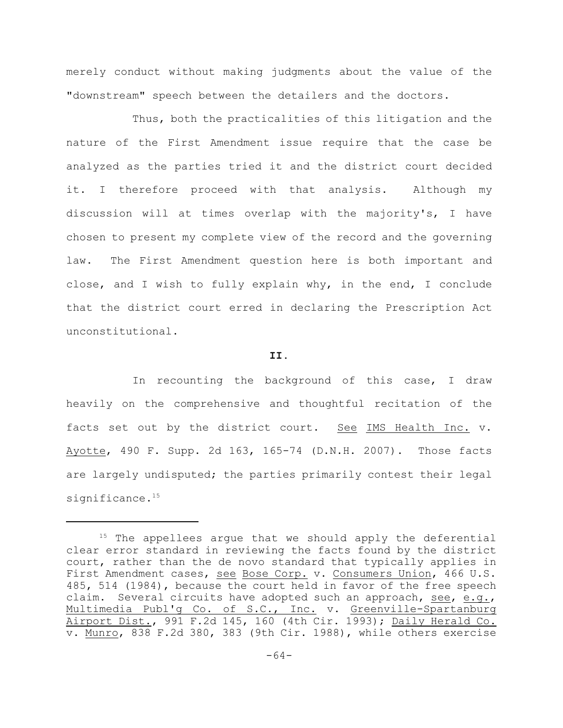merely conduct without making judgments about the value of the "downstream" speech between the detailers and the doctors.

Thus, both the practicalities of this litigation and the nature of the First Amendment issue require that the case be analyzed as the parties tried it and the district court decided it. I therefore proceed with that analysis. Although my discussion will at times overlap with the majority's, I have chosen to present my complete view of the record and the governing law. The First Amendment question here is both important and close, and I wish to fully explain why, in the end, I conclude that the district court erred in declaring the Prescription Act unconstitutional.

#### **II.**

In recounting the background of this case, I draw heavily on the comprehensive and thoughtful recitation of the facts set out by the district court. See IMS Health Inc. v. Ayotte, 490 F. Supp. 2d 163, 165-74 (D.N.H. 2007). Those facts are largely undisputed; the parties primarily contest their legal significance.<sup>15</sup>

 $15$  The appellees argue that we should apply the deferential clear error standard in reviewing the facts found by the district court, rather than the de novo standard that typically applies in First Amendment cases, see Bose Corp. v. Consumers Union, 466 U.S. 485, 514 (1984), because the court held in favor of the free speech claim. Several circuits have adopted such an approach, see, e.g., Multimedia Publ'g Co. of S.C., Inc. v. Greenville-Spartanburg Airport Dist., 991 F.2d 145, 160 (4th Cir. 1993); Daily Herald Co. v. Munro, 838 F.2d 380, 383 (9th Cir. 1988), while others exercise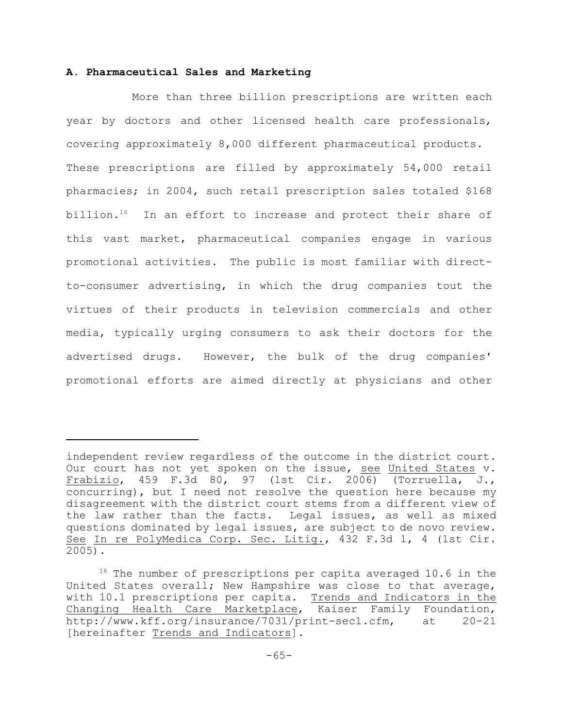# **A. Pharmaceutical Sales and Marketing**

More than three billion prescriptions are written each year by doctors and other licensed health care professionals, covering approximately 8,000 different pharmaceutical products. These prescriptions are filled by approximately 54,000 retail pharmacies; in 2004, such retail prescription sales totaled \$168 billion.<sup>16</sup> In an effort to increase and protect their share of this vast market, pharmaceutical companies engage in various promotional activities. The public is most familiar with directto-consumer advertising, in which the drug companies tout the virtues of their products in television commercials and other media, typically urging consumers to ask their doctors for the advertised drugs. However, the bulk of the drug companies' promotional efforts are aimed directly at physicians and other

independent review regardless of the outcome in the district court. Our court has not yet spoken on the issue, see United States v. Frabizio, 459 F.3d 80, 97 (1st Cir. 2006) (Torruella, J., concurring), but I need not resolve the question here because my disagreement with the district court stems from a different view of the law rather than the facts. Legal issues, as well as mixed questions dominated by legal issues, are subject to de novo review. See In re PolyMedica Corp. Sec. Litig., 432 F.3d 1, 4 (1st Cir. 2005).

 $16$  The number of prescriptions per capita averaged 10.6 in the United States overall; New Hampshire was close to that average, with 10.1 prescriptions per capita. Trends and Indicators in the Changing Health Care Marketplace, Kaiser Family Foundation, http://www.kff.org/insurance/7031/print-sec1.cfm, at 20-21 [hereinafter Trends and Indicators].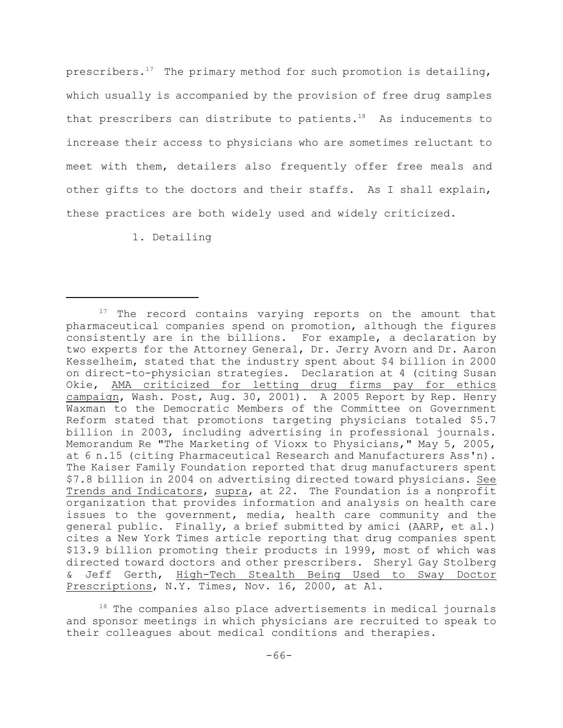prescribers.<sup>17</sup> The primary method for such promotion is detailing, which usually is accompanied by the provision of free drug samples that prescribers can distribute to patients.<sup>18</sup> As inducements to increase their access to physicians who are sometimes reluctant to meet with them, detailers also frequently offer free meals and other gifts to the doctors and their staffs. As I shall explain, these practices are both widely used and widely criticized.

1. Detailing

 $17$  The record contains varying reports on the amount that pharmaceutical companies spend on promotion, although the figures consistently are in the billions. For example, a declaration by two experts for the Attorney General, Dr. Jerry Avorn and Dr. Aaron Kesselheim, stated that the industry spent about \$4 billion in 2000 on direct-to-physician strategies. Declaration at 4 (citing Susan Okie, AMA criticized for letting drug firms pay for ethics campaign, Wash. Post, Aug. 30, 2001). A 2005 Report by Rep. Henry Waxman to the Democratic Members of the Committee on Government Reform stated that promotions targeting physicians totaled \$5.7 billion in 2003, including advertising in professional journals. Memorandum Re "The Marketing of Vioxx to Physicians," May 5, 2005, at 6 n.15 (citing Pharmaceutical Research and Manufacturers Ass'n). The Kaiser Family Foundation reported that drug manufacturers spent \$7.8 billion in 2004 on advertising directed toward physicians. See Trends and Indicators, supra, at 22. The Foundation is a nonprofit organization that provides information and analysis on health care issues to the government, media, health care community and the general public. Finally, a brief submitted by amici (AARP, et al.) cites a New York Times article reporting that drug companies spent \$13.9 billion promoting their products in 1999, most of which was directed toward doctors and other prescribers. Sheryl Gay Stolberg Jeff Gerth, High-Tech Stealth Being Used to Sway Doctor Prescriptions, N.Y. Times, Nov. 16, 2000, at A1.

 $18$  The companies also place advertisements in medical journals and sponsor meetings in which physicians are recruited to speak to their colleagues about medical conditions and therapies.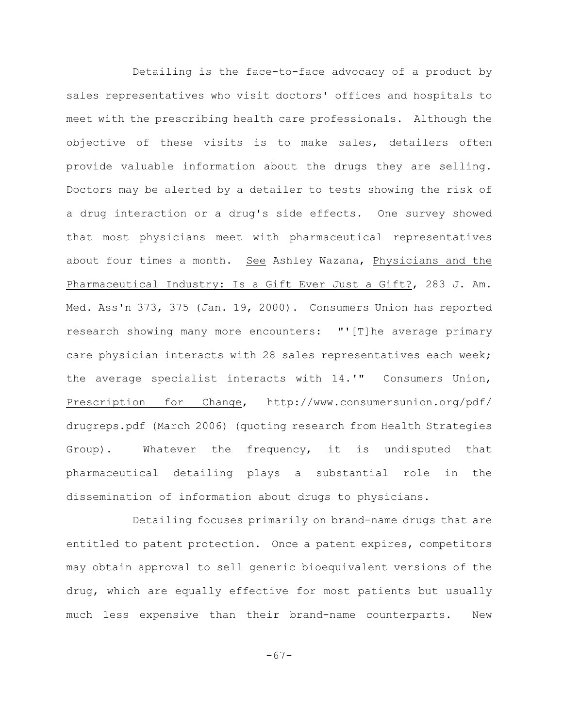Detailing is the face-to-face advocacy of a product by sales representatives who visit doctors' offices and hospitals to meet with the prescribing health care professionals. Although the objective of these visits is to make sales, detailers often provide valuable information about the drugs they are selling. Doctors may be alerted by a detailer to tests showing the risk of a drug interaction or a drug's side effects. One survey showed that most physicians meet with pharmaceutical representatives about four times a month. See Ashley Wazana, Physicians and the Pharmaceutical Industry: Is a Gift Ever Just a Gift?, 283 J. Am. Med. Ass'n 373, 375 (Jan. 19, 2000). Consumers Union has reported research showing many more encounters: "'[T]he average primary care physician interacts with 28 sales representatives each week; the average specialist interacts with 14.'" Consumers Union, Prescription for Change, http://www.consumersunion.org/pdf/ drugreps.pdf (March 2006) (quoting research from Health Strategies Group). Whatever the frequency, it is undisputed that pharmaceutical detailing plays a substantial role in the dissemination of information about drugs to physicians.

Detailing focuses primarily on brand-name drugs that are entitled to patent protection. Once a patent expires, competitors may obtain approval to sell generic bioequivalent versions of the drug, which are equally effective for most patients but usually much less expensive than their brand-name counterparts. New

-67-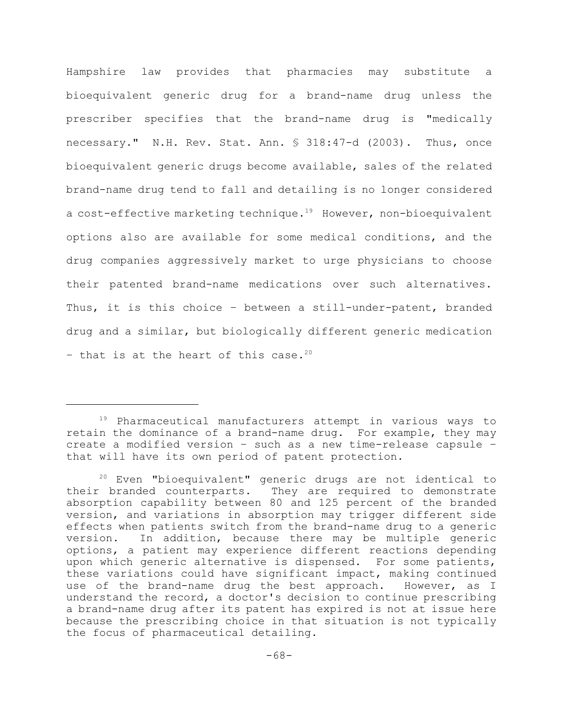Hampshire law provides that pharmacies may substitute a bioequivalent generic drug for a brand-name drug unless the prescriber specifies that the brand-name drug is "medically necessary." N.H. Rev. Stat. Ann. § 318:47-d (2003). Thus, once bioequivalent generic drugs become available, sales of the related brand-name drug tend to fall and detailing is no longer considered a cost-effective marketing technique.<sup>19</sup> However, non-bioequivalent options also are available for some medical conditions, and the drug companies aggressively market to urge physicians to choose their patented brand-name medications over such alternatives. Thus, it is this choice – between a still-under-patent, branded drug and a similar, but biologically different generic medication - that is at the heart of this case.<sup>20</sup>

 $19$  Pharmaceutical manufacturers attempt in various ways to retain the dominance of a brand-name drug. For example, they may create a modified version – such as a new time-release capsule – that will have its own period of patent protection.

 $20$  Even "bioequivalent" generic drugs are not identical to their branded counterparts. They are required to demonstrate absorption capability between 80 and 125 percent of the branded version, and variations in absorption may trigger different side effects when patients switch from the brand-name drug to a generic version. In addition, because there may be multiple generic options, a patient may experience different reactions depending upon which generic alternative is dispensed. For some patients, these variations could have significant impact, making continued use of the brand-name drug the best approach. However, as I understand the record, a doctor's decision to continue prescribing a brand-name drug after its patent has expired is not at issue here because the prescribing choice in that situation is not typically the focus of pharmaceutical detailing.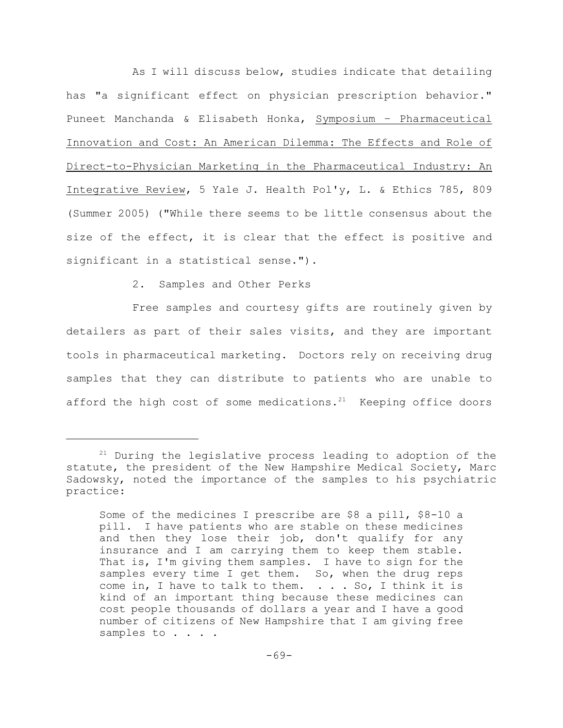As I will discuss below, studies indicate that detailing has "a significant effect on physician prescription behavior." Puneet Manchanda & Elisabeth Honka, Symposium - Pharmaceutical Innovation and Cost: An American Dilemma: The Effects and Role of Direct-to-Physician Marketing in the Pharmaceutical Industry: An Integrative Review, 5 Yale J. Health Pol'y, L. & Ethics 785, 809 (Summer 2005) ("While there seems to be little consensus about the size of the effect, it is clear that the effect is positive and significant in a statistical sense.").

2. Samples and Other Perks

Free samples and courtesy gifts are routinely given by detailers as part of their sales visits, and they are important tools in pharmaceutical marketing. Doctors rely on receiving drug samples that they can distribute to patients who are unable to afford the high cost of some medications.<sup>21</sup> Keeping office doors

 $21$  During the legislative process leading to adoption of the statute, the president of the New Hampshire Medical Society, Marc Sadowsky, noted the importance of the samples to his psychiatric practice:

Some of the medicines I prescribe are \$8 a pill, \$8-10 a pill. I have patients who are stable on these medicines and then they lose their job, don't qualify for any insurance and I am carrying them to keep them stable. That is, I'm giving them samples. I have to sign for the samples every time I get them. So, when the drug reps come in, I have to talk to them. . . . So, I think it is kind of an important thing because these medicines can cost people thousands of dollars a year and I have a good number of citizens of New Hampshire that I am giving free samples to . . . .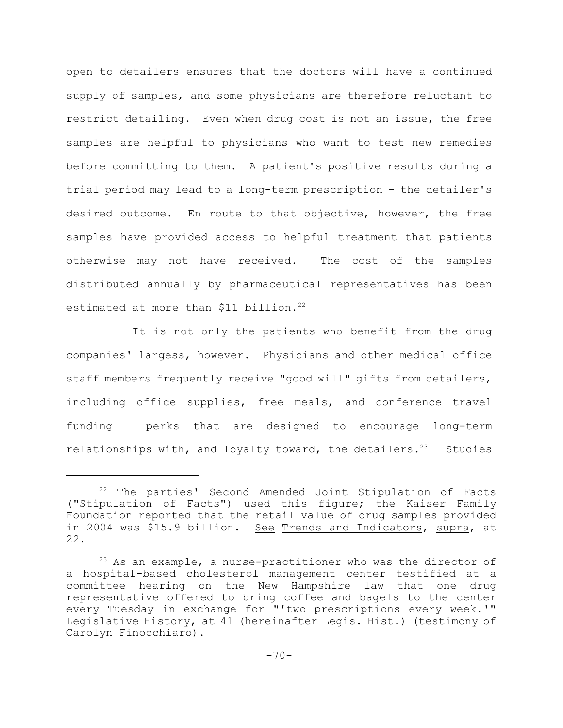open to detailers ensures that the doctors will have a continued supply of samples, and some physicians are therefore reluctant to restrict detailing. Even when drug cost is not an issue, the free samples are helpful to physicians who want to test new remedies before committing to them. A patient's positive results during a trial period may lead to a long-term prescription – the detailer's desired outcome. En route to that objective, however, the free samples have provided access to helpful treatment that patients otherwise may not have received. The cost of the samples distributed annually by pharmaceutical representatives has been estimated at more than \$11 billion.<sup>22</sup>

It is not only the patients who benefit from the drug companies' largess, however. Physicians and other medical office staff members frequently receive "good will" gifts from detailers, including office supplies, free meals, and conference travel funding – perks that are designed to encourage long-term relationships with, and loyalty toward, the detailers. $23$  Studies

 $22$  The parties' Second Amended Joint Stipulation of Facts ("Stipulation of Facts") used this figure; the Kaiser Family Foundation reported that the retail value of drug samples provided in 2004 was \$15.9 billion. See Trends and Indicators, supra, at 22.

 $23$  As an example, a nurse-practitioner who was the director of a hospital-based cholesterol management center testified at a committee hearing on the New Hampshire law that one drug representative offered to bring coffee and bagels to the center every Tuesday in exchange for "'two prescriptions every week.'" Legislative History, at 41 (hereinafter Legis. Hist.) (testimony of Carolyn Finocchiaro).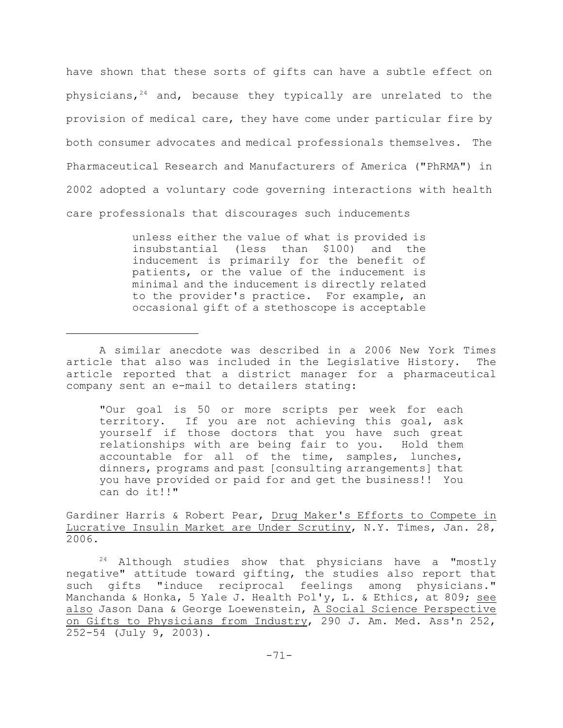have shown that these sorts of gifts can have a subtle effect on physicians,  $24$  and, because they typically are unrelated to the provision of medical care, they have come under particular fire by both consumer advocates and medical professionals themselves. The Pharmaceutical Research and Manufacturers of America ("PhRMA") in 2002 adopted a voluntary code governing interactions with health care professionals that discourages such inducements

> unless either the value of what is provided is insubstantial (less than \$100) and the inducement is primarily for the benefit of patients, or the value of the inducement is minimal and the inducement is directly related to the provider's practice. For example, an occasional gift of a stethoscope is acceptable

"Our goal is 50 or more scripts per week for each territory. If you are not achieving this goal, ask yourself if those doctors that you have such great relationships with are being fair to you. Hold them accountable for all of the time, samples, lunches, dinners, programs and past [consulting arrangements] that you have provided or paid for and get the business!! You can do it!!"

Gardiner Harris & Robert Pear, Drug Maker's Efforts to Compete in Lucrative Insulin Market are Under Scrutiny, N.Y. Times, Jan. 28, 2006.

 $24$  Although studies show that physicians have a "mostly negative" attitude toward gifting, the studies also report that such gifts "induce reciprocal feelings among physicians." Manchanda & Honka, 5 Yale J. Health Pol'y, L. & Ethics, at 809; see also Jason Dana & George Loewenstein, A Social Science Perspective on Gifts to Physicians from Industry, 290 J. Am. Med. Ass'n 252, 252-54 (July 9, 2003).

A similar anecdote was described in a 2006 New York Times article that also was included in the Legislative History. The article reported that a district manager for a pharmaceutical company sent an e-mail to detailers stating: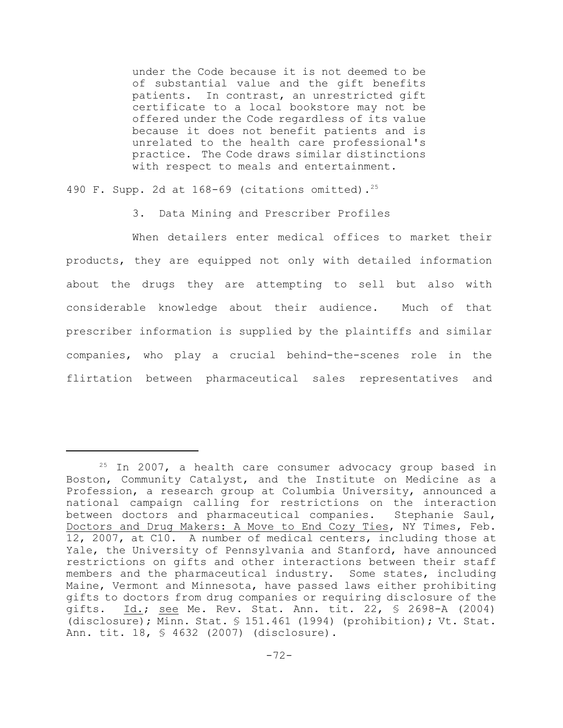under the Code because it is not deemed to be of substantial value and the gift benefits patients. In contrast, an unrestricted gift certificate to a local bookstore may not be offered under the Code regardless of its value because it does not benefit patients and is unrelated to the health care professional's practice. The Code draws similar distinctions with respect to meals and entertainment.

490 F. Supp. 2d at 168-69 (citations omitted).<sup>25</sup>

3. Data Mining and Prescriber Profiles

When detailers enter medical offices to market their products, they are equipped not only with detailed information about the drugs they are attempting to sell but also with considerable knowledge about their audience. Much of that prescriber information is supplied by the plaintiffs and similar companies, who play a crucial behind-the-scenes role in the flirtation between pharmaceutical sales representatives and

 $25$  In 2007, a health care consumer advocacy group based in Boston, Community Catalyst, and the Institute on Medicine as a Profession, a research group at Columbia University, announced a national campaign calling for restrictions on the interaction between doctors and pharmaceutical companies. Stephanie Saul, Doctors and Drug Makers: A Move to End Cozy Ties, NY Times, Feb. 12, 2007, at C10. A number of medical centers, including those at Yale, the University of Pennsylvania and Stanford, have announced restrictions on gifts and other interactions between their staff members and the pharmaceutical industry. Some states, including Maine, Vermont and Minnesota, have passed laws either prohibiting gifts to doctors from drug companies or requiring disclosure of the gifts. Id.; see Me. Rev. Stat. Ann. tit. 22, § 2698-A (2004) (disclosure); Minn. Stat. § 151.461 (1994) (prohibition); Vt. Stat. Ann. tit. 18, § 4632 (2007) (disclosure).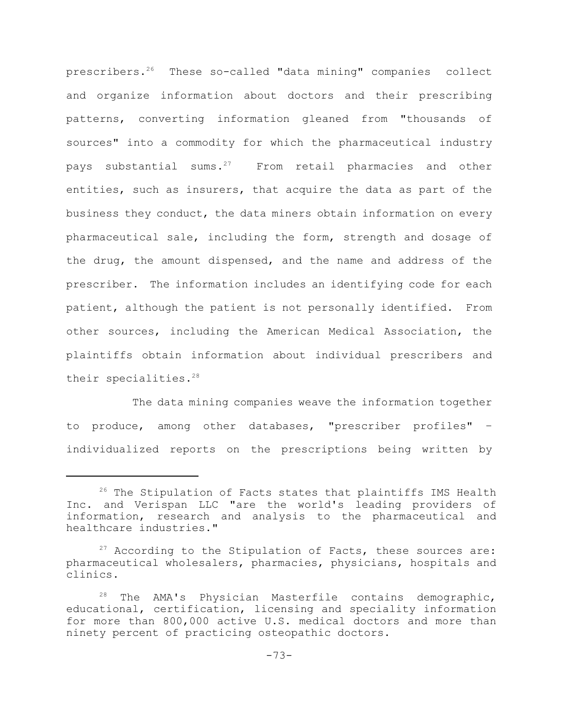prescribers.<sup>26</sup> These so-called "data mining" companies collect and organize information about doctors and their prescribing patterns, converting information gleaned from "thousands of sources" into a commodity for which the pharmaceutical industry pays substantial sums. $27$  From retail pharmacies and other entities, such as insurers, that acquire the data as part of the business they conduct, the data miners obtain information on every pharmaceutical sale, including the form, strength and dosage of the drug, the amount dispensed, and the name and address of the prescriber. The information includes an identifying code for each patient, although the patient is not personally identified. From other sources, including the American Medical Association, the plaintiffs obtain information about individual prescribers and their specialities.<sup>28</sup>

The data mining companies weave the information together to produce, among other databases, "prescriber profiles" – individualized reports on the prescriptions being written by

 $26$  The Stipulation of Facts states that plaintiffs IMS Health Inc. and Verispan LLC "are the world's leading providers of information, research and analysis to the pharmaceutical and healthcare industries."

 $27$  According to the Stipulation of Facts, these sources are: pharmaceutical wholesalers, pharmacies, physicians, hospitals and clinics.

 $28$  The AMA's Physician Masterfile contains demographic, educational, certification, licensing and speciality information for more than 800,000 active U.S. medical doctors and more than ninety percent of practicing osteopathic doctors.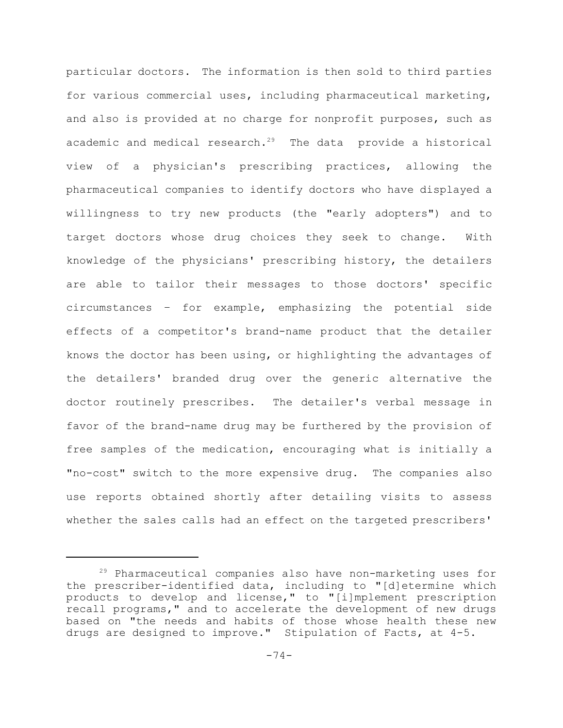particular doctors. The information is then sold to third parties for various commercial uses, including pharmaceutical marketing, and also is provided at no charge for nonprofit purposes, such as academic and medical research. $29$  The data provide a historical view of a physician's prescribing practices, allowing the pharmaceutical companies to identify doctors who have displayed a willingness to try new products (the "early adopters") and to target doctors whose drug choices they seek to change. With knowledge of the physicians' prescribing history, the detailers are able to tailor their messages to those doctors' specific circumstances – for example, emphasizing the potential side effects of a competitor's brand-name product that the detailer knows the doctor has been using, or highlighting the advantages of the detailers' branded drug over the generic alternative the doctor routinely prescribes. The detailer's verbal message in favor of the brand-name drug may be furthered by the provision of free samples of the medication, encouraging what is initially a "no-cost" switch to the more expensive drug. The companies also use reports obtained shortly after detailing visits to assess whether the sales calls had an effect on the targeted prescribers'

 $29$  Pharmaceutical companies also have non-marketing uses for the prescriber-identified data, including to "[d]etermine which products to develop and license," to "[i]mplement prescription recall programs," and to accelerate the development of new drugs based on "the needs and habits of those whose health these new drugs are designed to improve." Stipulation of Facts, at 4-5.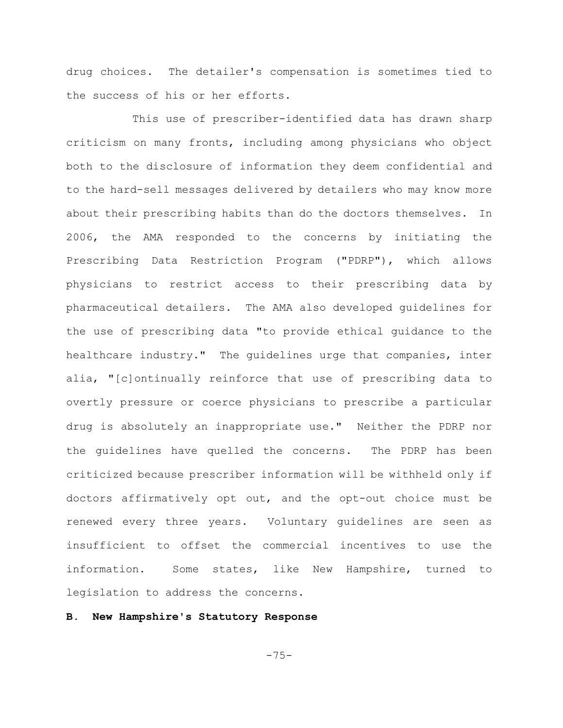drug choices. The detailer's compensation is sometimes tied to the success of his or her efforts.

This use of prescriber-identified data has drawn sharp criticism on many fronts, including among physicians who object both to the disclosure of information they deem confidential and to the hard-sell messages delivered by detailers who may know more about their prescribing habits than do the doctors themselves. In 2006, the AMA responded to the concerns by initiating the Prescribing Data Restriction Program ("PDRP"), which allows physicians to restrict access to their prescribing data by pharmaceutical detailers. The AMA also developed guidelines for the use of prescribing data "to provide ethical guidance to the healthcare industry." The guidelines urge that companies, inter alia, "[c]ontinually reinforce that use of prescribing data to overtly pressure or coerce physicians to prescribe a particular drug is absolutely an inappropriate use." Neither the PDRP nor the guidelines have quelled the concerns. The PDRP has been criticized because prescriber information will be withheld only if doctors affirmatively opt out, and the opt-out choice must be renewed every three years. Voluntary guidelines are seen as insufficient to offset the commercial incentives to use the information. Some states, like New Hampshire, turned to legislation to address the concerns.

# **B. New Hampshire's Statutory Response**

$$
-75-
$$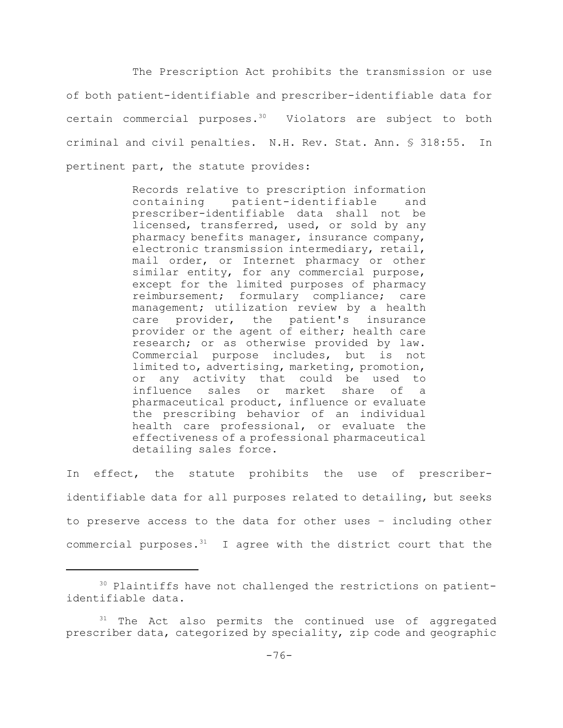The Prescription Act prohibits the transmission or use of both patient-identifiable and prescriber-identifiable data for certain commercial purposes. $30$  Violators are subject to both criminal and civil penalties. N.H. Rev. Stat. Ann. § 318:55. In pertinent part, the statute provides:

> Records relative to prescription information containing patient-identifiable and prescriber-identifiable data shall not be licensed, transferred, used, or sold by any pharmacy benefits manager, insurance company, electronic transmission intermediary, retail, mail order, or Internet pharmacy or other similar entity, for any commercial purpose, except for the limited purposes of pharmacy reimbursement; formulary compliance; care management; utilization review by a health care provider, the patient's insurance provider or the agent of either; health care research; or as otherwise provided by law. Commercial purpose includes, but is not limited to, advertising, marketing, promotion, or any activity that could be used to influence sales or market share of a pharmaceutical product, influence or evaluate the prescribing behavior of an individual health care professional, or evaluate the effectiveness of a professional pharmaceutical detailing sales force.

In effect, the statute prohibits the use of prescriberidentifiable data for all purposes related to detailing, but seeks to preserve access to the data for other uses – including other commercial purposes. $31$  I agree with the district court that the

<sup>&</sup>lt;sup>30</sup> Plaintiffs have not challenged the restrictions on patientidentifiable data.

 $31$  The Act also permits the continued use of aggregated prescriber data, categorized by speciality, zip code and geographic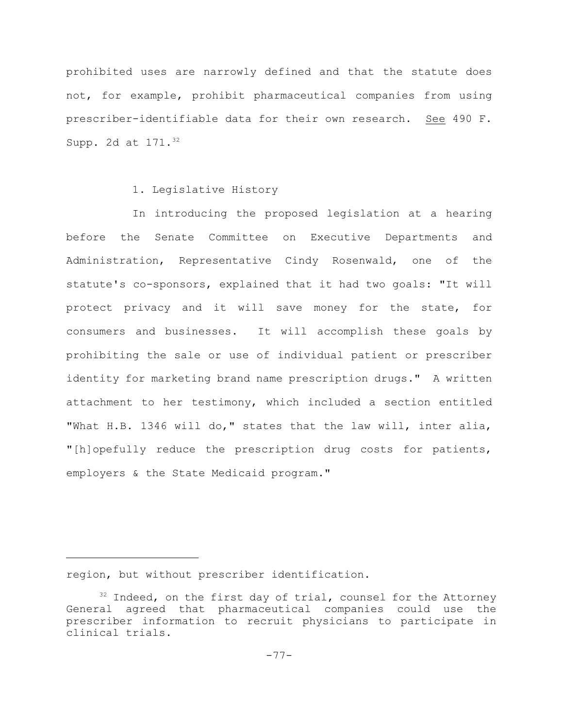prohibited uses are narrowly defined and that the statute does not, for example, prohibit pharmaceutical companies from using prescriber-identifiable data for their own research. See 490 F. Supp. 2d at 171.<sup>32</sup>

### 1. Legislative History

In introducing the proposed legislation at a hearing before the Senate Committee on Executive Departments and Administration, Representative Cindy Rosenwald, one of the statute's co-sponsors, explained that it had two goals: "It will protect privacy and it will save money for the state, for consumers and businesses. It will accomplish these goals by prohibiting the sale or use of individual patient or prescriber identity for marketing brand name prescription drugs." A written attachment to her testimony, which included a section entitled "What H.B. 1346 will do," states that the law will, inter alia, "[h]opefully reduce the prescription drug costs for patients, employers & the State Medicaid program."

region, but without prescriber identification.

 $32$  Indeed, on the first day of trial, counsel for the Attorney General agreed that pharmaceutical companies could use the prescriber information to recruit physicians to participate in clinical trials.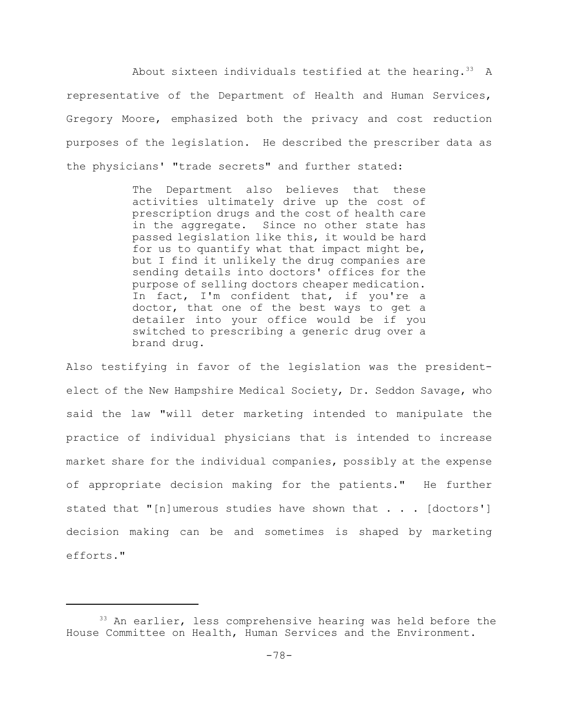About sixteen individuals testified at the hearing.  $33$  A representative of the Department of Health and Human Services, Gregory Moore, emphasized both the privacy and cost reduction purposes of the legislation. He described the prescriber data as the physicians' "trade secrets" and further stated:

> The Department also believes that these activities ultimately drive up the cost of prescription drugs and the cost of health care in the aggregate. Since no other state has passed legislation like this, it would be hard for us to quantify what that impact might be, but I find it unlikely the drug companies are sending details into doctors' offices for the purpose of selling doctors cheaper medication. In fact, I'm confident that, if you're a doctor, that one of the best ways to get a detailer into your office would be if you switched to prescribing a generic drug over a brand drug.

Also testifying in favor of the legislation was the presidentelect of the New Hampshire Medical Society, Dr. Seddon Savage, who said the law "will deter marketing intended to manipulate the practice of individual physicians that is intended to increase market share for the individual companies, possibly at the expense of appropriate decision making for the patients." He further stated that "[n]umerous studies have shown that  $\ldots$  [doctors'] decision making can be and sometimes is shaped by marketing efforts."

 $33$  An earlier, less comprehensive hearing was held before the House Committee on Health, Human Services and the Environment.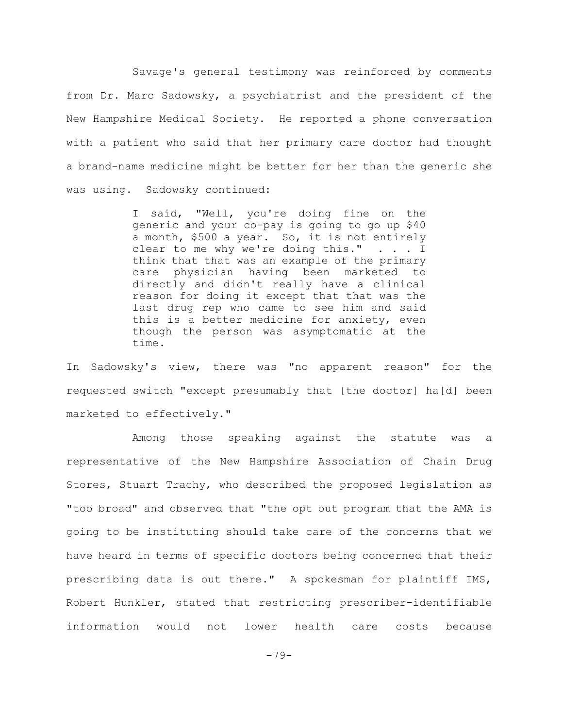Savage's general testimony was reinforced by comments from Dr. Marc Sadowsky, a psychiatrist and the president of the New Hampshire Medical Society. He reported a phone conversation with a patient who said that her primary care doctor had thought a brand-name medicine might be better for her than the generic she was using. Sadowsky continued:

> I said, "Well, you're doing fine on the generic and your co-pay is going to go up \$40 a month, \$500 a year. So, it is not entirely clear to me why we're doing this." . . . I think that that was an example of the primary care physician having been marketed to directly and didn't really have a clinical reason for doing it except that that was the last drug rep who came to see him and said this is a better medicine for anxiety, even though the person was asymptomatic at the time.

In Sadowsky's view, there was "no apparent reason" for the requested switch "except presumably that [the doctor] ha[d] been marketed to effectively."

Among those speaking against the statute was a representative of the New Hampshire Association of Chain Drug Stores, Stuart Trachy, who described the proposed legislation as "too broad" and observed that "the opt out program that the AMA is going to be instituting should take care of the concerns that we have heard in terms of specific doctors being concerned that their prescribing data is out there." A spokesman for plaintiff IMS, Robert Hunkler, stated that restricting prescriber-identifiable information would not lower health care costs because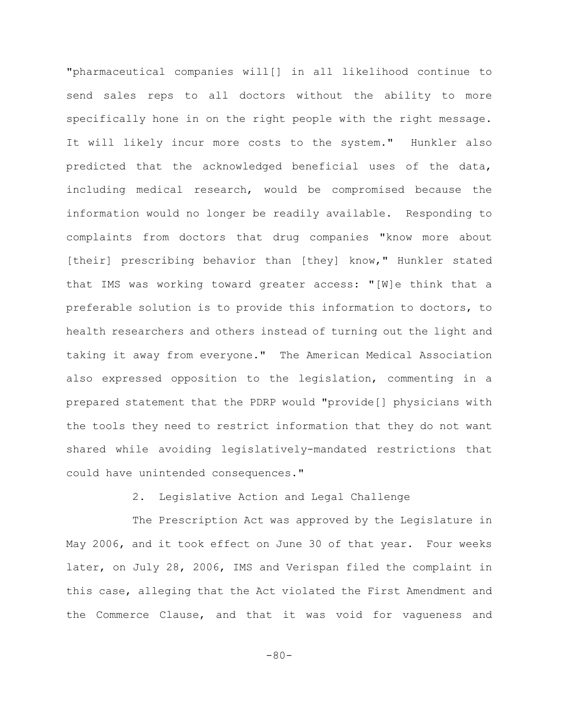"pharmaceutical companies will[] in all likelihood continue to send sales reps to all doctors without the ability to more specifically hone in on the right people with the right message. It will likely incur more costs to the system." Hunkler also predicted that the acknowledged beneficial uses of the data, including medical research, would be compromised because the information would no longer be readily available. Responding to complaints from doctors that drug companies "know more about [their] prescribing behavior than [they] know," Hunkler stated that IMS was working toward greater access: "[W]e think that a preferable solution is to provide this information to doctors, to health researchers and others instead of turning out the light and taking it away from everyone." The American Medical Association also expressed opposition to the legislation, commenting in a prepared statement that the PDRP would "provide[] physicians with the tools they need to restrict information that they do not want shared while avoiding legislatively-mandated restrictions that could have unintended consequences."

2. Legislative Action and Legal Challenge

The Prescription Act was approved by the Legislature in May 2006, and it took effect on June 30 of that year. Four weeks later, on July 28, 2006, IMS and Verispan filed the complaint in this case, alleging that the Act violated the First Amendment and the Commerce Clause, and that it was void for vagueness and

-80-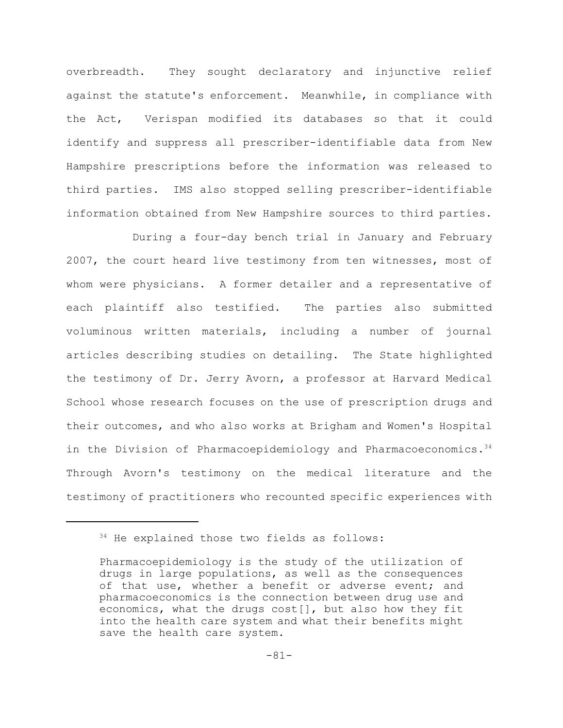overbreadth. They sought declaratory and injunctive relief against the statute's enforcement. Meanwhile, in compliance with the Act, Verispan modified its databases so that it could identify and suppress all prescriber-identifiable data from New Hampshire prescriptions before the information was released to third parties. IMS also stopped selling prescriber-identifiable information obtained from New Hampshire sources to third parties.

During a four-day bench trial in January and February 2007, the court heard live testimony from ten witnesses, most of whom were physicians. A former detailer and a representative of each plaintiff also testified. The parties also submitted voluminous written materials, including a number of journal articles describing studies on detailing. The State highlighted the testimony of Dr. Jerry Avorn, a professor at Harvard Medical School whose research focuses on the use of prescription drugs and their outcomes, and who also works at Brigham and Women's Hospital in the Division of Pharmacoepidemiology and Pharmacoeconomics.<sup>34</sup> Through Avorn's testimony on the medical literature and the testimony of practitioners who recounted specific experiences with

 $34$  He explained those two fields as follows:

Pharmacoepidemiology is the study of the utilization of drugs in large populations, as well as the consequences of that use, whether a benefit or adverse event; and pharmacoeconomics is the connection between drug use and economics, what the drugs cost[], but also how they fit into the health care system and what their benefits might save the health care system.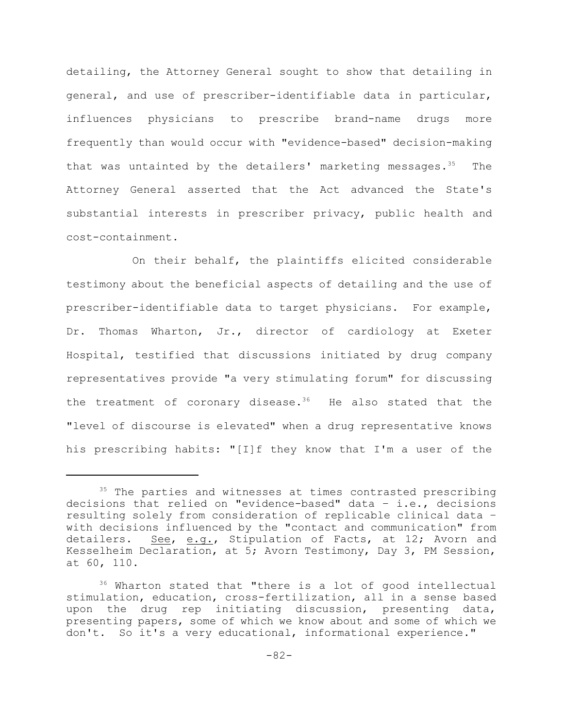detailing, the Attorney General sought to show that detailing in general, and use of prescriber-identifiable data in particular, influences physicians to prescribe brand-name drugs more frequently than would occur with "evidence-based" decision-making that was untainted by the detailers' marketing messages.  $35$  The Attorney General asserted that the Act advanced the State's substantial interests in prescriber privacy, public health and cost-containment.

On their behalf, the plaintiffs elicited considerable testimony about the beneficial aspects of detailing and the use of prescriber-identifiable data to target physicians. For example, Dr. Thomas Wharton, Jr., director of cardiology at Exeter Hospital, testified that discussions initiated by drug company representatives provide "a very stimulating forum" for discussing the treatment of coronary disease.<sup>36</sup> He also stated that the "level of discourse is elevated" when a drug representative knows his prescribing habits: "[I]f they know that I'm a user of the

 $35$  The parties and witnesses at times contrasted prescribing decisions that relied on "evidence-based" data – i.e., decisions resulting solely from consideration of replicable clinical data – with decisions influenced by the "contact and communication" from detailers. See, e.g., Stipulation of Facts, at 12; Avorn and Kesselheim Declaration, at 5; Avorn Testimony, Day 3, PM Session, at 60, 110.

 $36$  Wharton stated that "there is a lot of good intellectual stimulation, education, cross-fertilization, all in a sense based upon the drug rep initiating discussion, presenting data, presenting papers, some of which we know about and some of which we don't. So it's a very educational, informational experience."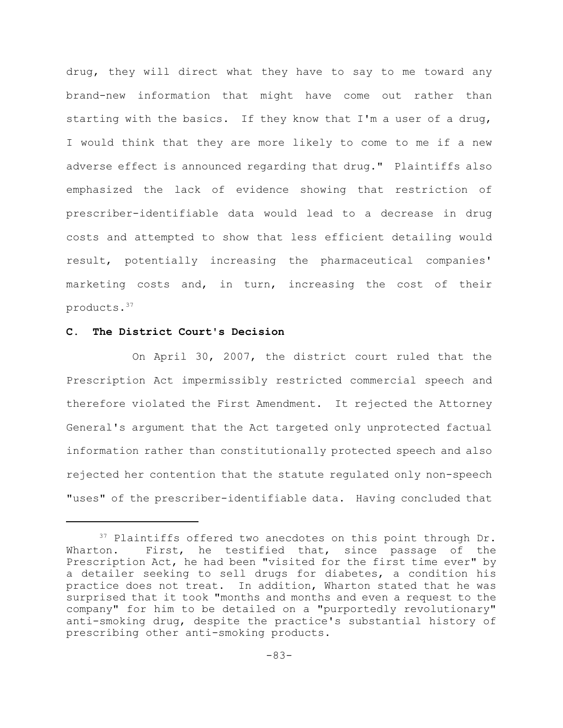drug, they will direct what they have to say to me toward any brand-new information that might have come out rather than starting with the basics. If they know that I'm a user of a drug, I would think that they are more likely to come to me if a new adverse effect is announced regarding that drug." Plaintiffs also emphasized the lack of evidence showing that restriction of prescriber-identifiable data would lead to a decrease in drug costs and attempted to show that less efficient detailing would result, potentially increasing the pharmaceutical companies' marketing costs and, in turn, increasing the cost of their products.<sup>37</sup>

## **C. The District Court's Decision**

On April 30, 2007, the district court ruled that the Prescription Act impermissibly restricted commercial speech and therefore violated the First Amendment. It rejected the Attorney General's argument that the Act targeted only unprotected factual information rather than constitutionally protected speech and also rejected her contention that the statute regulated only non-speech "uses" of the prescriber-identifiable data. Having concluded that

 $37$  Plaintiffs offered two anecdotes on this point through Dr. Wharton. First, he testified that, since passage of the Prescription Act, he had been "visited for the first time ever" by a detailer seeking to sell drugs for diabetes, a condition his practice does not treat. In addition, Wharton stated that he was surprised that it took "months and months and even a request to the company" for him to be detailed on a "purportedly revolutionary" anti-smoking drug, despite the practice's substantial history of prescribing other anti-smoking products.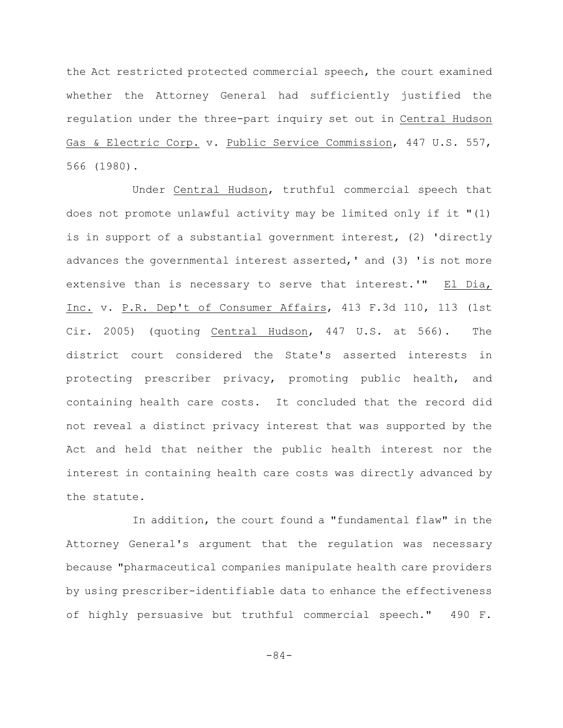the Act restricted protected commercial speech, the court examined whether the Attorney General had sufficiently justified the regulation under the three-part inquiry set out in Central Hudson Gas & Electric Corp. v. Public Service Commission, 447 U.S. 557, 566 (1980).

Under Central Hudson, truthful commercial speech that does not promote unlawful activity may be limited only if it "(1) is in support of a substantial government interest, (2) 'directly advances the governmental interest asserted,' and (3) 'is not more extensive than is necessary to serve that interest.'" El Dia, Inc. v. P.R. Dep't of Consumer Affairs, 413 F.3d 110, 113 (1st Cir. 2005) (quoting Central Hudson, 447 U.S. at 566). The district court considered the State's asserted interests in protecting prescriber privacy, promoting public health, and containing health care costs. It concluded that the record did not reveal a distinct privacy interest that was supported by the Act and held that neither the public health interest nor the interest in containing health care costs was directly advanced by the statute.

In addition, the court found a "fundamental flaw" in the Attorney General's argument that the regulation was necessary because "pharmaceutical companies manipulate health care providers by using prescriber-identifiable data to enhance the effectiveness of highly persuasive but truthful commercial speech." 490 F.

-84-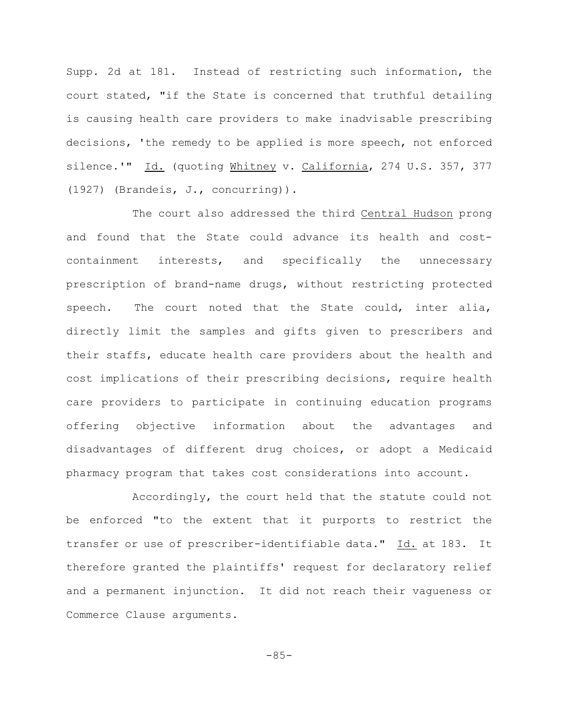Supp. 2d at 181. Instead of restricting such information, the court stated, "if the State is concerned that truthful detailing is causing health care providers to make inadvisable prescribing decisions, 'the remedy to be applied is more speech, not enforced silence.'" Id. (quoting Whitney v. California, 274 U.S. 357, 377 (1927) (Brandeis, J., concurring)).

The court also addressed the third Central Hudson prong and found that the State could advance its health and costcontainment interests, and specifically the unnecessary prescription of brand-name drugs, without restricting protected speech. The court noted that the State could, inter alia, directly limit the samples and gifts given to prescribers and their staffs, educate health care providers about the health and cost implications of their prescribing decisions, require health care providers to participate in continuing education programs offering objective information about the advantages and disadvantages of different drug choices, or adopt a Medicaid pharmacy program that takes cost considerations into account.

Accordingly, the court held that the statute could not be enforced "to the extent that it purports to restrict the transfer or use of prescriber-identifiable data." Id. at 183. It therefore granted the plaintiffs' request for declaratory relief and a permanent injunction. It did not reach their vagueness or Commerce Clause arguments.

$$
-85-
$$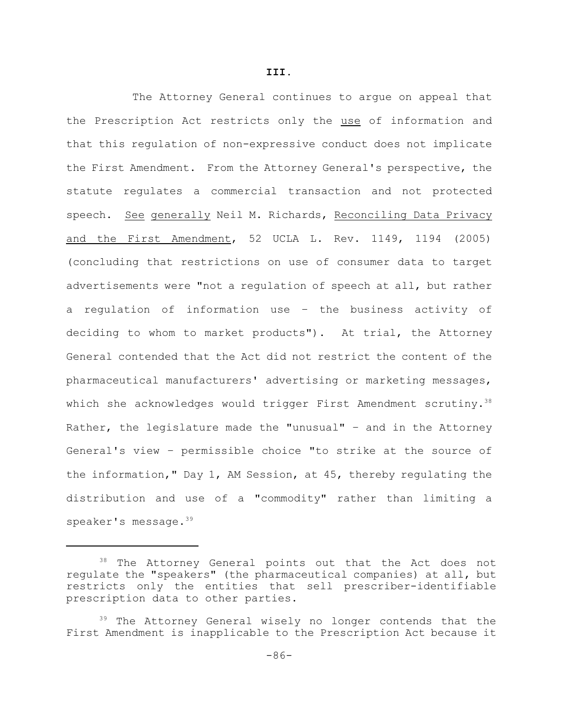**III.**

The Attorney General continues to argue on appeal that the Prescription Act restricts only the use of information and that this regulation of non-expressive conduct does not implicate the First Amendment. From the Attorney General's perspective, the statute regulates a commercial transaction and not protected speech. See generally Neil M. Richards, Reconciling Data Privacy and the First Amendment, 52 UCLA L. Rev. 1149, 1194 (2005) (concluding that restrictions on use of consumer data to target advertisements were "not a regulation of speech at all, but rather a regulation of information use – the business activity of deciding to whom to market products"). At trial, the Attorney General contended that the Act did not restrict the content of the pharmaceutical manufacturers' advertising or marketing messages, which she acknowledges would trigger First Amendment scrutiny.<sup>38</sup> Rather, the legislature made the "unusual" – and in the Attorney General's view – permissible choice "to strike at the source of the information," Day 1, AM Session, at 45, thereby regulating the distribution and use of a "commodity" rather than limiting a speaker's message.<sup>39</sup>

<sup>38</sup> The Attorney General points out that the Act does not regulate the "speakers" (the pharmaceutical companies) at all, but restricts only the entities that sell prescriber-identifiable prescription data to other parties.

<sup>&</sup>lt;sup>39</sup> The Attorney General wisely no longer contends that the First Amendment is inapplicable to the Prescription Act because it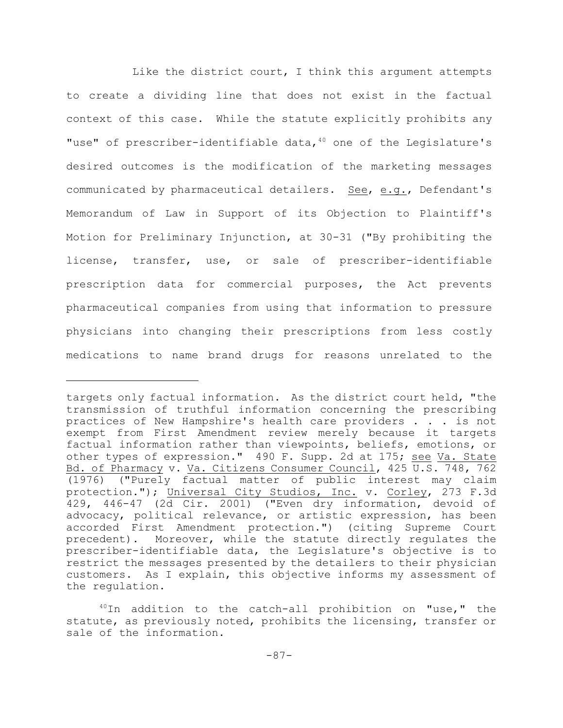Like the district court, I think this argument attempts to create a dividing line that does not exist in the factual context of this case. While the statute explicitly prohibits any "use" of prescriber-identifiable data, $40$  one of the Legislature's desired outcomes is the modification of the marketing messages communicated by pharmaceutical detailers. See, e.g., Defendant's Memorandum of Law in Support of its Objection to Plaintiff's Motion for Preliminary Injunction, at 30-31 ("By prohibiting the license, transfer, use, or sale of prescriber-identifiable prescription data for commercial purposes, the Act prevents pharmaceutical companies from using that information to pressure physicians into changing their prescriptions from less costly medications to name brand drugs for reasons unrelated to the

targets only factual information. As the district court held, "the transmission of truthful information concerning the prescribing practices of New Hampshire's health care providers . . . is not exempt from First Amendment review merely because it targets factual information rather than viewpoints, beliefs, emotions, or other types of expression." 490 F. Supp. 2d at 175; see Va. State Bd. of Pharmacy v. Va. Citizens Consumer Council, 425 U.S. 748, 762 (1976) ("Purely factual matter of public interest may claim protection."); Universal City Studios, Inc. v. Corley, 273 F.3d 429, 446-47 (2d Cir. 2001) ("Even dry information, devoid of advocacy, political relevance, or artistic expression, has been accorded First Amendment protection.") (citing Supreme Court precedent). Moreover, while the statute directly regulates the prescriber-identifiable data, the Legislature's objective is to restrict the messages presented by the detailers to their physician customers. As I explain, this objective informs my assessment of the regulation.

 $10$ In addition to the catch-all prohibition on "use," the statute, as previously noted, prohibits the licensing, transfer or sale of the information.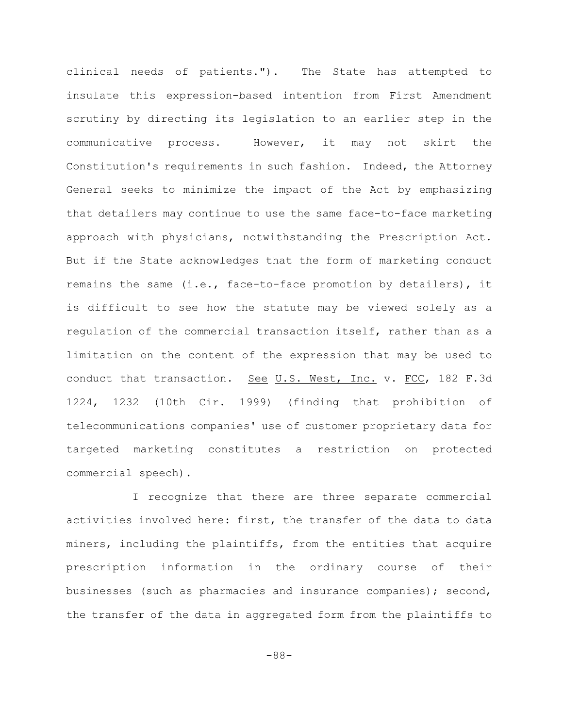clinical needs of patients."). The State has attempted to insulate this expression-based intention from First Amendment scrutiny by directing its legislation to an earlier step in the communicative process. However, it may not skirt the Constitution's requirements in such fashion. Indeed, the Attorney General seeks to minimize the impact of the Act by emphasizing that detailers may continue to use the same face-to-face marketing approach with physicians, notwithstanding the Prescription Act. But if the State acknowledges that the form of marketing conduct remains the same (i.e., face-to-face promotion by detailers), it is difficult to see how the statute may be viewed solely as a regulation of the commercial transaction itself, rather than as a limitation on the content of the expression that may be used to conduct that transaction. See U.S. West, Inc. v. FCC, 182 F.3d 1224, 1232 (10th Cir. 1999) (finding that prohibition of telecommunications companies' use of customer proprietary data for targeted marketing constitutes a restriction on protected commercial speech).

I recognize that there are three separate commercial activities involved here: first, the transfer of the data to data miners, including the plaintiffs, from the entities that acquire prescription information in the ordinary course of their businesses (such as pharmacies and insurance companies); second, the transfer of the data in aggregated form from the plaintiffs to

-88-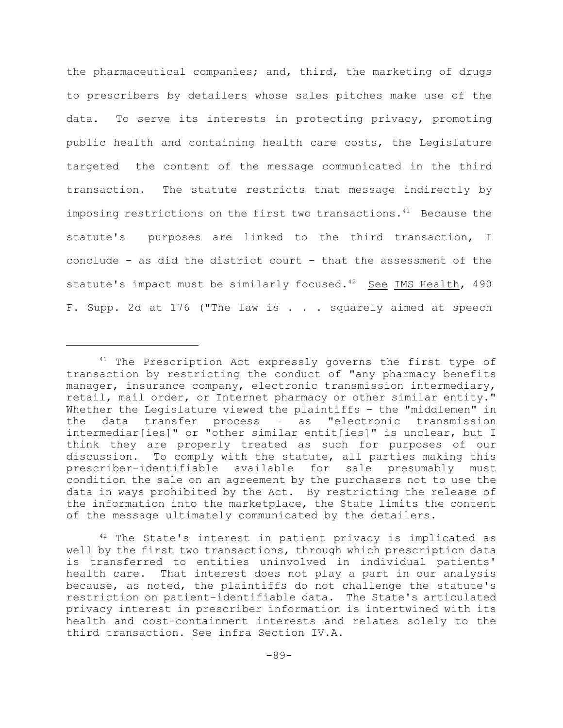the pharmaceutical companies; and, third, the marketing of drugs to prescribers by detailers whose sales pitches make use of the data. To serve its interests in protecting privacy, promoting public health and containing health care costs, the Legislature targeted the content of the message communicated in the third transaction. The statute restricts that message indirectly by imposing restrictions on the first two transactions. $41$  Because the statute's purposes are linked to the third transaction, I conclude – as did the district court – that the assessment of the statute's impact must be similarly focused.<sup>42</sup> See IMS Health, 490 F. Supp. 2d at 176 ("The law is . . . squarely aimed at speech

 $41$  The Prescription Act expressly governs the first type of transaction by restricting the conduct of "any pharmacy benefits manager, insurance company, electronic transmission intermediary, retail, mail order, or Internet pharmacy or other similar entity." Whether the Legislature viewed the plaintiffs – the "middlemen" in the data transfer process – as "electronic transmission intermediar[ies]" or "other similar entit[ies]" is unclear, but I think they are properly treated as such for purposes of our discussion. To comply with the statute, all parties making this prescriber-identifiable available for sale presumably must condition the sale on an agreement by the purchasers not to use the data in ways prohibited by the Act. By restricting the release of the information into the marketplace, the State limits the content of the message ultimately communicated by the detailers.

 $42$  The State's interest in patient privacy is implicated as well by the first two transactions, through which prescription data is transferred to entities uninvolved in individual patients' health care. That interest does not play a part in our analysis because, as noted, the plaintiffs do not challenge the statute's restriction on patient-identifiable data. The State's articulated privacy interest in prescriber information is intertwined with its health and cost-containment interests and relates solely to the third transaction. See infra Section IV.A.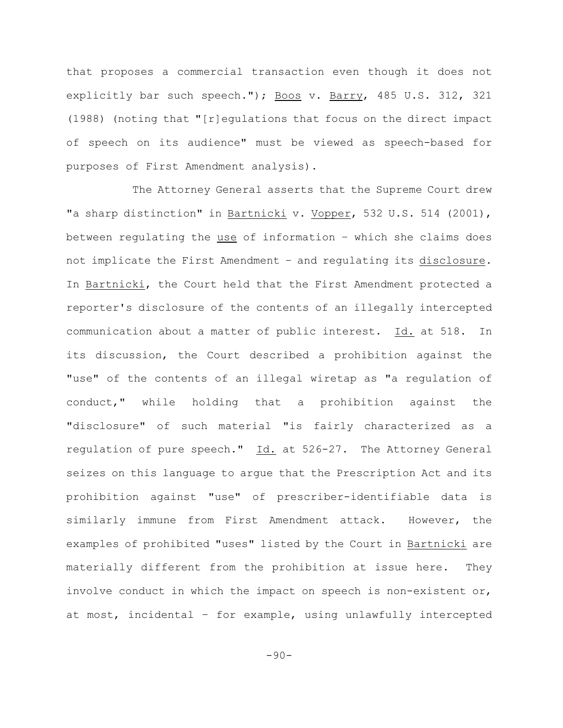that proposes a commercial transaction even though it does not explicitly bar such speech."); Boos v. Barry, 485 U.S. 312, 321 (1988) (noting that "[r]egulations that focus on the direct impact of speech on its audience" must be viewed as speech-based for purposes of First Amendment analysis).

The Attorney General asserts that the Supreme Court drew "a sharp distinction" in Bartnicki v. Vopper, 532 U.S. 514 (2001), between regulating the use of information – which she claims does not implicate the First Amendment – and regulating its disclosure. In Bartnicki, the Court held that the First Amendment protected a reporter's disclosure of the contents of an illegally intercepted communication about a matter of public interest. Id. at 518. In its discussion, the Court described a prohibition against the "use" of the contents of an illegal wiretap as "a regulation of conduct," while holding that a prohibition against the "disclosure" of such material "is fairly characterized as a regulation of pure speech." Id. at 526-27. The Attorney General seizes on this language to argue that the Prescription Act and its prohibition against "use" of prescriber-identifiable data is similarly immune from First Amendment attack. However, the examples of prohibited "uses" listed by the Court in Bartnicki are materially different from the prohibition at issue here. They involve conduct in which the impact on speech is non-existent or, at most, incidental – for example, using unlawfully intercepted

-90-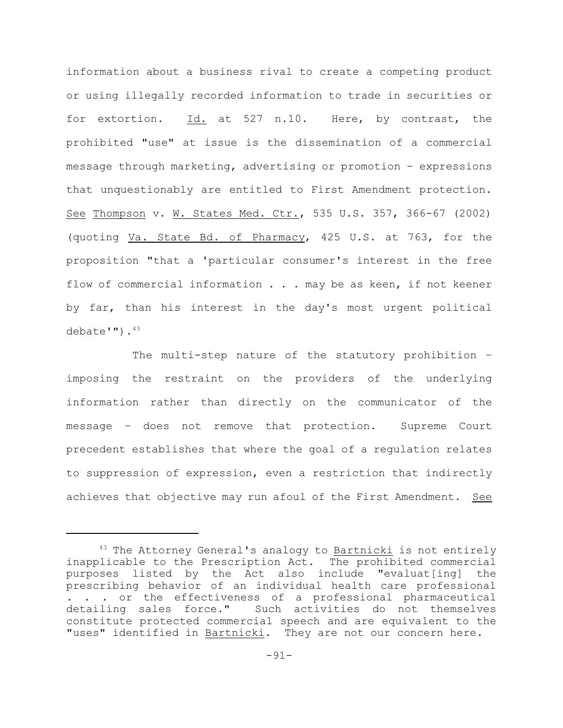information about a business rival to create a competing product or using illegally recorded information to trade in securities or for extortion. Id. at 527 n.10. Here, by contrast, the prohibited "use" at issue is the dissemination of a commercial message through marketing, advertising or promotion – expressions that unquestionably are entitled to First Amendment protection. See Thompson v. W. States Med. Ctr., 535 U.S. 357, 366-67 (2002) (quoting Va. State Bd. of Pharmacy, 425 U.S. at 763, for the proposition "that a 'particular consumer's interest in the free flow of commercial information . . . may be as keen, if not keener by far, than his interest in the day's most urgent political  $debate'''$ ). $43$ 

The multi-step nature of the statutory prohibition – imposing the restraint on the providers of the underlying information rather than directly on the communicator of the message – does not remove that protection. Supreme Court precedent establishes that where the goal of a regulation relates to suppression of expression, even a restriction that indirectly achieves that objective may run afoul of the First Amendment. See

 $43$  The Attorney General's analogy to Bartnicki is not entirely inapplicable to the Prescription Act. The prohibited commercial purposes listed by the Act also include "evaluat[ing] the prescribing behavior of an individual health care professional . . . or the effectiveness of a professional pharmaceutical detailing sales force." Such activities do not themselves constitute protected commercial speech and are equivalent to the "uses" identified in Bartnicki. They are not our concern here.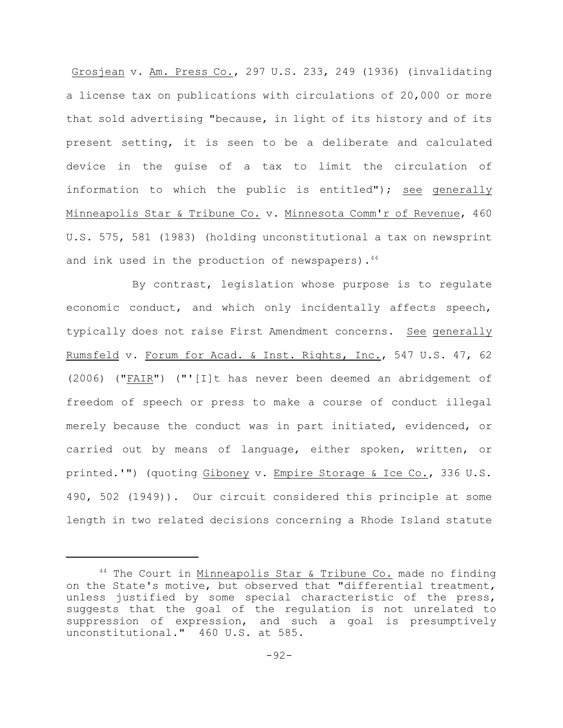Grosjean v. Am. Press Co., 297 U.S. 233, 249 (1936) (invalidating a license tax on publications with circulations of 20,000 or more that sold advertising "because, in light of its history and of its present setting, it is seen to be a deliberate and calculated device in the guise of a tax to limit the circulation of information to which the public is entitled"); see generally Minneapolis Star & Tribune Co. v. Minnesota Comm'r of Revenue, 460 U.S. 575, 581 (1983) (holding unconstitutional a tax on newsprint and ink used in the production of newspapers). $44$ 

By contrast, legislation whose purpose is to regulate economic conduct, and which only incidentally affects speech, typically does not raise First Amendment concerns. See generally Rumsfeld v. Forum for Acad. & Inst. Rights, Inc., 547 U.S. 47, 62 (2006) ("FAIR") ("'[I]t has never been deemed an abridgement of freedom of speech or press to make a course of conduct illegal merely because the conduct was in part initiated, evidenced, or carried out by means of language, either spoken, written, or printed.'") (quoting Giboney v. Empire Storage & Ice Co., 336 U.S. 490, 502 (1949)). Our circuit considered this principle at some length in two related decisions concerning a Rhode Island statute

 $44$  The Court in Minneapolis Star & Tribune Co. made no finding on the State's motive, but observed that "differential treatment, unless justified by some special characteristic of the press, suggests that the goal of the regulation is not unrelated to suppression of expression, and such a goal is presumptively unconstitutional." 460 U.S. at 585.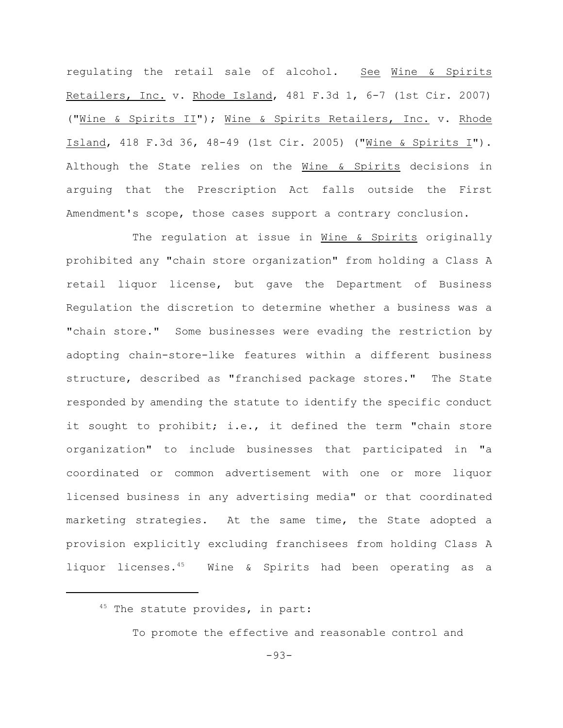regulating the retail sale of alcohol. See Wine & Spirits Retailers, Inc. v. Rhode Island, 481 F.3d 1, 6-7 (1st Cir. 2007) ("Wine & Spirits II"); Wine & Spirits Retailers, Inc. v. Rhode Island, 418 F.3d 36, 48-49 (1st Cir. 2005) ("Wine & Spirits I"). Although the State relies on the Wine & Spirits decisions in arguing that the Prescription Act falls outside the First Amendment's scope, those cases support a contrary conclusion.

The regulation at issue in Wine & Spirits originally prohibited any "chain store organization" from holding a Class A retail liquor license, but gave the Department of Business Regulation the discretion to determine whether a business was a "chain store." Some businesses were evading the restriction by adopting chain-store-like features within a different business structure, described as "franchised package stores." The State responded by amending the statute to identify the specific conduct it sought to prohibit; i.e., it defined the term "chain store organization" to include businesses that participated in "a coordinated or common advertisement with one or more liquor licensed business in any advertising media" or that coordinated marketing strategies. At the same time, the State adopted a provision explicitly excluding franchisees from holding Class A liquor licenses. $45$  Wine & Spirits had been operating as a

To promote the effective and reasonable control and

 $45$  The statute provides, in part: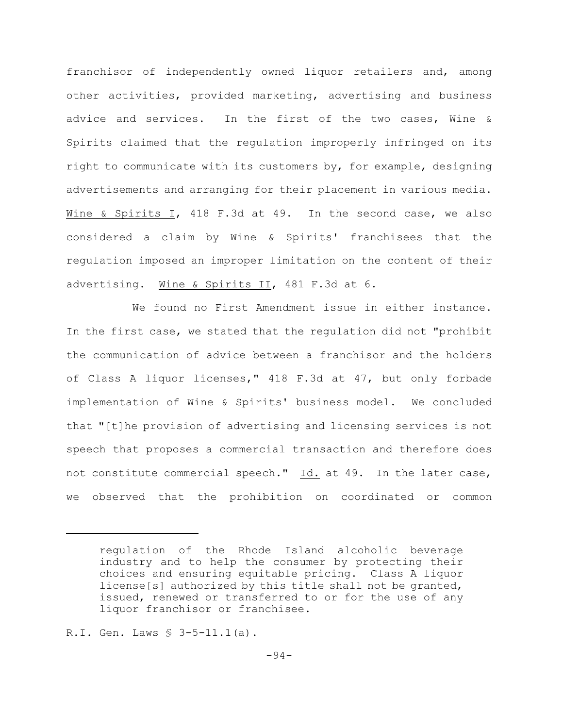franchisor of independently owned liquor retailers and, among other activities, provided marketing, advertising and business advice and services. In the first of the two cases, Wine & Spirits claimed that the regulation improperly infringed on its right to communicate with its customers by, for example, designing advertisements and arranging for their placement in various media. Wine & Spirits I, 418 F.3d at 49. In the second case, we also considered a claim by Wine & Spirits' franchisees that the regulation imposed an improper limitation on the content of their advertising. Wine & Spirits II, 481 F.3d at 6.

We found no First Amendment issue in either instance. In the first case, we stated that the regulation did not "prohibit the communication of advice between a franchisor and the holders of Class A liquor licenses," 418 F.3d at 47, but only forbade implementation of Wine & Spirits' business model. We concluded that "[t]he provision of advertising and licensing services is not speech that proposes a commercial transaction and therefore does not constitute commercial speech." Id. at 49. In the later case, we observed that the prohibition on coordinated or common

regulation of the Rhode Island alcoholic beverage industry and to help the consumer by protecting their choices and ensuring equitable pricing. Class A liquor license[s] authorized by this title shall not be granted, issued, renewed or transferred to or for the use of any liquor franchisor or franchisee.

R.I. Gen. Laws § 3-5-11.1(a).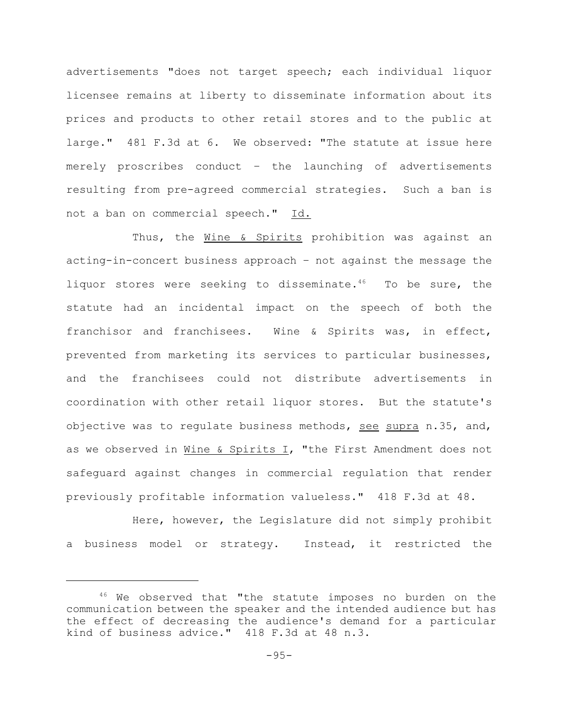advertisements "does not target speech; each individual liquor licensee remains at liberty to disseminate information about its prices and products to other retail stores and to the public at large." 481 F.3d at 6. We observed: "The statute at issue here merely proscribes conduct – the launching of advertisements resulting from pre-agreed commercial strategies. Such a ban is not a ban on commercial speech." Id.

Thus, the Wine & Spirits prohibition was against an acting-in-concert business approach – not against the message the liquor stores were seeking to disseminate.<sup>46</sup> To be sure, the statute had an incidental impact on the speech of both the franchisor and franchisees. Wine & Spirits was, in effect, prevented from marketing its services to particular businesses, and the franchisees could not distribute advertisements in coordination with other retail liquor stores. But the statute's objective was to regulate business methods, see supra n.35, and, as we observed in Wine & Spirits I, "the First Amendment does not safeguard against changes in commercial regulation that render previously profitable information valueless." 418 F.3d at 48.

Here, however, the Legislature did not simply prohibit a business model or strategy. Instead, it restricted the

 $46$  We observed that "the statute imposes no burden on the communication between the speaker and the intended audience but has the effect of decreasing the audience's demand for a particular kind of business advice." 418 F.3d at 48 n.3.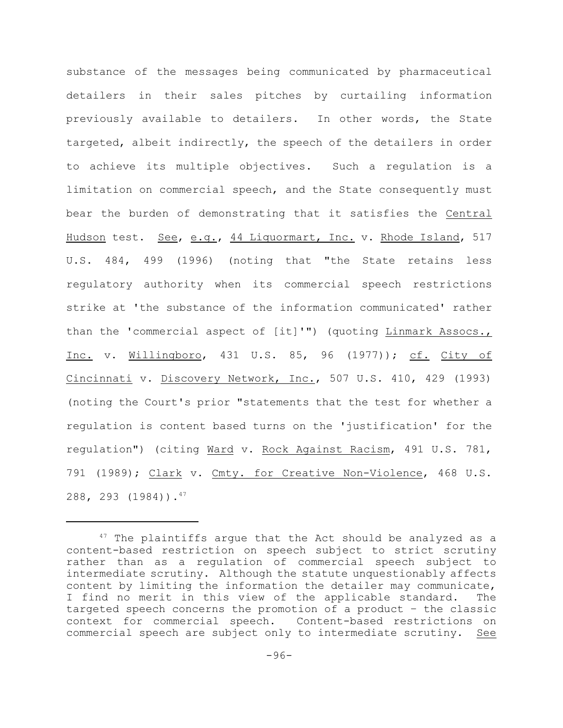substance of the messages being communicated by pharmaceutical detailers in their sales pitches by curtailing information previously available to detailers. In other words, the State targeted, albeit indirectly, the speech of the detailers in order to achieve its multiple objectives. Such a regulation is a limitation on commercial speech, and the State consequently must bear the burden of demonstrating that it satisfies the Central Hudson test. See, e.g., 44 Liquormart, Inc. v. Rhode Island, 517 U.S. 484, 499 (1996) (noting that "the State retains less regulatory authority when its commercial speech restrictions strike at 'the substance of the information communicated' rather than the 'commercial aspect of [it]'") (quoting Linmark Assocs., Inc. v. Willingboro, 431 U.S. 85, 96 (1977)); cf. City of Cincinnati v. Discovery Network, Inc., 507 U.S. 410, 429 (1993) (noting the Court's prior "statements that the test for whether a regulation is content based turns on the 'justification' for the regulation") (citing Ward v. Rock Against Racism, 491 U.S. 781, 791 (1989); Clark v. Cmty. for Creative Non-Violence, 468 U.S. 288, 293 (1984)).47

 $47$  The plaintiffs argue that the Act should be analyzed as a content-based restriction on speech subject to strict scrutiny rather than as a regulation of commercial speech subject to intermediate scrutiny. Although the statute unquestionably affects content by limiting the information the detailer may communicate, I find no merit in this view of the applicable standard. The targeted speech concerns the promotion of a product – the classic context for commercial speech. Content-based restrictions on commercial speech are subject only to intermediate scrutiny. See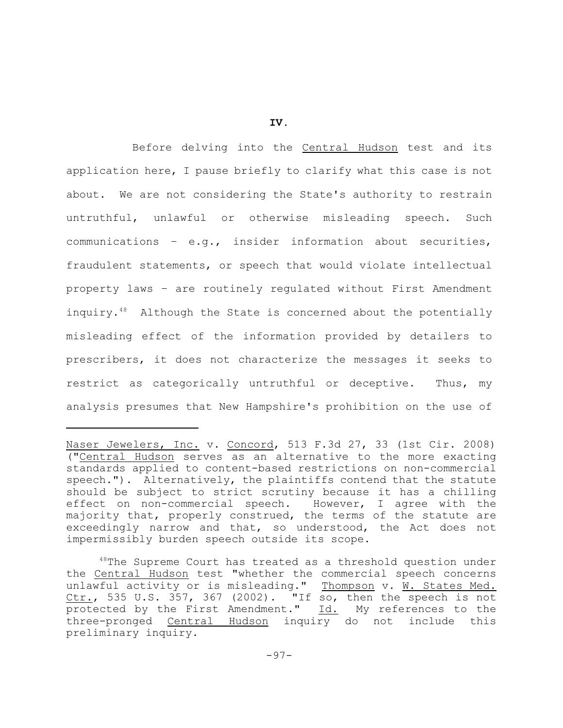**IV.**

Before delving into the Central Hudson test and its application here, I pause briefly to clarify what this case is not about. We are not considering the State's authority to restrain untruthful, unlawful or otherwise misleading speech. Such communications – e.g., insider information about securities, fraudulent statements, or speech that would violate intellectual property laws – are routinely regulated without First Amendment inquiry. $48$  Although the State is concerned about the potentially misleading effect of the information provided by detailers to prescribers, it does not characterize the messages it seeks to restrict as categorically untruthful or deceptive. Thus, my analysis presumes that New Hampshire's prohibition on the use of

Naser Jewelers, Inc. v. Concord, 513 F.3d 27, 33 (1st Cir. 2008) ("Central Hudson serves as an alternative to the more exacting standards applied to content-based restrictions on non-commercial speech."). Alternatively, the plaintiffs contend that the statute should be subject to strict scrutiny because it has a chilling effect on non-commercial speech. However, I agree with the majority that, properly construed, the terms of the statute are exceedingly narrow and that, so understood, the Act does not impermissibly burden speech outside its scope.

 $48$ The Supreme Court has treated as a threshold question under the Central Hudson test "whether the commercial speech concerns unlawful activity or is misleading." Thompson v. W. States Med. Ctr., 535 U.S. 357, 367 (2002). "If so, then the speech is not protected by the First Amendment."  $\underline{Id.}$  My references to the three-pronged Central Hudson inquiry do not include this preliminary inquiry.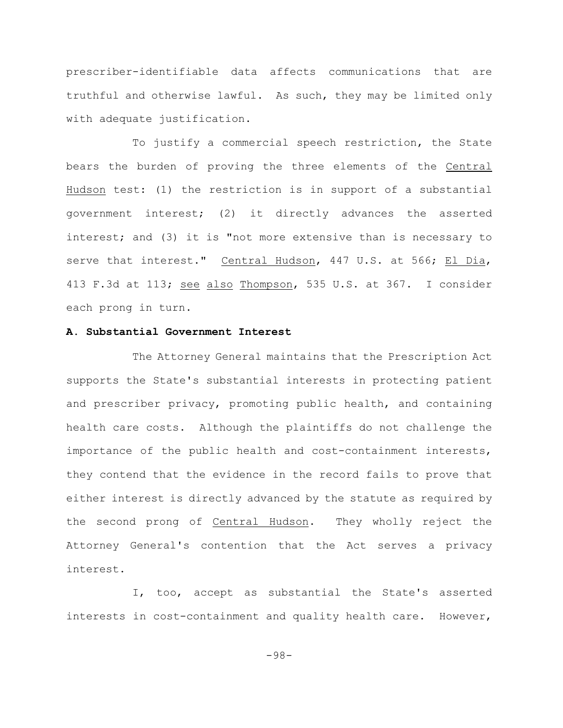prescriber-identifiable data affects communications that are truthful and otherwise lawful. As such, they may be limited only with adequate justification.

To justify a commercial speech restriction, the State bears the burden of proving the three elements of the Central Hudson test: (1) the restriction is in support of a substantial government interest; (2) it directly advances the asserted interest; and (3) it is "not more extensive than is necessary to serve that interest." Central Hudson, 447 U.S. at 566; El Dia, 413 F.3d at 113; see also Thompson, 535 U.S. at 367. I consider each prong in turn.

### **A. Substantial Government Interest**

The Attorney General maintains that the Prescription Act supports the State's substantial interests in protecting patient and prescriber privacy, promoting public health, and containing health care costs. Although the plaintiffs do not challenge the importance of the public health and cost-containment interests, they contend that the evidence in the record fails to prove that either interest is directly advanced by the statute as required by the second prong of Central Hudson. They wholly reject the Attorney General's contention that the Act serves a privacy interest.

I, too, accept as substantial the State's asserted interests in cost-containment and quality health care. However,

-98-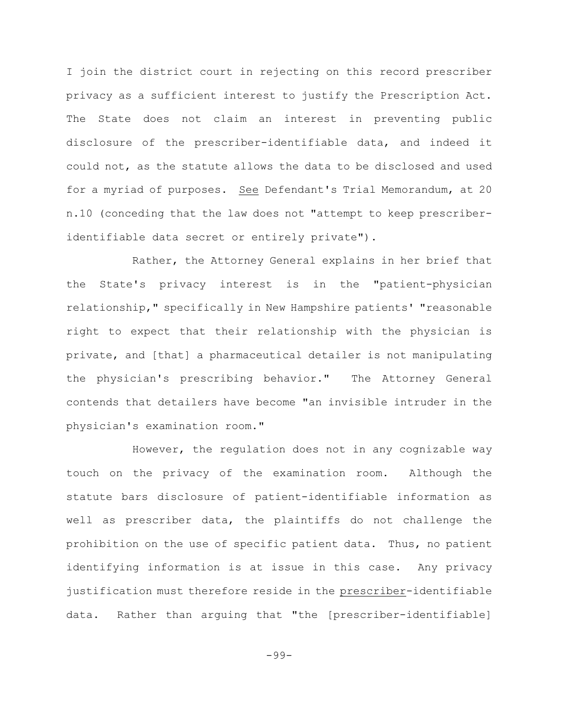I join the district court in rejecting on this record prescriber privacy as a sufficient interest to justify the Prescription Act. The State does not claim an interest in preventing public disclosure of the prescriber-identifiable data, and indeed it could not, as the statute allows the data to be disclosed and used for a myriad of purposes. See Defendant's Trial Memorandum, at 20 n.10 (conceding that the law does not "attempt to keep prescriberidentifiable data secret or entirely private").

Rather, the Attorney General explains in her brief that the State's privacy interest is in the "patient-physician relationship," specifically in New Hampshire patients' "reasonable right to expect that their relationship with the physician is private, and [that] a pharmaceutical detailer is not manipulating the physician's prescribing behavior." The Attorney General contends that detailers have become "an invisible intruder in the physician's examination room."

However, the regulation does not in any cognizable way touch on the privacy of the examination room. Although the statute bars disclosure of patient-identifiable information as well as prescriber data, the plaintiffs do not challenge the prohibition on the use of specific patient data. Thus, no patient identifying information is at issue in this case. Any privacy justification must therefore reside in the prescriber-identifiable data. Rather than arguing that "the [prescriber-identifiable]

-99-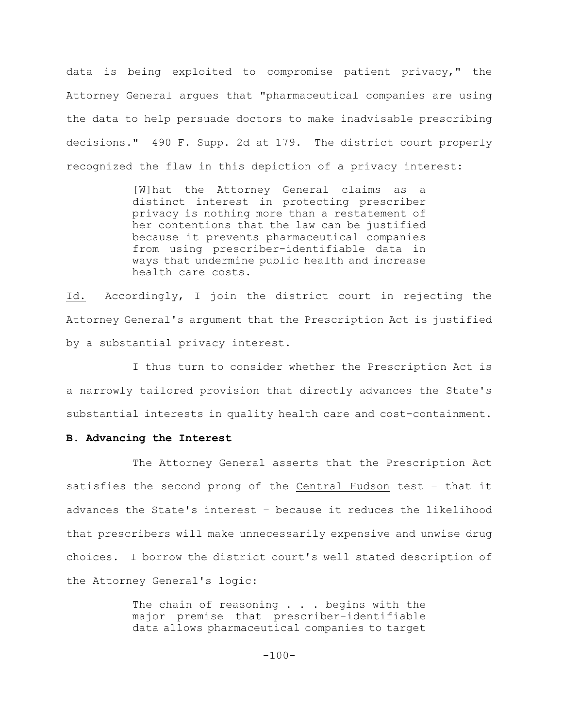data is being exploited to compromise patient privacy," the Attorney General argues that "pharmaceutical companies are using the data to help persuade doctors to make inadvisable prescribing decisions." 490 F. Supp. 2d at 179. The district court properly recognized the flaw in this depiction of a privacy interest:

> [W]hat the Attorney General claims as a distinct interest in protecting prescriber privacy is nothing more than a restatement of her contentions that the law can be justified because it prevents pharmaceutical companies from using prescriber-identifiable data in ways that undermine public health and increase health care costs.

Id. Accordingly, I join the district court in rejecting the Attorney General's argument that the Prescription Act is justified by a substantial privacy interest.

I thus turn to consider whether the Prescription Act is a narrowly tailored provision that directly advances the State's substantial interests in quality health care and cost-containment.

### **B. Advancing the Interest**

The Attorney General asserts that the Prescription Act satisfies the second prong of the Central Hudson test – that it advances the State's interest – because it reduces the likelihood that prescribers will make unnecessarily expensive and unwise drug choices. I borrow the district court's well stated description of the Attorney General's logic:

> The chain of reasoning . . . begins with the major premise that prescriber-identifiable data allows pharmaceutical companies to target

> > $-100-$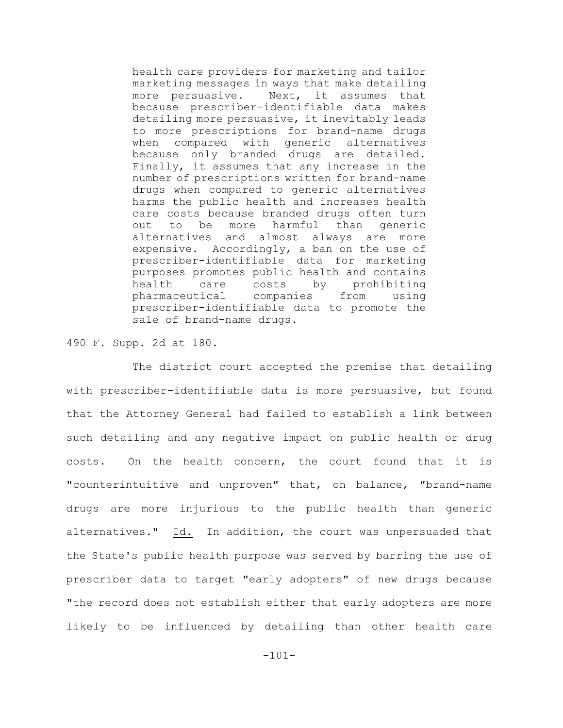health care providers for marketing and tailor marketing messages in ways that make detailing more persuasive. Next, it assumes that because prescriber-identifiable data makes detailing more persuasive, it inevitably leads to more prescriptions for brand-name drugs when compared with generic alternatives because only branded drugs are detailed. Finally, it assumes that any increase in the number of prescriptions written for brand-name drugs when compared to generic alternatives harms the public health and increases health care costs because branded drugs often turn out to be more harmful than generic alternatives and almost always are more expensive. Accordingly, a ban on the use of prescriber-identifiable data for marketing purposes promotes public health and contains health care costs by prohibiting pharmaceutical companies from using prescriber-identifiable data to promote the sale of brand-name drugs.

490 F. Supp. 2d at 180.

The district court accepted the premise that detailing with prescriber-identifiable data is more persuasive, but found that the Attorney General had failed to establish a link between such detailing and any negative impact on public health or drug costs. On the health concern, the court found that it is "counterintuitive and unproven" that, on balance, "brand-name drugs are more injurious to the public health than generic alternatives." Id. In addition, the court was unpersuaded that the State's public health purpose was served by barring the use of prescriber data to target "early adopters" of new drugs because "the record does not establish either that early adopters are more likely to be influenced by detailing than other health care

-101-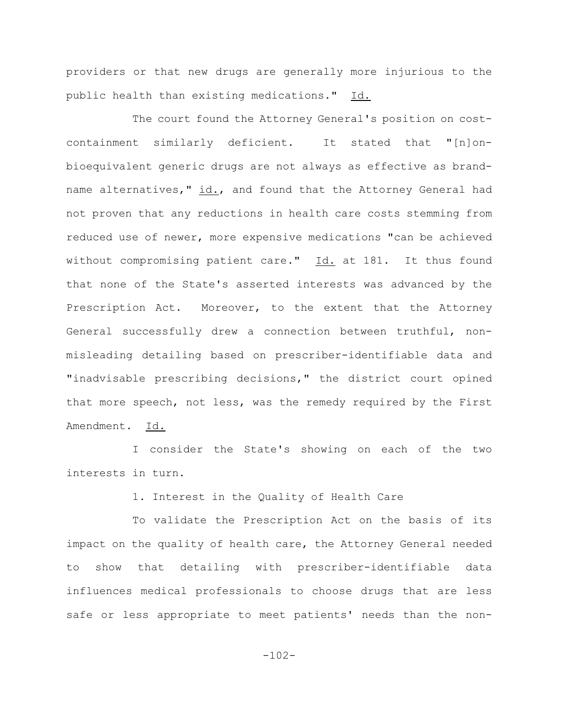providers or that new drugs are generally more injurious to the public health than existing medications." Id.

The court found the Attorney General's position on costcontainment similarly deficient. It stated that "[n]onbioequivalent generic drugs are not always as effective as brandname alternatives," id., and found that the Attorney General had not proven that any reductions in health care costs stemming from reduced use of newer, more expensive medications "can be achieved without compromising patient care." Id. at 181. It thus found that none of the State's asserted interests was advanced by the Prescription Act. Moreover, to the extent that the Attorney General successfully drew a connection between truthful, nonmisleading detailing based on prescriber-identifiable data and "inadvisable prescribing decisions," the district court opined that more speech, not less, was the remedy required by the First Amendment. Id.

I consider the State's showing on each of the two interests in turn.

1. Interest in the Quality of Health Care

To validate the Prescription Act on the basis of its impact on the quality of health care, the Attorney General needed to show that detailing with prescriber-identifiable data influences medical professionals to choose drugs that are less safe or less appropriate to meet patients' needs than the non-

-102-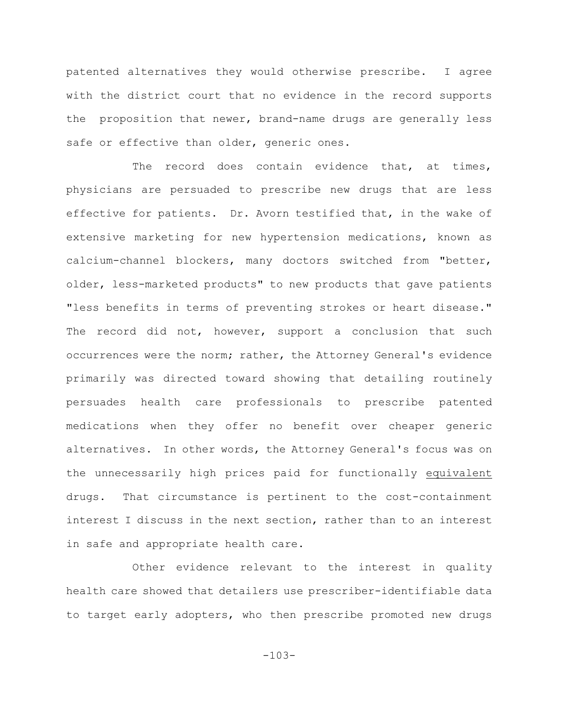patented alternatives they would otherwise prescribe. I agree with the district court that no evidence in the record supports the proposition that newer, brand-name drugs are generally less safe or effective than older, generic ones.

The record does contain evidence that, at times, physicians are persuaded to prescribe new drugs that are less effective for patients. Dr. Avorn testified that, in the wake of extensive marketing for new hypertension medications, known as calcium-channel blockers, many doctors switched from "better, older, less-marketed products" to new products that gave patients "less benefits in terms of preventing strokes or heart disease." The record did not, however, support a conclusion that such occurrences were the norm; rather, the Attorney General's evidence primarily was directed toward showing that detailing routinely persuades health care professionals to prescribe patented medications when they offer no benefit over cheaper generic alternatives. In other words, the Attorney General's focus was on the unnecessarily high prices paid for functionally equivalent drugs. That circumstance is pertinent to the cost-containment interest I discuss in the next section, rather than to an interest in safe and appropriate health care.

Other evidence relevant to the interest in quality health care showed that detailers use prescriber-identifiable data to target early adopters, who then prescribe promoted new drugs

-103-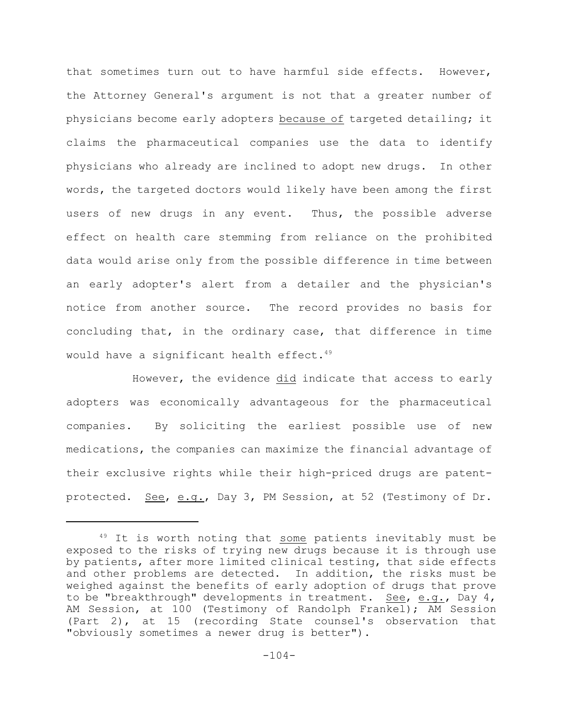that sometimes turn out to have harmful side effects. However, the Attorney General's argument is not that a greater number of physicians become early adopters because of targeted detailing; it claims the pharmaceutical companies use the data to identify physicians who already are inclined to adopt new drugs. In other words, the targeted doctors would likely have been among the first users of new drugs in any event. Thus, the possible adverse effect on health care stemming from reliance on the prohibited data would arise only from the possible difference in time between an early adopter's alert from a detailer and the physician's notice from another source. The record provides no basis for concluding that, in the ordinary case, that difference in time would have a significant health effect.<sup>49</sup>

However, the evidence did indicate that access to early adopters was economically advantageous for the pharmaceutical companies. By soliciting the earliest possible use of new medications, the companies can maximize the financial advantage of their exclusive rights while their high-priced drugs are patentprotected. See, e.g., Day 3, PM Session, at 52 (Testimony of Dr.

 $49$  It is worth noting that some patients inevitably must be exposed to the risks of trying new drugs because it is through use by patients, after more limited clinical testing, that side effects and other problems are detected. In addition, the risks must be weighed against the benefits of early adoption of drugs that prove to be "breakthrough" developments in treatment. See, e.g., Day 4, AM Session, at 100 (Testimony of Randolph Frankel); AM Session (Part 2), at 15 (recording State counsel's observation that "obviously sometimes a newer drug is better").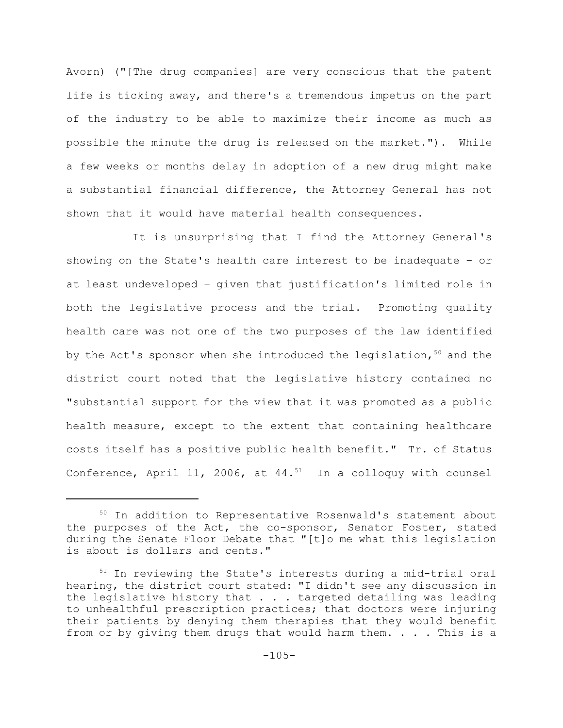Avorn) ("[The drug companies] are very conscious that the patent life is ticking away, and there's a tremendous impetus on the part of the industry to be able to maximize their income as much as possible the minute the drug is released on the market."). While a few weeks or months delay in adoption of a new drug might make a substantial financial difference, the Attorney General has not shown that it would have material health consequences.

It is unsurprising that I find the Attorney General's showing on the State's health care interest to be inadequate – or at least undeveloped – given that justification's limited role in both the legislative process and the trial. Promoting quality health care was not one of the two purposes of the law identified by the Act's sponsor when she introduced the legislation,  $50$  and the district court noted that the legislative history contained no "substantial support for the view that it was promoted as a public health measure, except to the extent that containing healthcare costs itself has a positive public health benefit." Tr. of Status Conference, April 11, 2006, at  $44.^{51}$  In a colloquy with counsel

 $50$  In addition to Representative Rosenwald's statement about the purposes of the Act, the co-sponsor, Senator Foster, stated during the Senate Floor Debate that "[t]o me what this legislation is about is dollars and cents."

 $51$  In reviewing the State's interests during a mid-trial oral hearing, the district court stated: "I didn't see any discussion in the legislative history that . . . targeted detailing was leading to unhealthful prescription practices; that doctors were injuring their patients by denying them therapies that they would benefit from or by giving them drugs that would harm them.  $\ldots$  . This is a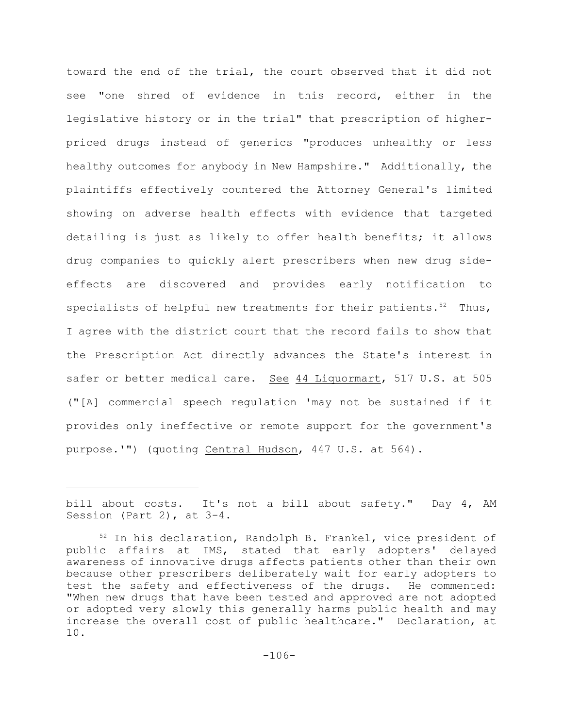toward the end of the trial, the court observed that it did not see "one shred of evidence in this record, either in the legislative history or in the trial" that prescription of higherpriced drugs instead of generics "produces unhealthy or less healthy outcomes for anybody in New Hampshire." Additionally, the plaintiffs effectively countered the Attorney General's limited showing on adverse health effects with evidence that targeted detailing is just as likely to offer health benefits; it allows drug companies to quickly alert prescribers when new drug sideeffects are discovered and provides early notification to specialists of helpful new treatments for their patients.<sup>52</sup> Thus, I agree with the district court that the record fails to show that the Prescription Act directly advances the State's interest in safer or better medical care. See 44 Liquormart, 517 U.S. at 505 ("[A] commercial speech regulation 'may not be sustained if it provides only ineffective or remote support for the government's purpose.'") (quoting Central Hudson, 447 U.S. at 564).

bill about costs. It's not a bill about safety." Day 4, AM Session (Part 2), at 3-4.

 $52$  In his declaration, Randolph B. Frankel, vice president of public affairs at IMS, stated that early adopters' delayed awareness of innovative drugs affects patients other than their own because other prescribers deliberately wait for early adopters to test the safety and effectiveness of the drugs. He commented: "When new drugs that have been tested and approved are not adopted or adopted very slowly this generally harms public health and may increase the overall cost of public healthcare." Declaration, at 10.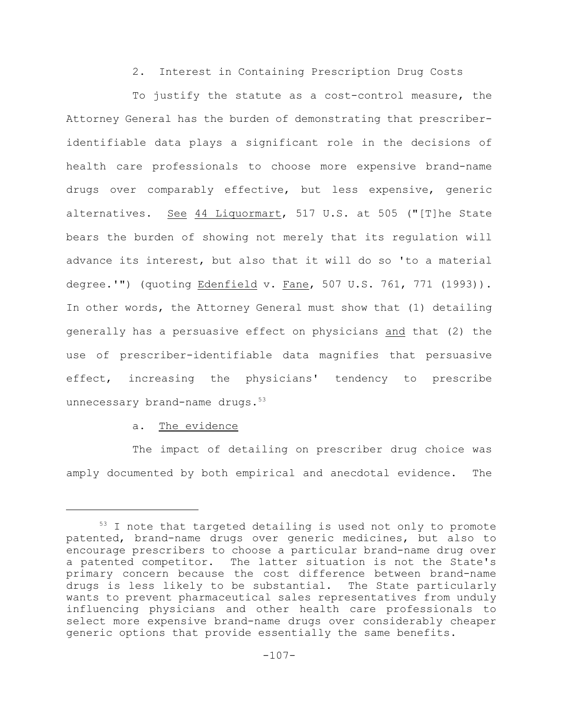2. Interest in Containing Prescription Drug Costs

To justify the statute as a cost-control measure, the Attorney General has the burden of demonstrating that prescriberidentifiable data plays a significant role in the decisions of health care professionals to choose more expensive brand-name drugs over comparably effective, but less expensive, generic alternatives. See 44 Liquormart, 517 U.S. at 505 ("[T]he State bears the burden of showing not merely that its regulation will advance its interest, but also that it will do so 'to a material degree.'") (quoting Edenfield v. Fane, 507 U.S. 761, 771 (1993)). In other words, the Attorney General must show that (1) detailing generally has a persuasive effect on physicians and that (2) the use of prescriber-identifiable data magnifies that persuasive effect, increasing the physicians' tendency to prescribe unnecessary brand-name drugs.<sup>53</sup>

a. The evidence

The impact of detailing on prescriber drug choice was amply documented by both empirical and anecdotal evidence. The

 $53$  I note that targeted detailing is used not only to promote patented, brand-name drugs over generic medicines, but also to encourage prescribers to choose a particular brand-name drug over a patented competitor. The latter situation is not the State's primary concern because the cost difference between brand-name drugs is less likely to be substantial. The State particularly wants to prevent pharmaceutical sales representatives from unduly influencing physicians and other health care professionals to select more expensive brand-name drugs over considerably cheaper generic options that provide essentially the same benefits.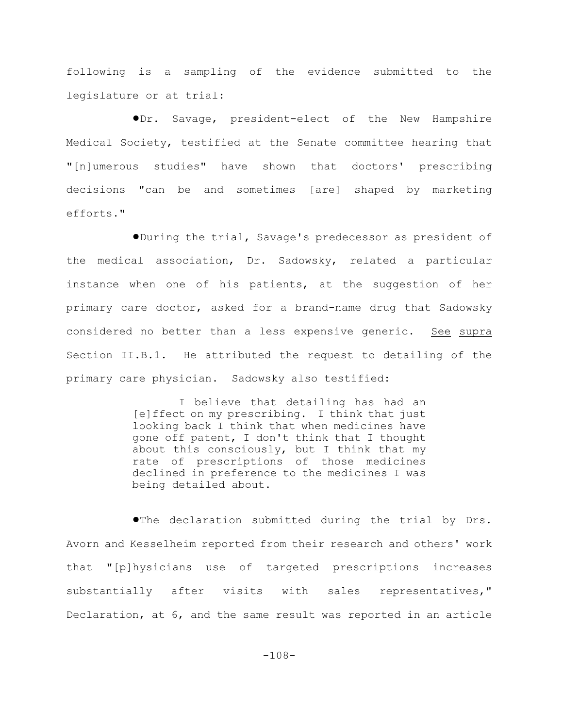following is a sampling of the evidence submitted to the legislature or at trial:

!Dr. Savage, president-elect of the New Hampshire Medical Society, testified at the Senate committee hearing that "[n]umerous studies" have shown that doctors' prescribing decisions "can be and sometimes [are] shaped by marketing efforts."

!During the trial, Savage's predecessor as president of the medical association, Dr. Sadowsky, related a particular instance when one of his patients, at the suggestion of her primary care doctor, asked for a brand-name drug that Sadowsky considered no better than a less expensive generic. See supra Section II.B.1. He attributed the request to detailing of the primary care physician. Sadowsky also testified:

> I believe that detailing has had an [e]ffect on my prescribing. I think that just looking back I think that when medicines have gone off patent, I don't think that I thought about this consciously, but I think that my rate of prescriptions of those medicines declined in preference to the medicines I was being detailed about.

**. The declaration submitted during the trial by Drs.** Avorn and Kesselheim reported from their research and others' work that "[p]hysicians use of targeted prescriptions increases substantially after visits with sales representatives," Declaration, at 6, and the same result was reported in an article

-108-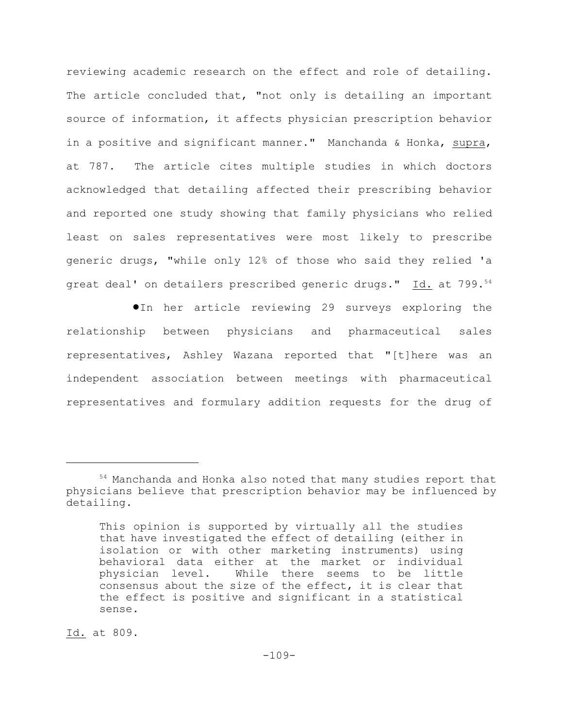reviewing academic research on the effect and role of detailing. The article concluded that, "not only is detailing an important source of information, it affects physician prescription behavior in a positive and significant manner." Manchanda & Honka, supra, at 787. The article cites multiple studies in which doctors acknowledged that detailing affected their prescribing behavior and reported one study showing that family physicians who relied least on sales representatives were most likely to prescribe generic drugs, "while only 12% of those who said they relied 'a great deal' on detailers prescribed generic drugs." Id. at 799.<sup>54</sup>

**In her article reviewing 29 surveys exploring the** relationship between physicians and pharmaceutical sales representatives, Ashley Wazana reported that "[t]here was an independent association between meetings with pharmaceutical representatives and formulary addition requests for the drug of

<sup>54</sup> Manchanda and Honka also noted that many studies report that physicians believe that prescription behavior may be influenced by detailing.

This opinion is supported by virtually all the studies that have investigated the effect of detailing (either in isolation or with other marketing instruments) using behavioral data either at the market or individual physician level. While there seems to be little consensus about the size of the effect, it is clear that the effect is positive and significant in a statistical sense.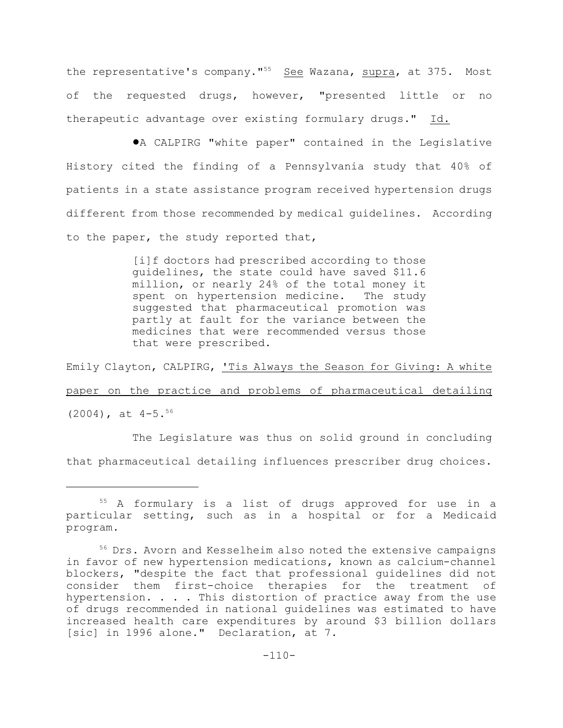the representative's company."<sup>55</sup> See Wazana, supra, at 375. Most of the requested drugs, however, "presented little or no therapeutic advantage over existing formulary drugs." Id.

!A CALPIRG "white paper" contained in the Legislative History cited the finding of a Pennsylvania study that 40% of patients in a state assistance program received hypertension drugs different from those recommended by medical guidelines. According to the paper, the study reported that,

> [i]f doctors had prescribed according to those guidelines, the state could have saved \$11.6 million, or nearly 24% of the total money it spent on hypertension medicine. The study suggested that pharmaceutical promotion was partly at fault for the variance between the medicines that were recommended versus those that were prescribed.

Emily Clayton, CALPIRG, 'Tis Always the Season for Giving: A white paper on the practice and problems of pharmaceutical detailing  $(2004)$ , at  $4-5.56$ 

The Legislature was thus on solid ground in concluding that pharmaceutical detailing influences prescriber drug choices.

 $55$  A formulary is a list of drugs approved for use in a particular setting, such as in a hospital or for a Medicaid program.

 $56$  Drs. Avorn and Kesselheim also noted the extensive campaigns in favor of new hypertension medications, known as calcium-channel blockers, "despite the fact that professional guidelines did not consider them first-choice therapies for the treatment of hypertension. . . . This distortion of practice away from the use of drugs recommended in national guidelines was estimated to have increased health care expenditures by around \$3 billion dollars [sic] in 1996 alone." Declaration, at 7.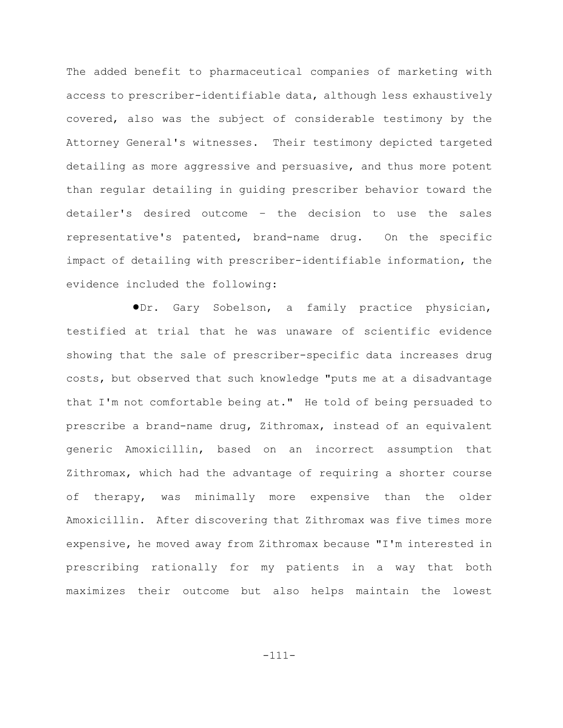The added benefit to pharmaceutical companies of marketing with access to prescriber-identifiable data, although less exhaustively covered, also was the subject of considerable testimony by the Attorney General's witnesses. Their testimony depicted targeted detailing as more aggressive and persuasive, and thus more potent than regular detailing in guiding prescriber behavior toward the detailer's desired outcome – the decision to use the sales representative's patented, brand-name drug. On the specific impact of detailing with prescriber-identifiable information, the evidence included the following:

!Dr. Gary Sobelson, a family practice physician, testified at trial that he was unaware of scientific evidence showing that the sale of prescriber-specific data increases drug costs, but observed that such knowledge "puts me at a disadvantage that I'm not comfortable being at." He told of being persuaded to prescribe a brand-name drug, Zithromax, instead of an equivalent generic Amoxicillin, based on an incorrect assumption that Zithromax, which had the advantage of requiring a shorter course of therapy, was minimally more expensive than the older Amoxicillin. After discovering that Zithromax was five times more expensive, he moved away from Zithromax because "I'm interested in prescribing rationally for my patients in a way that both maximizes their outcome but also helps maintain the lowest

-111-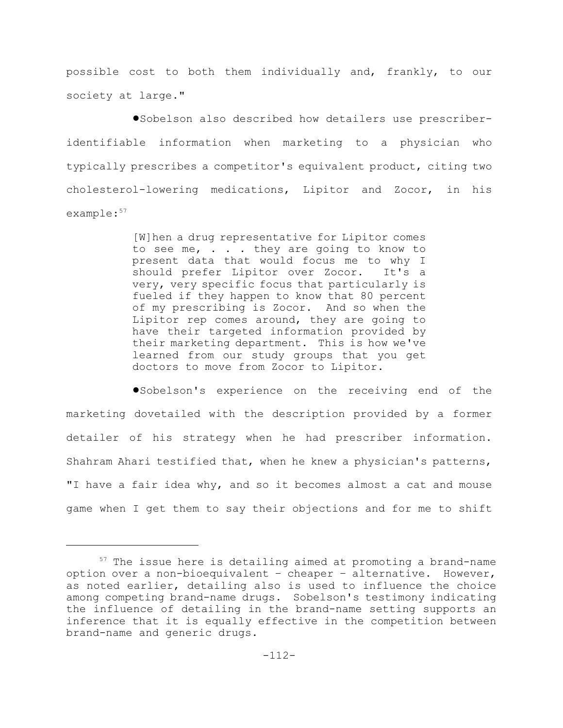possible cost to both them individually and, frankly, to our society at large."

!Sobelson also described how detailers use prescriberidentifiable information when marketing to a physician who typically prescribes a competitor's equivalent product, citing two cholesterol-lowering medications, Lipitor and Zocor, in his example:<sup>57</sup>

> [W]hen a drug representative for Lipitor comes to see me, . . . they are going to know to present data that would focus me to why I should prefer Lipitor over Zocor. It's a very, very specific focus that particularly is fueled if they happen to know that 80 percent of my prescribing is Zocor. And so when the Lipitor rep comes around, they are going to have their targeted information provided by their marketing department. This is how we've learned from our study groups that you get doctors to move from Zocor to Lipitor.

!Sobelson's experience on the receiving end of the marketing dovetailed with the description provided by a former detailer of his strategy when he had prescriber information. Shahram Ahari testified that, when he knew a physician's patterns, "I have a fair idea why, and so it becomes almost a cat and mouse game when I get them to say their objections and for me to shift

 $57$  The issue here is detailing aimed at promoting a brand-name option over a non-bioequivalent – cheaper – alternative. However, as noted earlier, detailing also is used to influence the choice among competing brand-name drugs. Sobelson's testimony indicating the influence of detailing in the brand-name setting supports an inference that it is equally effective in the competition between brand-name and generic drugs.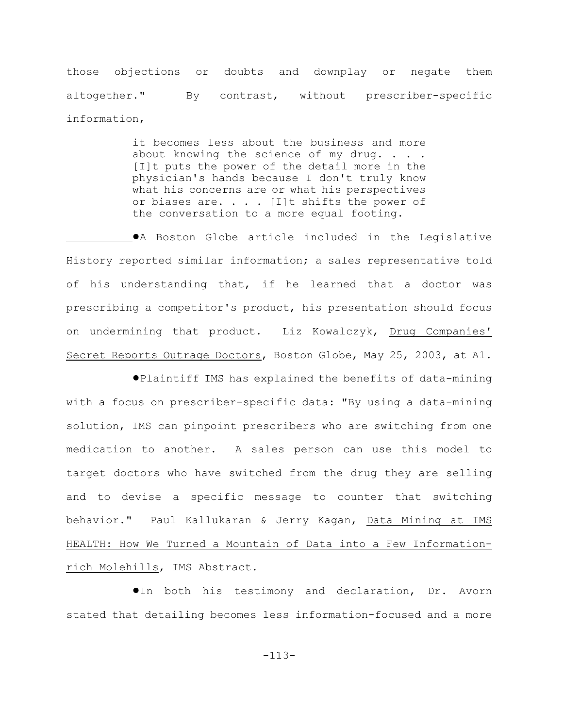those objections or doubts and downplay or negate them altogether." By contrast, without prescriber-specific information,

> it becomes less about the business and more about knowing the science of my drug. . . . [I]t puts the power of the detail more in the physician's hands because I don't truly know what his concerns are or what his perspectives or biases are. . . . [I]t shifts the power of the conversation to a more equal footing.

 $\bullet$ A Boston Globe article included in the Legislative History reported similar information; a sales representative told of his understanding that, if he learned that a doctor was prescribing a competitor's product, his presentation should focus on undermining that product. Liz Kowalczyk, Drug Companies' Secret Reports Outrage Doctors, Boston Globe, May 25, 2003, at A1.

!Plaintiff IMS has explained the benefits of data-mining with a focus on prescriber-specific data: "By using a data-mining solution, IMS can pinpoint prescribers who are switching from one medication to another. A sales person can use this model to target doctors who have switched from the drug they are selling and to devise a specific message to counter that switching behavior." Paul Kallukaran & Jerry Kagan, Data Mining at IMS HEALTH: How We Turned a Mountain of Data into a Few Informationrich Molehills, IMS Abstract.

**In both his testimony and declaration, Dr. Avorn** stated that detailing becomes less information-focused and a more

-113-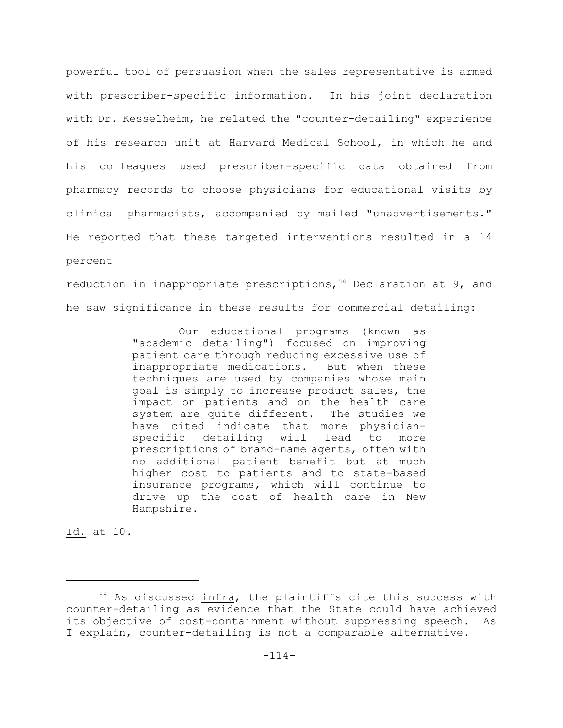powerful tool of persuasion when the sales representative is armed with prescriber-specific information. In his joint declaration with Dr. Kesselheim, he related the "counter-detailing" experience of his research unit at Harvard Medical School, in which he and his colleagues used prescriber-specific data obtained from pharmacy records to choose physicians for educational visits by clinical pharmacists, accompanied by mailed "unadvertisements." He reported that these targeted interventions resulted in a 14 percent

reduction in inappropriate prescriptions,  $58$  Declaration at 9, and he saw significance in these results for commercial detailing:

> Our educational programs (known as "academic detailing") focused on improving patient care through reducing excessive use of inappropriate medications. But when these techniques are used by companies whose main goal is simply to increase product sales, the impact on patients and on the health care system are quite different. The studies we have cited indicate that more physicianspecific detailing will lead to more prescriptions of brand-name agents, often with no additional patient benefit but at much higher cost to patients and to state-based insurance programs, which will continue to drive up the cost of health care in New Hampshire.

Id. at 10.

 $58$  As discussed infra, the plaintiffs cite this success with counter-detailing as evidence that the State could have achieved its objective of cost-containment without suppressing speech. As I explain, counter-detailing is not a comparable alternative.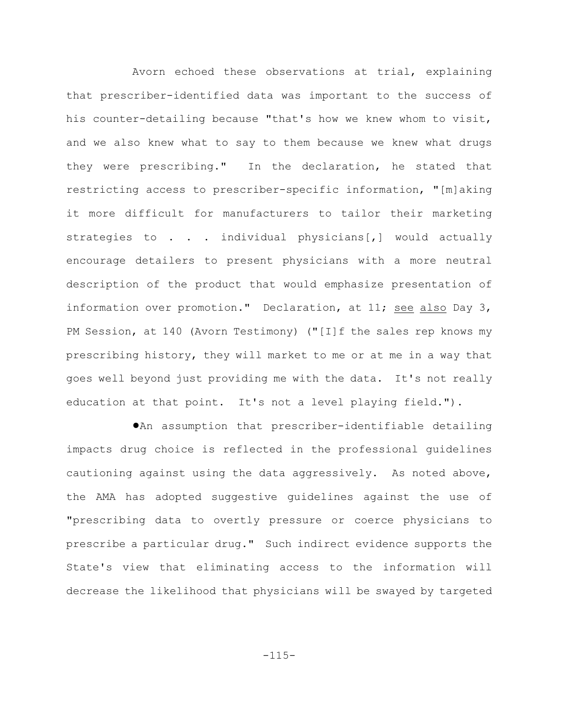Avorn echoed these observations at trial, explaining that prescriber-identified data was important to the success of his counter-detailing because "that's how we knew whom to visit, and we also knew what to say to them because we knew what drugs they were prescribing." In the declaration, he stated that restricting access to prescriber-specific information, "[m]aking it more difficult for manufacturers to tailor their marketing strategies to . . . individual physicians[,] would actually encourage detailers to present physicians with a more neutral description of the product that would emphasize presentation of information over promotion." Declaration, at 11; see also Day 3, PM Session, at 140 (Avorn Testimony) ("[I]f the sales rep knows my prescribing history, they will market to me or at me in a way that goes well beyond just providing me with the data. It's not really education at that point. It's not a level playing field.").

!An assumption that prescriber-identifiable detailing impacts drug choice is reflected in the professional guidelines cautioning against using the data aggressively. As noted above, the AMA has adopted suggestive guidelines against the use of "prescribing data to overtly pressure or coerce physicians to prescribe a particular drug." Such indirect evidence supports the State's view that eliminating access to the information will decrease the likelihood that physicians will be swayed by targeted

-115-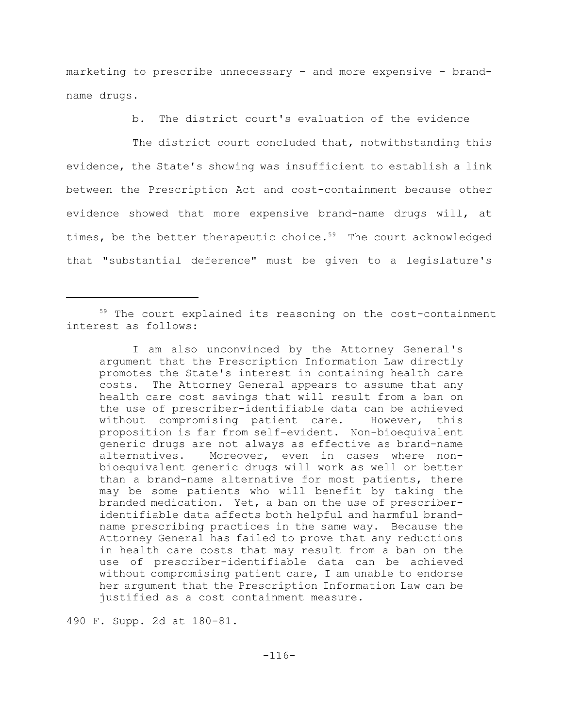marketing to prescribe unnecessary – and more expensive – brandname drugs.

## b. The district court's evaluation of the evidence

The district court concluded that, notwithstanding this evidence, the State's showing was insufficient to establish a link between the Prescription Act and cost-containment because other evidence showed that more expensive brand-name drugs will, at times, be the better therapeutic choice.<sup>59</sup> The court acknowledged that "substantial deference" must be given to a legislature's

490 F. Supp. 2d at 180-81.

 $59$  The court explained its reasoning on the cost-containment interest as follows:

I am also unconvinced by the Attorney General's argument that the Prescription Information Law directly promotes the State's interest in containing health care costs. The Attorney General appears to assume that any health care cost savings that will result from a ban on the use of prescriber-identifiable data can be achieved without compromising patient care. However, this proposition is far from self-evident. Non-bioequivalent generic drugs are not always as effective as brand-name alternatives. Moreover, even in cases where nonbioequivalent generic drugs will work as well or better than a brand-name alternative for most patients, there may be some patients who will benefit by taking the branded medication. Yet, a ban on the use of prescriberidentifiable data affects both helpful and harmful brandname prescribing practices in the same way. Because the Attorney General has failed to prove that any reductions in health care costs that may result from a ban on the use of prescriber-identifiable data can be achieved without compromising patient care, I am unable to endorse her argument that the Prescription Information Law can be justified as a cost containment measure.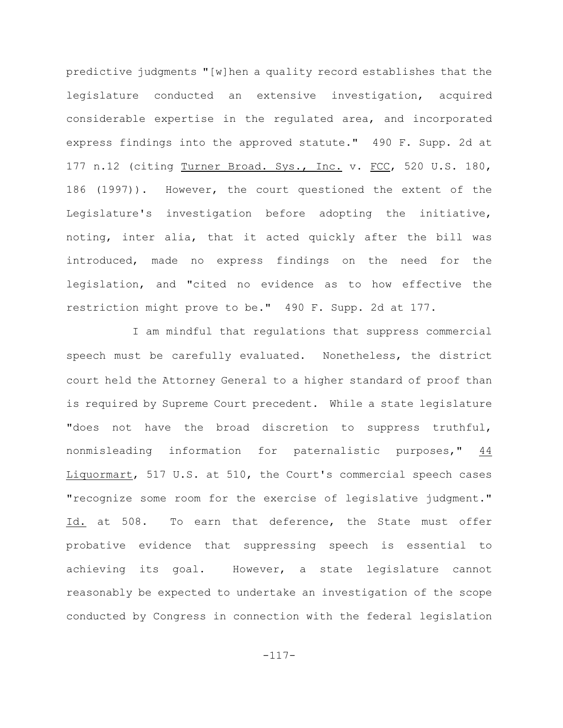predictive judgments "[w]hen a quality record establishes that the legislature conducted an extensive investigation, acquired considerable expertise in the regulated area, and incorporated express findings into the approved statute." 490 F. Supp. 2d at 177 n.12 (citing Turner Broad. Sys., Inc. v. FCC, 520 U.S. 180, 186 (1997)). However, the court questioned the extent of the Legislature's investigation before adopting the initiative, noting, inter alia, that it acted quickly after the bill was introduced, made no express findings on the need for the legislation, and "cited no evidence as to how effective the restriction might prove to be." 490 F. Supp. 2d at 177.

I am mindful that regulations that suppress commercial speech must be carefully evaluated. Nonetheless, the district court held the Attorney General to a higher standard of proof than is required by Supreme Court precedent. While a state legislature "does not have the broad discretion to suppress truthful, nonmisleading information for paternalistic purposes," 44 Liquormart, 517 U.S. at 510, the Court's commercial speech cases "recognize some room for the exercise of legislative judgment." Id. at 508. To earn that deference, the State must offer probative evidence that suppressing speech is essential to achieving its goal. However, a state legislature cannot reasonably be expected to undertake an investigation of the scope conducted by Congress in connection with the federal legislation

-117-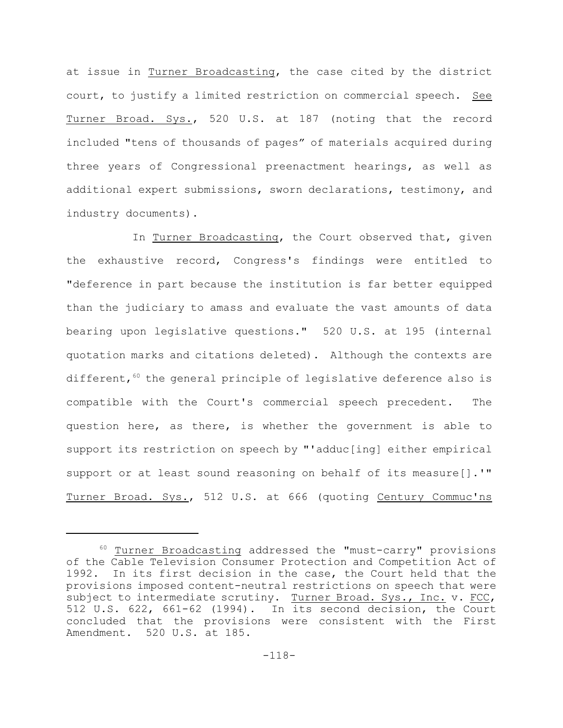at issue in Turner Broadcasting, the case cited by the district court, to justify a limited restriction on commercial speech. See Turner Broad. Sys., 520 U.S. at 187 (noting that the record included "tens of thousands of pages" of materials acquired during three years of Congressional preenactment hearings, as well as additional expert submissions, sworn declarations, testimony, and industry documents).

In Turner Broadcasting, the Court observed that, given the exhaustive record, Congress's findings were entitled to "deference in part because the institution is far better equipped than the judiciary to amass and evaluate the vast amounts of data bearing upon legislative questions." 520 U.S. at 195 (internal quotation marks and citations deleted). Although the contexts are different,  $60$  the general principle of legislative deference also is compatible with the Court's commercial speech precedent. The question here, as there, is whether the government is able to support its restriction on speech by "'adduc[ing] either empirical support or at least sound reasoning on behalf of its measure[].'" Turner Broad. Sys., 512 U.S. at 666 (quoting Century Commuc'ns

 $60$  Turner Broadcasting addressed the "must-carry" provisions of the Cable Television Consumer Protection and Competition Act of 1992. In its first decision in the case, the Court held that the provisions imposed content-neutral restrictions on speech that were subject to intermediate scrutiny. Turner Broad. Sys., Inc. v. FCC, 512 U.S. 622, 661-62 (1994). In its second decision, the Court concluded that the provisions were consistent with the First Amendment. 520 U.S. at 185.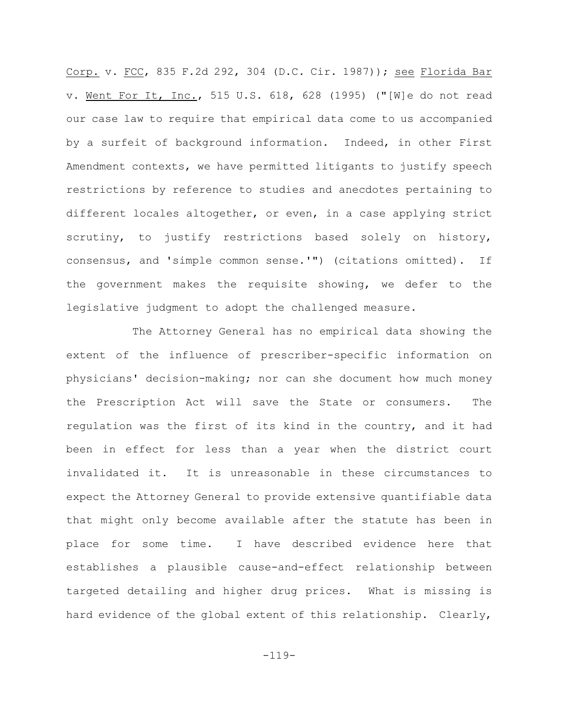Corp. v. FCC, 835 F.2d 292, 304 (D.C. Cir. 1987)); see Florida Bar v. Went For It, Inc., 515 U.S. 618, 628 (1995) ("[W]e do not read our case law to require that empirical data come to us accompanied by a surfeit of background information. Indeed, in other First Amendment contexts, we have permitted litigants to justify speech restrictions by reference to studies and anecdotes pertaining to different locales altogether, or even, in a case applying strict scrutiny, to justify restrictions based solely on history, consensus, and 'simple common sense.'") (citations omitted). If the government makes the requisite showing, we defer to the legislative judgment to adopt the challenged measure.

The Attorney General has no empirical data showing the extent of the influence of prescriber-specific information on physicians' decision-making; nor can she document how much money the Prescription Act will save the State or consumers. The regulation was the first of its kind in the country, and it had been in effect for less than a year when the district court invalidated it. It is unreasonable in these circumstances to expect the Attorney General to provide extensive quantifiable data that might only become available after the statute has been in place for some time. I have described evidence here that establishes a plausible cause-and-effect relationship between targeted detailing and higher drug prices. What is missing is hard evidence of the global extent of this relationship. Clearly,

-119-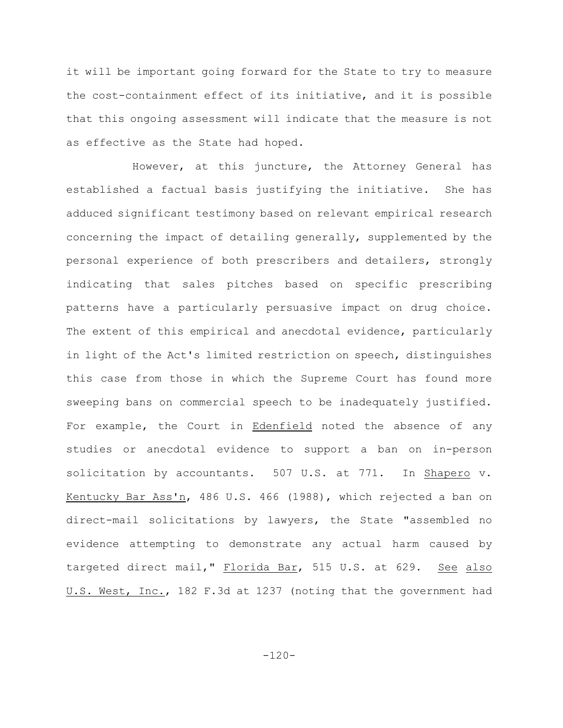it will be important going forward for the State to try to measure the cost-containment effect of its initiative, and it is possible that this ongoing assessment will indicate that the measure is not as effective as the State had hoped.

However, at this juncture, the Attorney General has established a factual basis justifying the initiative. She has adduced significant testimony based on relevant empirical research concerning the impact of detailing generally, supplemented by the personal experience of both prescribers and detailers, strongly indicating that sales pitches based on specific prescribing patterns have a particularly persuasive impact on drug choice. The extent of this empirical and anecdotal evidence, particularly in light of the Act's limited restriction on speech, distinguishes this case from those in which the Supreme Court has found more sweeping bans on commercial speech to be inadequately justified. For example, the Court in Edenfield noted the absence of any studies or anecdotal evidence to support a ban on in-person solicitation by accountants. 507 U.S. at 771. In Shapero v. Kentucky Bar Ass'n, 486 U.S. 466 (1988), which rejected a ban on direct-mail solicitations by lawyers, the State "assembled no evidence attempting to demonstrate any actual harm caused by targeted direct mail," Florida Bar, 515 U.S. at 629. See also U.S. West, Inc., 182 F.3d at 1237 (noting that the government had

 $-120-$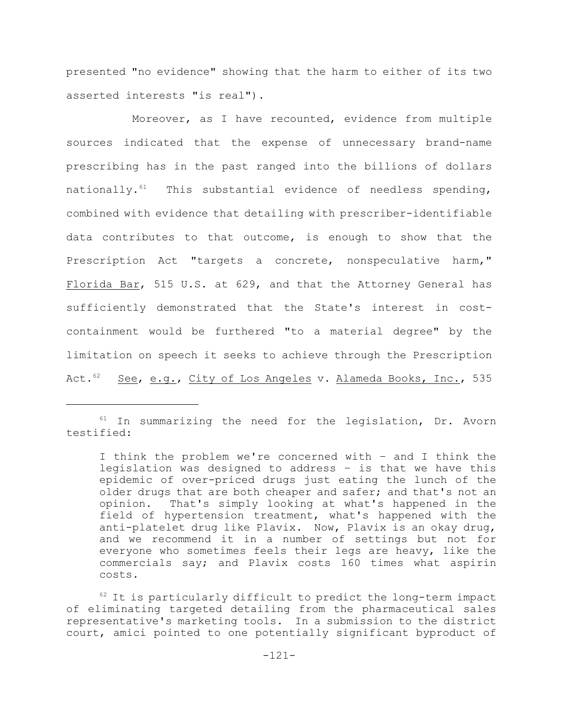presented "no evidence" showing that the harm to either of its two asserted interests "is real").

Moreover, as I have recounted, evidence from multiple sources indicated that the expense of unnecessary brand-name prescribing has in the past ranged into the billions of dollars nationally. $61$  This substantial evidence of needless spending, combined with evidence that detailing with prescriber-identifiable data contributes to that outcome, is enough to show that the Prescription Act "targets a concrete, nonspeculative harm," Florida Bar, 515 U.S. at 629, and that the Attorney General has sufficiently demonstrated that the State's interest in costcontainment would be furthered "to a material degree" by the limitation on speech it seeks to achieve through the Prescription Act.<sup>62</sup> See, e.g., City of Los Angeles v. Alameda Books, Inc., 535

 $61$  In summarizing the need for the legislation, Dr. Avorn testified:

I think the problem we're concerned with – and I think the legislation was designed to address – is that we have this epidemic of over-priced drugs just eating the lunch of the older drugs that are both cheaper and safer; and that's not an opinion. That's simply looking at what's happened in the field of hypertension treatment, what's happened with the anti-platelet drug like Plavix. Now, Plavix is an okay drug, and we recommend it in a number of settings but not for everyone who sometimes feels their legs are heavy, like the commercials say; and Plavix costs 160 times what aspirin costs.

 $62$  It is particularly difficult to predict the long-term impact of eliminating targeted detailing from the pharmaceutical sales representative's marketing tools. In a submission to the district court, amici pointed to one potentially significant byproduct of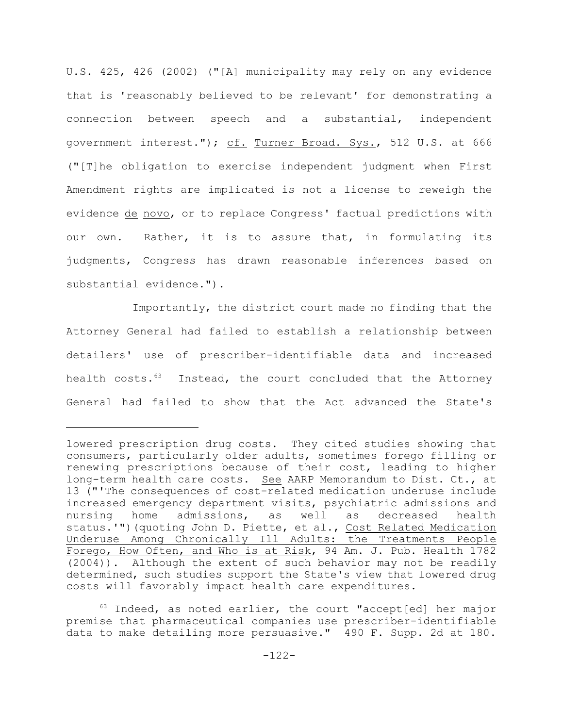U.S. 425, 426 (2002) ("[A] municipality may rely on any evidence that is 'reasonably believed to be relevant' for demonstrating a connection between speech and a substantial, independent government interest."); cf. Turner Broad. Sys., 512 U.S. at 666 ("[T]he obligation to exercise independent judgment when First Amendment rights are implicated is not a license to reweigh the evidence de novo, or to replace Congress' factual predictions with our own. Rather, it is to assure that, in formulating its judgments, Congress has drawn reasonable inferences based on substantial evidence.").

Importantly, the district court made no finding that the Attorney General had failed to establish a relationship between detailers' use of prescriber-identifiable data and increased health costs.<sup>63</sup> Instead, the court concluded that the Attorney General had failed to show that the Act advanced the State's

lowered prescription drug costs. They cited studies showing that consumers, particularly older adults, sometimes forego filling or renewing prescriptions because of their cost, leading to higher long-term health care costs. See AARP Memorandum to Dist. Ct., at 13 ("'The consequences of cost-related medication underuse include increased emergency department visits, psychiatric admissions and nursing home admissions, as well as decreased health status.'") (quoting John D. Piette, et al., Cost Related Medication Underuse Among Chronically Ill Adults: the Treatments People Forego, How Often, and Who is at Risk, 94 Am. J. Pub. Health 1782 (2004)). Although the extent of such behavior may not be readily determined, such studies support the State's view that lowered drug costs will favorably impact health care expenditures.

 $63$  Indeed, as noted earlier, the court "accept[ed] her major premise that pharmaceutical companies use prescriber-identifiable data to make detailing more persuasive." 490 F. Supp. 2d at 180.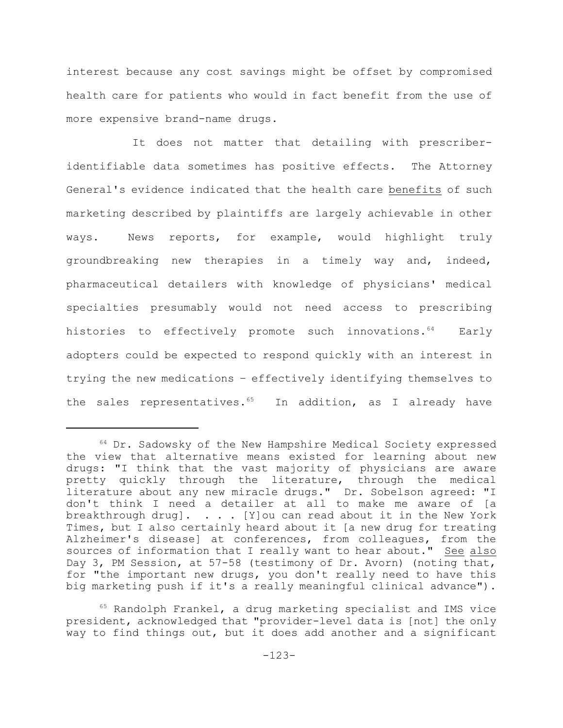interest because any cost savings might be offset by compromised health care for patients who would in fact benefit from the use of more expensive brand-name drugs.

It does not matter that detailing with prescriberidentifiable data sometimes has positive effects. The Attorney General's evidence indicated that the health care benefits of such marketing described by plaintiffs are largely achievable in other ways. News reports, for example, would highlight truly groundbreaking new therapies in a timely way and, indeed, pharmaceutical detailers with knowledge of physicians' medical specialties presumably would not need access to prescribing histories to effectively promote such innovations.<sup>64</sup> Early adopters could be expected to respond quickly with an interest in trying the new medications – effectively identifying themselves to the sales representatives.<sup>65</sup> In addition, as I already have

 $64$  Dr. Sadowsky of the New Hampshire Medical Society expressed the view that alternative means existed for learning about new drugs: "I think that the vast majority of physicians are aware pretty quickly through the literature, through the medical literature about any new miracle drugs." Dr. Sobelson agreed: "I don't think I need a detailer at all to make me aware of [a breakthrough drug].  $\ldots$  . [Y]ou can read about it in the New York Times, but I also certainly heard about it [a new drug for treating Alzheimer's disease] at conferences, from colleagues, from the sources of information that I really want to hear about." See also Day 3, PM Session, at 57-58 (testimony of Dr. Avorn) (noting that, for "the important new drugs, you don't really need to have this big marketing push if it's a really meaningful clinical advance").

 $65$  Randolph Frankel, a drug marketing specialist and IMS vice president, acknowledged that "provider-level data is [not] the only way to find things out, but it does add another and a significant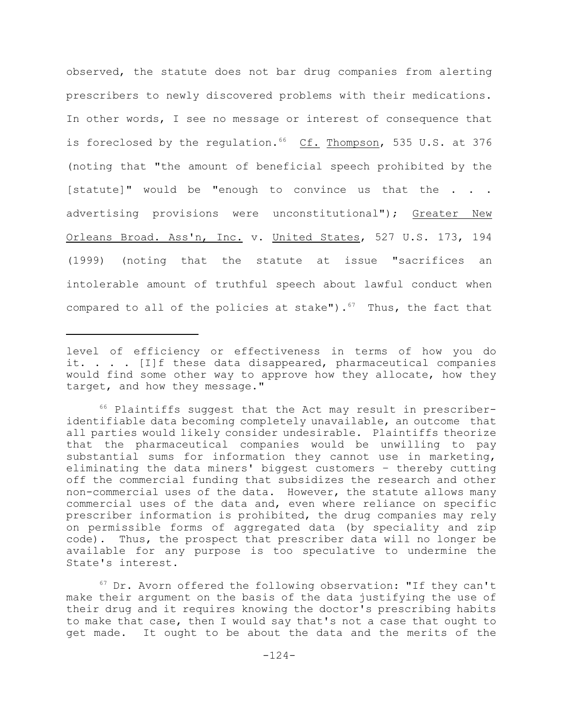observed, the statute does not bar drug companies from alerting prescribers to newly discovered problems with their medications. In other words, I see no message or interest of consequence that is foreclosed by the regulation.  $66$  Cf. Thompson, 535 U.S. at 376 (noting that "the amount of beneficial speech prohibited by the [statute]" would be "enough to convince us that the . . . advertising provisions were unconstitutional"); Greater New Orleans Broad. Ass'n, Inc. v. United States, 527 U.S. 173, 194 (1999) (noting that the statute at issue "sacrifices an intolerable amount of truthful speech about lawful conduct when compared to all of the policies at stake").<sup>67</sup> Thus, the fact that

level of efficiency or effectiveness in terms of how you do it. . . . [I]f these data disappeared, pharmaceutical companies would find some other way to approve how they allocate, how they target, and how they message."

 $66$  Plaintiffs suggest that the Act may result in prescriberidentifiable data becoming completely unavailable, an outcome that all parties would likely consider undesirable. Plaintiffs theorize that the pharmaceutical companies would be unwilling to pay substantial sums for information they cannot use in marketing, eliminating the data miners' biggest customers – thereby cutting off the commercial funding that subsidizes the research and other non-commercial uses of the data. However, the statute allows many commercial uses of the data and, even where reliance on specific prescriber information is prohibited, the drug companies may rely on permissible forms of aggregated data (by speciality and zip code). Thus, the prospect that prescriber data will no longer be available for any purpose is too speculative to undermine the State's interest.

 $67$  Dr. Avorn offered the following observation: "If they can't make their argument on the basis of the data justifying the use of their drug and it requires knowing the doctor's prescribing habits to make that case, then I would say that's not a case that ought to get made. It ought to be about the data and the merits of the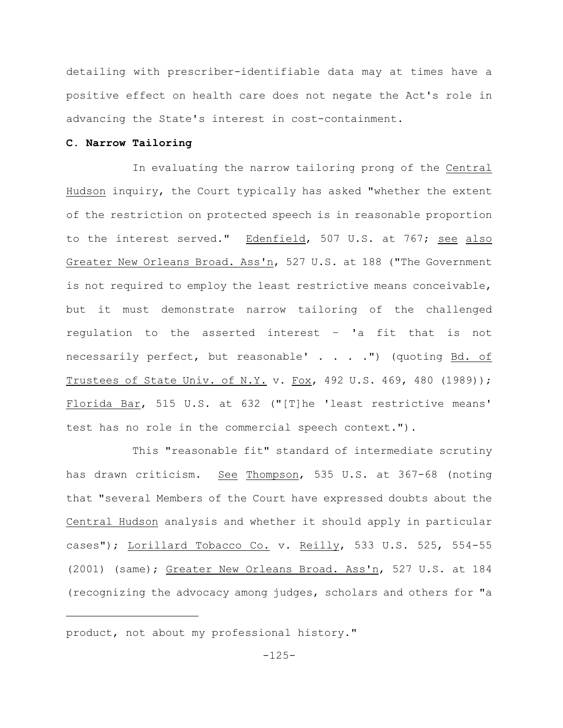detailing with prescriber-identifiable data may at times have a positive effect on health care does not negate the Act's role in advancing the State's interest in cost-containment.

## **C. Narrow Tailoring**

In evaluating the narrow tailoring prong of the Central Hudson inquiry, the Court typically has asked "whether the extent of the restriction on protected speech is in reasonable proportion to the interest served." Edenfield, 507 U.S. at 767; see also Greater New Orleans Broad. Ass'n, 527 U.S. at 188 ("The Government is not required to employ the least restrictive means conceivable, but it must demonstrate narrow tailoring of the challenged regulation to the asserted interest – 'a fit that is not necessarily perfect, but reasonable' . . . . ") (quoting Bd. of Trustees of State Univ. of N.Y. v. Fox, 492 U.S. 469, 480 (1989)); Florida Bar, 515 U.S. at 632 ("[T]he 'least restrictive means' test has no role in the commercial speech context.").

This "reasonable fit" standard of intermediate scrutiny has drawn criticism. See Thompson, 535 U.S. at 367-68 (noting that "several Members of the Court have expressed doubts about the Central Hudson analysis and whether it should apply in particular cases"); Lorillard Tobacco Co. v. Reilly, 533 U.S. 525, 554-55 (2001) (same); Greater New Orleans Broad. Ass'n, 527 U.S. at 184 (recognizing the advocacy among judges, scholars and others for "a

product, not about my professional history."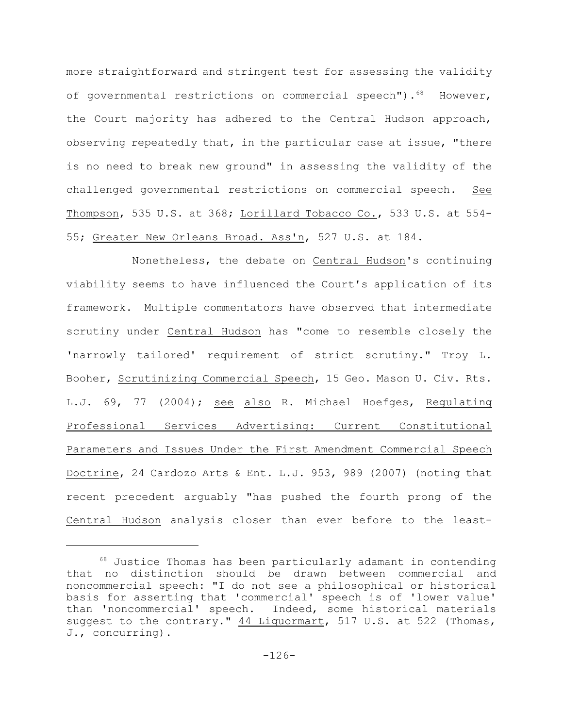more straightforward and stringent test for assessing the validity of governmental restrictions on commercial speech"). $68$  However, the Court majority has adhered to the Central Hudson approach, observing repeatedly that, in the particular case at issue, "there is no need to break new ground" in assessing the validity of the challenged governmental restrictions on commercial speech. See Thompson, 535 U.S. at 368; Lorillard Tobacco Co., 533 U.S. at 554- 55; Greater New Orleans Broad. Ass'n, 527 U.S. at 184.

Nonetheless, the debate on Central Hudson's continuing viability seems to have influenced the Court's application of its framework. Multiple commentators have observed that intermediate scrutiny under Central Hudson has "come to resemble closely the 'narrowly tailored' requirement of strict scrutiny." Troy L. Booher, Scrutinizing Commercial Speech, 15 Geo. Mason U. Civ. Rts. L.J. 69, 77 (2004); see also R. Michael Hoefges, Regulating Professional Services Advertising: Current Constitutional Parameters and Issues Under the First Amendment Commercial Speech Doctrine, 24 Cardozo Arts & Ent. L.J. 953, 989 (2007) (noting that recent precedent arguably "has pushed the fourth prong of the Central Hudson analysis closer than ever before to the least-

 $68$  Justice Thomas has been particularly adamant in contending that no distinction should be drawn between commercial and noncommercial speech: "I do not see a philosophical or historical basis for asserting that 'commercial' speech is of 'lower value' than 'noncommercial' speech. Indeed, some historical materials suggest to the contrary." 44 Liquormart, 517 U.S. at 522 (Thomas, J., concurring).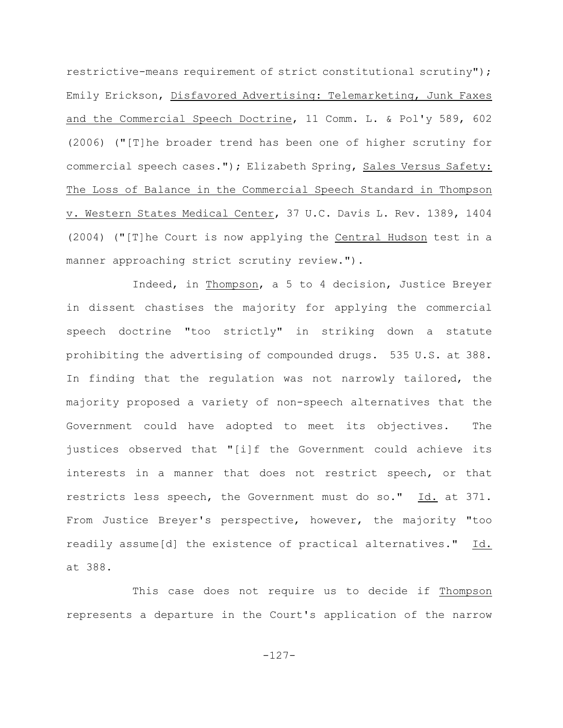restrictive-means requirement of strict constitutional scrutiny"); Emily Erickson, Disfavored Advertising: Telemarketing, Junk Faxes and the Commercial Speech Doctrine, 11 Comm. L. & Pol'y 589, 602 (2006) ("[T]he broader trend has been one of higher scrutiny for commercial speech cases."); Elizabeth Spring, Sales Versus Safety: The Loss of Balance in the Commercial Speech Standard in Thompson v. Western States Medical Center, 37 U.C. Davis L. Rev. 1389, 1404 (2004) ("[T]he Court is now applying the Central Hudson test in a manner approaching strict scrutiny review.").

Indeed, in Thompson, a 5 to 4 decision, Justice Breyer in dissent chastises the majority for applying the commercial speech doctrine "too strictly" in striking down a statute prohibiting the advertising of compounded drugs. 535 U.S. at 388. In finding that the regulation was not narrowly tailored, the majority proposed a variety of non-speech alternatives that the Government could have adopted to meet its objectives. The justices observed that "[i]f the Government could achieve its interests in a manner that does not restrict speech, or that restricts less speech, the Government must do so." Id. at 371. From Justice Breyer's perspective, however, the majority "too readily assume[d] the existence of practical alternatives." Id. at 388.

This case does not require us to decide if Thompson represents a departure in the Court's application of the narrow

-127-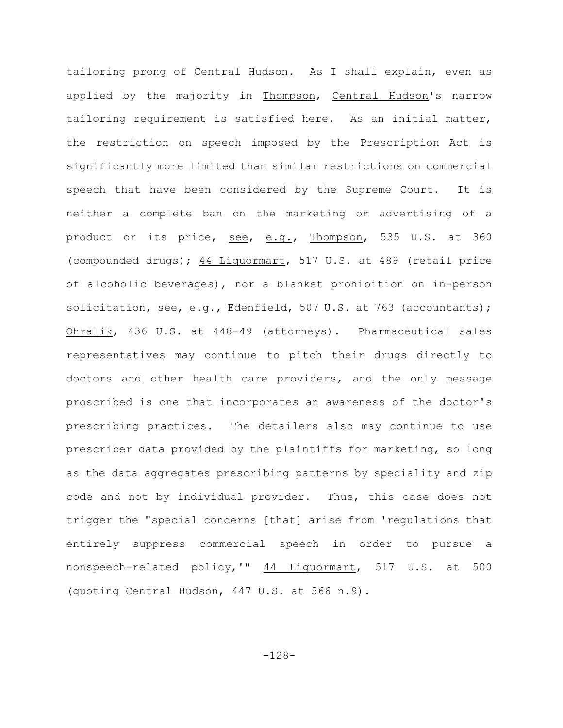tailoring prong of Central Hudson. As I shall explain, even as applied by the majority in Thompson, Central Hudson's narrow tailoring requirement is satisfied here. As an initial matter, the restriction on speech imposed by the Prescription Act is significantly more limited than similar restrictions on commercial speech that have been considered by the Supreme Court. It is neither a complete ban on the marketing or advertising of a product or its price, see, e.g., Thompson, 535 U.S. at 360 (compounded drugs); 44 Liquormart, 517 U.S. at 489 (retail price of alcoholic beverages), nor a blanket prohibition on in-person solicitation, see, e.g., Edenfield, 507 U.S. at 763 (accountants); Ohralik, 436 U.S. at 448-49 (attorneys). Pharmaceutical sales representatives may continue to pitch their drugs directly to doctors and other health care providers, and the only message proscribed is one that incorporates an awareness of the doctor's prescribing practices. The detailers also may continue to use prescriber data provided by the plaintiffs for marketing, so long as the data aggregates prescribing patterns by speciality and zip code and not by individual provider. Thus, this case does not trigger the "special concerns [that] arise from 'regulations that entirely suppress commercial speech in order to pursue a nonspeech-related policy,'" 44 Liquormart, 517 U.S. at 500 (quoting Central Hudson, 447 U.S. at 566 n.9).

-128-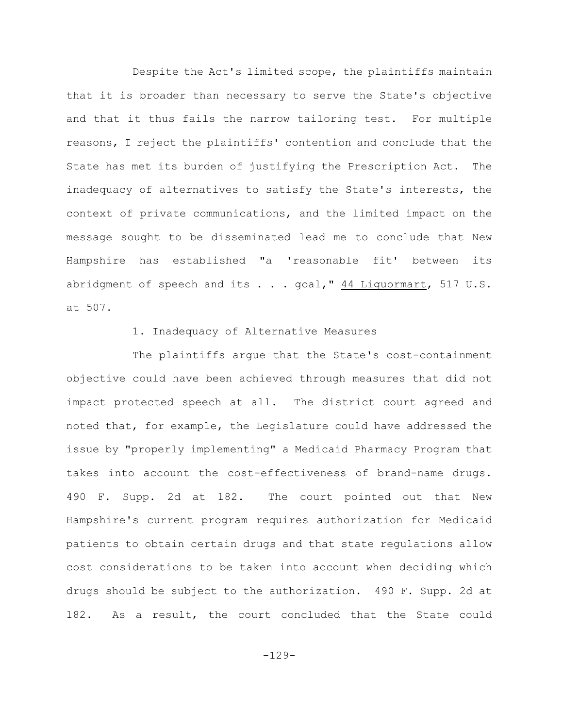Despite the Act's limited scope, the plaintiffs maintain that it is broader than necessary to serve the State's objective and that it thus fails the narrow tailoring test. For multiple reasons, I reject the plaintiffs' contention and conclude that the State has met its burden of justifying the Prescription Act. The inadequacy of alternatives to satisfy the State's interests, the context of private communications, and the limited impact on the message sought to be disseminated lead me to conclude that New Hampshire has established "a 'reasonable fit' between its abridgment of speech and its  $\ldots$  goal,"  $44$  Liquormart, 517 U.S. at 507.

# 1. Inadequacy of Alternative Measures

The plaintiffs argue that the State's cost-containment objective could have been achieved through measures that did not impact protected speech at all. The district court agreed and noted that, for example, the Legislature could have addressed the issue by "properly implementing" a Medicaid Pharmacy Program that takes into account the cost-effectiveness of brand-name drugs. 490 F. Supp. 2d at 182. The court pointed out that New Hampshire's current program requires authorization for Medicaid patients to obtain certain drugs and that state regulations allow cost considerations to be taken into account when deciding which drugs should be subject to the authorization. 490 F. Supp. 2d at 182. As a result, the court concluded that the State could

-129-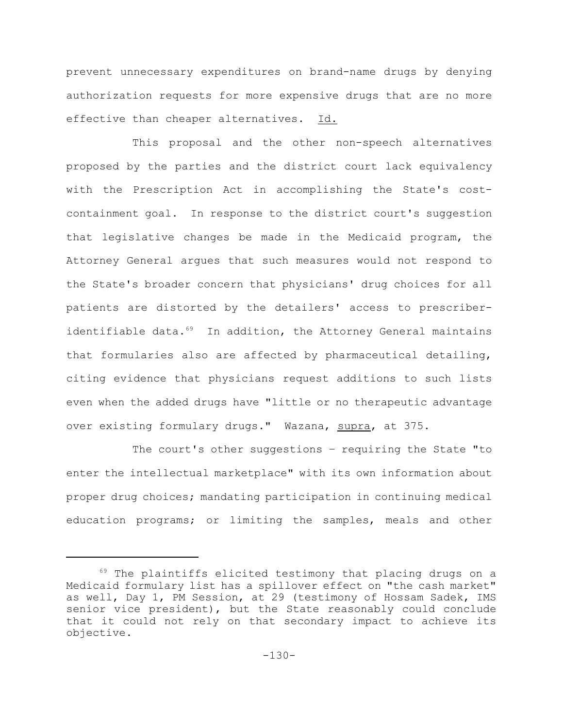prevent unnecessary expenditures on brand-name drugs by denying authorization requests for more expensive drugs that are no more effective than cheaper alternatives. Id.

This proposal and the other non-speech alternatives proposed by the parties and the district court lack equivalency with the Prescription Act in accomplishing the State's costcontainment goal. In response to the district court's suggestion that legislative changes be made in the Medicaid program, the Attorney General argues that such measures would not respond to the State's broader concern that physicians' drug choices for all patients are distorted by the detailers' access to prescriberidentifiable data. $69$  In addition, the Attorney General maintains that formularies also are affected by pharmaceutical detailing, citing evidence that physicians request additions to such lists even when the added drugs have "little or no therapeutic advantage over existing formulary drugs." Wazana, supra, at 375.

The court's other suggestions – requiring the State "to enter the intellectual marketplace" with its own information about proper drug choices; mandating participation in continuing medical education programs; or limiting the samples, meals and other

 $69$  The plaintiffs elicited testimony that placing drugs on a Medicaid formulary list has a spillover effect on "the cash market" as well, Day 1, PM Session, at 29 (testimony of Hossam Sadek, IMS senior vice president), but the State reasonably could conclude that it could not rely on that secondary impact to achieve its objective.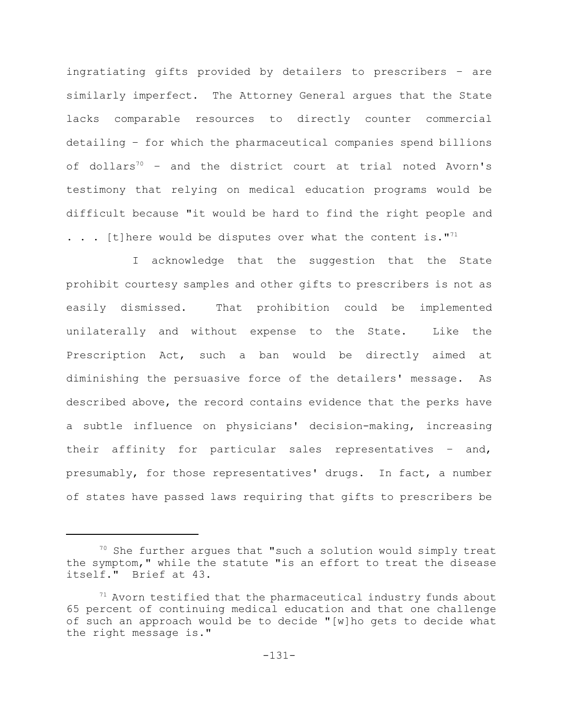ingratiating gifts provided by detailers to prescribers – are similarly imperfect. The Attorney General argues that the State lacks comparable resources to directly counter commercial detailing – for which the pharmaceutical companies spend billions of dollars<sup>70</sup> - and the district court at trial noted Avorn's testimony that relying on medical education programs would be difficult because "it would be hard to find the right people and  $\ldots$  . [t] here would be disputes over what the content is."<sup>71</sup>

I acknowledge that the suggestion that the State prohibit courtesy samples and other gifts to prescribers is not as easily dismissed. That prohibition could be implemented unilaterally and without expense to the State. Like the Prescription Act, such a ban would be directly aimed at diminishing the persuasive force of the detailers' message. As described above, the record contains evidence that the perks have a subtle influence on physicians' decision-making, increasing their affinity for particular sales representatives – and, presumably, for those representatives' drugs. In fact, a number of states have passed laws requiring that gifts to prescribers be

 $70$  She further argues that "such a solution would simply treat the symptom," while the statute "is an effort to treat the disease itself." Brief at 43.

 $71$  Avorn testified that the pharmaceutical industry funds about 65 percent of continuing medical education and that one challenge of such an approach would be to decide "[w]ho gets to decide what the right message is."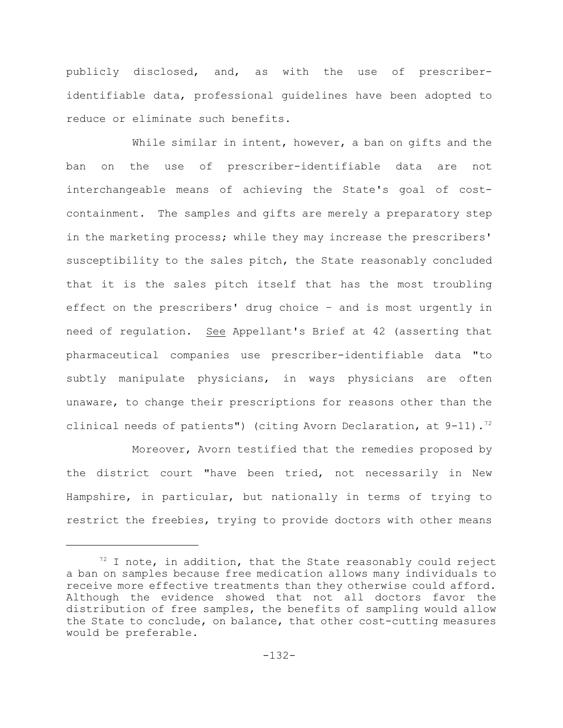publicly disclosed, and, as with the use of prescriberidentifiable data, professional guidelines have been adopted to reduce or eliminate such benefits.

While similar in intent, however, a ban on gifts and the ban on the use of prescriber-identifiable data are not interchangeable means of achieving the State's goal of costcontainment. The samples and gifts are merely a preparatory step in the marketing process; while they may increase the prescribers' susceptibility to the sales pitch, the State reasonably concluded that it is the sales pitch itself that has the most troubling effect on the prescribers' drug choice – and is most urgently in need of regulation. See Appellant's Brief at 42 (asserting that pharmaceutical companies use prescriber-identifiable data "to subtly manipulate physicians, in ways physicians are often unaware, to change their prescriptions for reasons other than the clinical needs of patients") (citing Avorn Declaration, at  $9-11$ ).<sup>72</sup>

Moreover, Avorn testified that the remedies proposed by the district court "have been tried, not necessarily in New Hampshire, in particular, but nationally in terms of trying to restrict the freebies, trying to provide doctors with other means

 $12$  I note, in addition, that the State reasonably could reject a ban on samples because free medication allows many individuals to receive more effective treatments than they otherwise could afford. Although the evidence showed that not all doctors favor the distribution of free samples, the benefits of sampling would allow the State to conclude, on balance, that other cost-cutting measures would be preferable.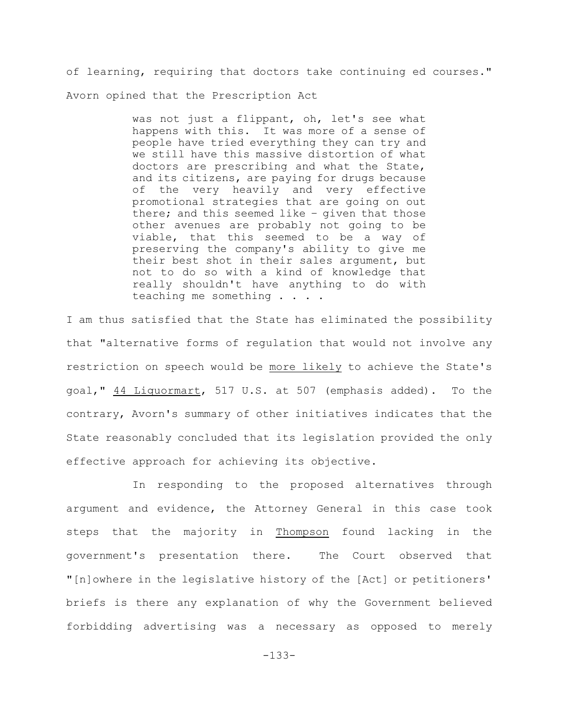of learning, requiring that doctors take continuing ed courses." Avorn opined that the Prescription Act

> was not just a flippant, oh, let's see what happens with this. It was more of a sense of people have tried everything they can try and we still have this massive distortion of what doctors are prescribing and what the State, and its citizens, are paying for drugs because of the very heavily and very effective promotional strategies that are going on out there; and this seemed like – given that those other avenues are probably not going to be viable, that this seemed to be a way of preserving the company's ability to give me their best shot in their sales argument, but not to do so with a kind of knowledge that really shouldn't have anything to do with teaching me something . . . .

I am thus satisfied that the State has eliminated the possibility that "alternative forms of regulation that would not involve any restriction on speech would be more likely to achieve the State's goal," 44 Liquormart, 517 U.S. at 507 (emphasis added). To the contrary, Avorn's summary of other initiatives indicates that the State reasonably concluded that its legislation provided the only effective approach for achieving its objective.

In responding to the proposed alternatives through argument and evidence, the Attorney General in this case took steps that the majority in Thompson found lacking in the government's presentation there. The Court observed that "[n]owhere in the legislative history of the [Act] or petitioners' briefs is there any explanation of why the Government believed forbidding advertising was a necessary as opposed to merely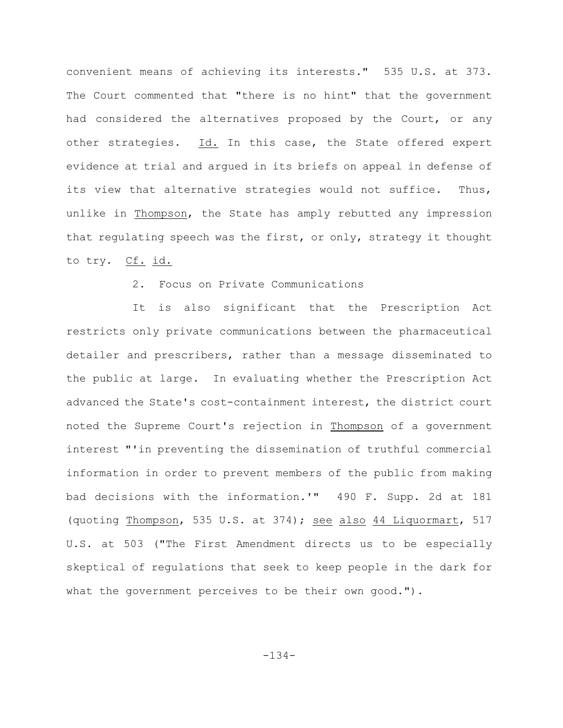convenient means of achieving its interests." 535 U.S. at 373. The Court commented that "there is no hint" that the government had considered the alternatives proposed by the Court, or any other strategies. Id. In this case, the State offered expert evidence at trial and argued in its briefs on appeal in defense of its view that alternative strategies would not suffice. Thus, unlike in Thompson, the State has amply rebutted any impression that regulating speech was the first, or only, strategy it thought to try. Cf. id.

# 2. Focus on Private Communications

It is also significant that the Prescription Act restricts only private communications between the pharmaceutical detailer and prescribers, rather than a message disseminated to the public at large. In evaluating whether the Prescription Act advanced the State's cost-containment interest, the district court noted the Supreme Court's rejection in Thompson of a government interest "'in preventing the dissemination of truthful commercial information in order to prevent members of the public from making bad decisions with the information.'" 490 F. Supp. 2d at 181 (quoting Thompson, 535 U.S. at 374); see also 44 Liquormart, 517 U.S. at 503 ("The First Amendment directs us to be especially skeptical of regulations that seek to keep people in the dark for what the government perceives to be their own good.").

-134-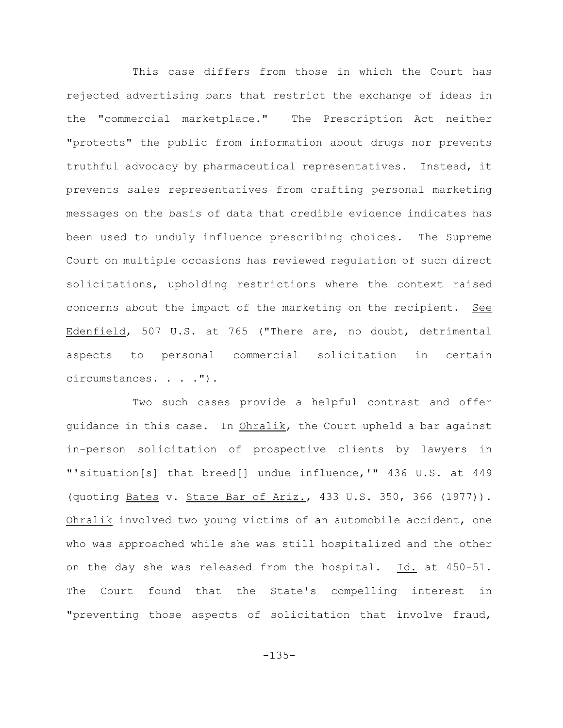This case differs from those in which the Court has rejected advertising bans that restrict the exchange of ideas in the "commercial marketplace." The Prescription Act neither "protects" the public from information about drugs nor prevents truthful advocacy by pharmaceutical representatives. Instead, it prevents sales representatives from crafting personal marketing messages on the basis of data that credible evidence indicates has been used to unduly influence prescribing choices. The Supreme Court on multiple occasions has reviewed regulation of such direct solicitations, upholding restrictions where the context raised concerns about the impact of the marketing on the recipient. See Edenfield, 507 U.S. at 765 ("There are, no doubt, detrimental aspects to personal commercial solicitation in certain circumstances. . . . ").

Two such cases provide a helpful contrast and offer guidance in this case. In Ohralik, the Court upheld a bar against in-person solicitation of prospective clients by lawyers in "'situation[s] that breed[] undue influence,'" 436 U.S. at 449 (quoting Bates v. State Bar of Ariz., 433 U.S. 350, 366 (1977)). Ohralik involved two young victims of an automobile accident, one who was approached while she was still hospitalized and the other on the day she was released from the hospital. Id. at 450-51. The Court found that the State's compelling interest in "preventing those aspects of solicitation that involve fraud,

-135-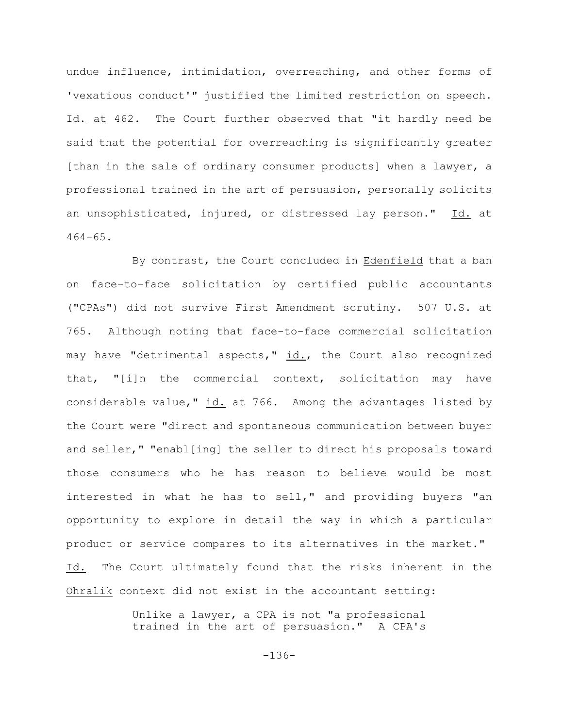undue influence, intimidation, overreaching, and other forms of 'vexatious conduct'" justified the limited restriction on speech. Id. at 462. The Court further observed that "it hardly need be said that the potential for overreaching is significantly greater [than in the sale of ordinary consumer products] when a lawyer, a professional trained in the art of persuasion, personally solicits an unsophisticated, injured, or distressed lay person." Id. at 464-65.

By contrast, the Court concluded in Edenfield that a ban on face-to-face solicitation by certified public accountants ("CPAs") did not survive First Amendment scrutiny. 507 U.S. at 765. Although noting that face-to-face commercial solicitation may have "detrimental aspects," id., the Court also recognized that, "[i]n the commercial context, solicitation may have considerable value," id. at 766. Among the advantages listed by the Court were "direct and spontaneous communication between buyer and seller," "enabl[ing] the seller to direct his proposals toward those consumers who he has reason to believe would be most interested in what he has to sell," and providing buyers "an opportunity to explore in detail the way in which a particular product or service compares to its alternatives in the market." Id. The Court ultimately found that the risks inherent in the Ohralik context did not exist in the accountant setting:

> Unlike a lawyer, a CPA is not "a professional trained in the art of persuasion." A CPA's

> > -136-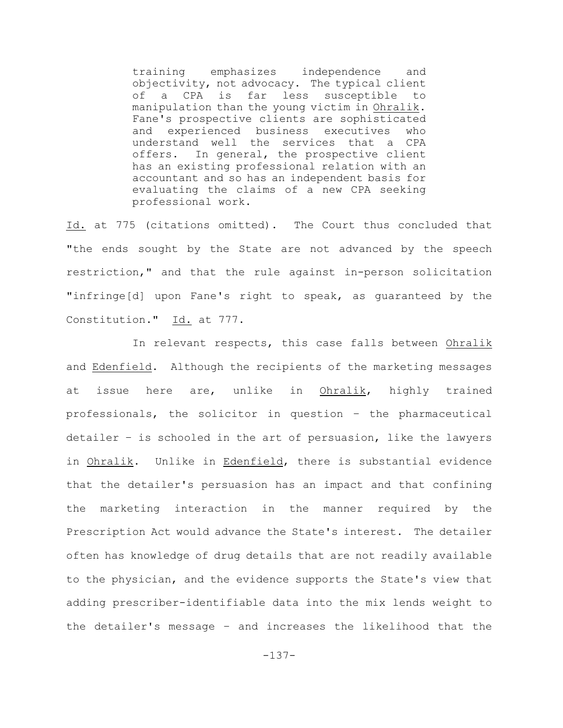training emphasizes independence and objectivity, not advocacy. The typical client of a CPA is far less susceptible to manipulation than the young victim in Ohralik. Fane's prospective clients are sophisticated and experienced business executives who understand well the services that a CPA offers. In general, the prospective client has an existing professional relation with an accountant and so has an independent basis for evaluating the claims of a new CPA seeking professional work.

Id. at 775 (citations omitted). The Court thus concluded that "the ends sought by the State are not advanced by the speech restriction," and that the rule against in-person solicitation "infringe[d] upon Fane's right to speak, as guaranteed by the Constitution." Id. at 777.

In relevant respects, this case falls between Ohralik and Edenfield. Although the recipients of the marketing messages at issue here are, unlike in Ohralik, highly trained professionals, the solicitor in question – the pharmaceutical detailer – is schooled in the art of persuasion, like the lawyers in Ohralik. Unlike in Edenfield, there is substantial evidence that the detailer's persuasion has an impact and that confining the marketing interaction in the manner required by the Prescription Act would advance the State's interest. The detailer often has knowledge of drug details that are not readily available to the physician, and the evidence supports the State's view that adding prescriber-identifiable data into the mix lends weight to the detailer's message – and increases the likelihood that the

-137-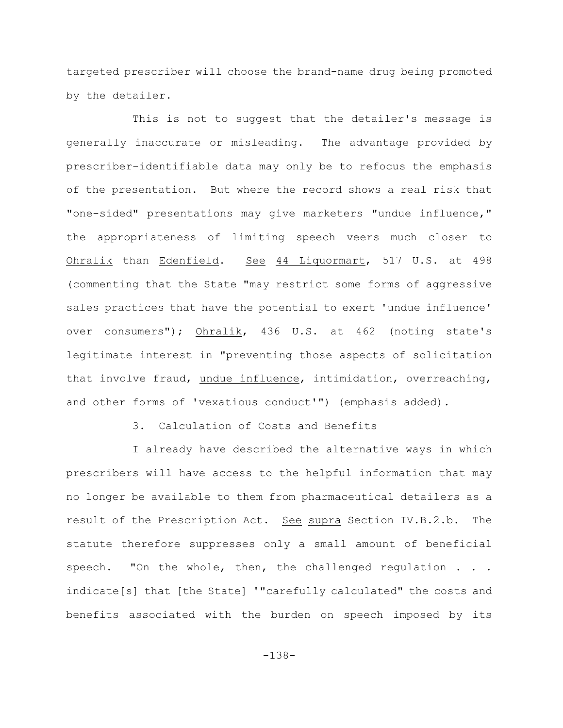targeted prescriber will choose the brand-name drug being promoted by the detailer.

This is not to suggest that the detailer's message is generally inaccurate or misleading. The advantage provided by prescriber-identifiable data may only be to refocus the emphasis of the presentation. But where the record shows a real risk that "one-sided" presentations may give marketers "undue influence," the appropriateness of limiting speech veers much closer to Ohralik than Edenfield. See 44 Liquormart, 517 U.S. at 498 (commenting that the State "may restrict some forms of aggressive sales practices that have the potential to exert 'undue influence' over consumers"); Ohralik, 436 U.S. at 462 (noting state's legitimate interest in "preventing those aspects of solicitation that involve fraud, undue influence, intimidation, overreaching, and other forms of 'vexatious conduct'") (emphasis added).

3. Calculation of Costs and Benefits

I already have described the alternative ways in which prescribers will have access to the helpful information that may no longer be available to them from pharmaceutical detailers as a result of the Prescription Act. See supra Section IV.B.2.b. The statute therefore suppresses only a small amount of beneficial speech. "On the whole, then, the challenged regulation . . . indicate[s] that [the State] '"carefully calculated" the costs and benefits associated with the burden on speech imposed by its

-138-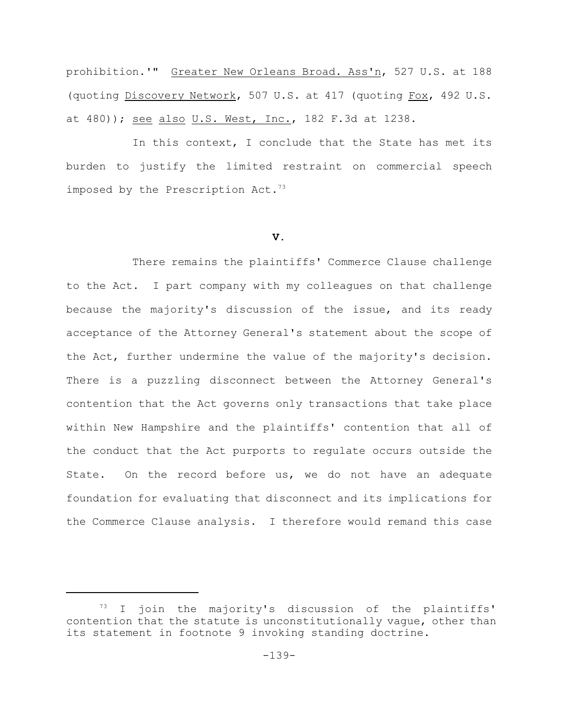prohibition.'" Greater New Orleans Broad. Ass'n, 527 U.S. at 188 (quoting Discovery Network, 507 U.S. at 417 (quoting Fox, 492 U.S. at 480)); see also U.S. West, Inc., 182 F.3d at 1238.

In this context, I conclude that the State has met its burden to justify the limited restraint on commercial speech imposed by the Prescription Act.<sup>73</sup>

#### **V.**

There remains the plaintiffs' Commerce Clause challenge to the Act. I part company with my colleagues on that challenge because the majority's discussion of the issue, and its ready acceptance of the Attorney General's statement about the scope of the Act, further undermine the value of the majority's decision. There is a puzzling disconnect between the Attorney General's contention that the Act governs only transactions that take place within New Hampshire and the plaintiffs' contention that all of the conduct that the Act purports to regulate occurs outside the State. On the record before us, we do not have an adequate foundation for evaluating that disconnect and its implications for the Commerce Clause analysis. I therefore would remand this case

 $^{73}$  I join the majority's discussion of the plaintiffs' contention that the statute is unconstitutionally vague, other than its statement in footnote 9 invoking standing doctrine.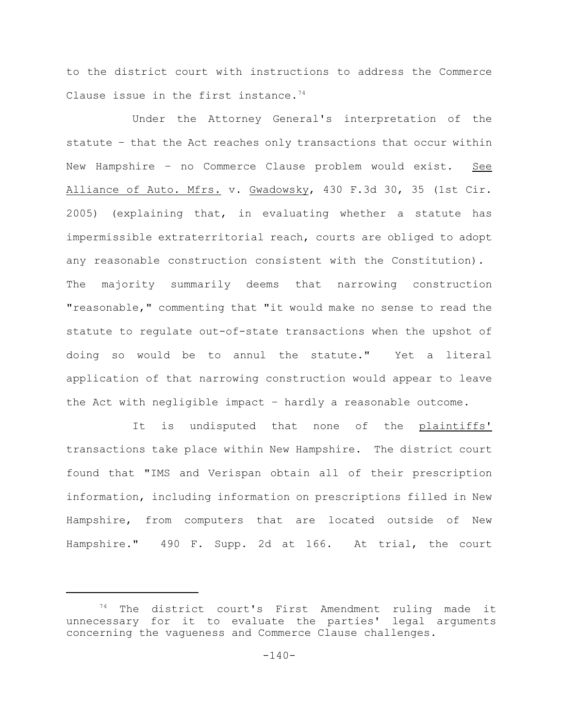to the district court with instructions to address the Commerce Clause issue in the first instance.<sup>74</sup>

Under the Attorney General's interpretation of the statute – that the Act reaches only transactions that occur within New Hampshire – no Commerce Clause problem would exist. See Alliance of Auto. Mfrs. v. Gwadowsky, 430 F.3d 30, 35 (1st Cir. 2005) (explaining that, in evaluating whether a statute has impermissible extraterritorial reach, courts are obliged to adopt any reasonable construction consistent with the Constitution). The majority summarily deems that narrowing construction "reasonable," commenting that "it would make no sense to read the statute to regulate out-of-state transactions when the upshot of doing so would be to annul the statute." Yet a literal application of that narrowing construction would appear to leave the Act with negligible impact – hardly a reasonable outcome.

It is undisputed that none of the plaintiffs' transactions take place within New Hampshire. The district court found that "IMS and Verispan obtain all of their prescription information, including information on prescriptions filled in New Hampshire, from computers that are located outside of New Hampshire." 490 F. Supp. 2d at 166. At trial, the court

 $74$  The district court's First Amendment ruling made it unnecessary for it to evaluate the parties' legal arguments concerning the vagueness and Commerce Clause challenges.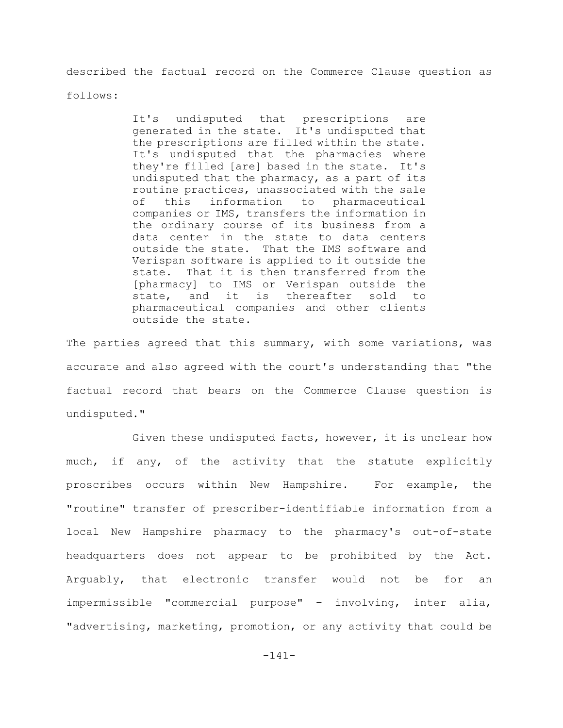described the factual record on the Commerce Clause question as

follows:

It's undisputed that prescriptions are generated in the state. It's undisputed that the prescriptions are filled within the state. It's undisputed that the pharmacies where they're filled [are] based in the state. It's undisputed that the pharmacy, as a part of its routine practices, unassociated with the sale of this information to pharmaceutical companies or IMS, transfers the information in the ordinary course of its business from a data center in the state to data centers outside the state. That the IMS software and Verispan software is applied to it outside the state. That it is then transferred from the [pharmacy] to IMS or Verispan outside the state, and it is thereafter sold to pharmaceutical companies and other clients outside the state.

The parties agreed that this summary, with some variations, was accurate and also agreed with the court's understanding that "the factual record that bears on the Commerce Clause question is undisputed."

Given these undisputed facts, however, it is unclear how much, if any, of the activity that the statute explicitly proscribes occurs within New Hampshire. For example, the "routine" transfer of prescriber-identifiable information from a local New Hampshire pharmacy to the pharmacy's out-of-state headquarters does not appear to be prohibited by the Act. Arguably, that electronic transfer would not be for an impermissible "commercial purpose" – involving, inter alia, "advertising, marketing, promotion, or any activity that could be

-141-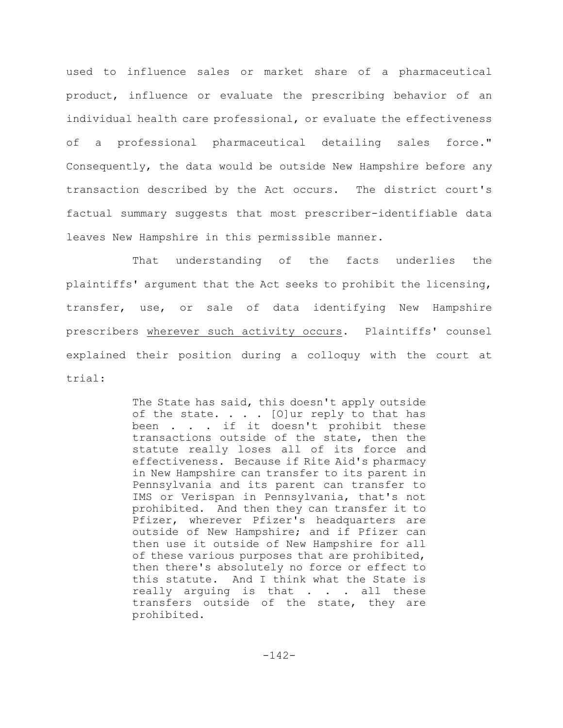used to influence sales or market share of a pharmaceutical product, influence or evaluate the prescribing behavior of an individual health care professional, or evaluate the effectiveness of a professional pharmaceutical detailing sales force." Consequently, the data would be outside New Hampshire before any transaction described by the Act occurs. The district court's factual summary suggests that most prescriber-identifiable data leaves New Hampshire in this permissible manner.

That understanding of the facts underlies the plaintiffs' argument that the Act seeks to prohibit the licensing, transfer, use, or sale of data identifying New Hampshire prescribers wherever such activity occurs. Plaintiffs' counsel explained their position during a colloquy with the court at trial:

> The State has said, this doesn't apply outside of the state.  $\ldots$  . [O]ur reply to that has been . . . if it doesn't prohibit these transactions outside of the state, then the statute really loses all of its force and effectiveness. Because if Rite Aid's pharmacy in New Hampshire can transfer to its parent in Pennsylvania and its parent can transfer to IMS or Verispan in Pennsylvania, that's not prohibited. And then they can transfer it to Pfizer, wherever Pfizer's headquarters are outside of New Hampshire; and if Pfizer can then use it outside of New Hampshire for all of these various purposes that are prohibited, then there's absolutely no force or effect to this statute. And I think what the State is really arguing is that . . . all these transfers outside of the state, they are prohibited.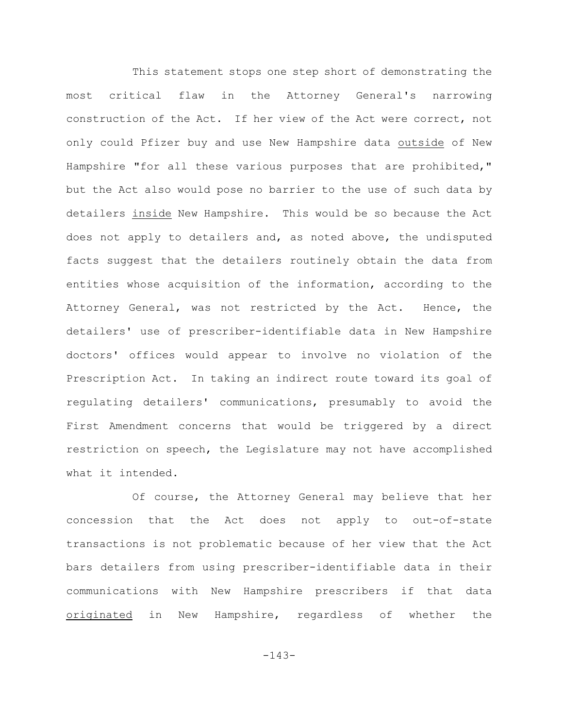This statement stops one step short of demonstrating the most critical flaw in the Attorney General's narrowing construction of the Act. If her view of the Act were correct, not only could Pfizer buy and use New Hampshire data outside of New Hampshire "for all these various purposes that are prohibited," but the Act also would pose no barrier to the use of such data by detailers inside New Hampshire. This would be so because the Act does not apply to detailers and, as noted above, the undisputed facts suggest that the detailers routinely obtain the data from entities whose acquisition of the information, according to the Attorney General, was not restricted by the Act. Hence, the detailers' use of prescriber-identifiable data in New Hampshire doctors' offices would appear to involve no violation of the Prescription Act. In taking an indirect route toward its goal of regulating detailers' communications, presumably to avoid the First Amendment concerns that would be triggered by a direct restriction on speech, the Legislature may not have accomplished what it intended.

Of course, the Attorney General may believe that her concession that the Act does not apply to out-of-state transactions is not problematic because of her view that the Act bars detailers from using prescriber-identifiable data in their communications with New Hampshire prescribers if that data originated in New Hampshire, regardless of whether the

-143-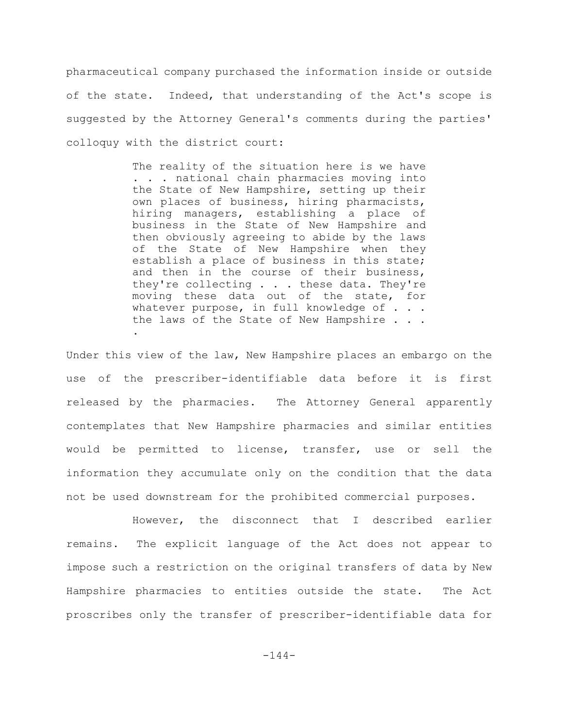pharmaceutical company purchased the information inside or outside of the state. Indeed, that understanding of the Act's scope is suggested by the Attorney General's comments during the parties' colloquy with the district court:

> The reality of the situation here is we have . . . national chain pharmacies moving into the State of New Hampshire, setting up their own places of business, hiring pharmacists, hiring managers, establishing a place of business in the State of New Hampshire and then obviously agreeing to abide by the laws of the State of New Hampshire when they establish a place of business in this state; and then in the course of their business, they're collecting . . . these data. They're moving these data out of the state, for whatever purpose, in full knowledge of . . . the laws of the State of New Hampshire . . . .

Under this view of the law, New Hampshire places an embargo on the use of the prescriber-identifiable data before it is first released by the pharmacies. The Attorney General apparently contemplates that New Hampshire pharmacies and similar entities would be permitted to license, transfer, use or sell the information they accumulate only on the condition that the data not be used downstream for the prohibited commercial purposes.

However, the disconnect that I described earlier remains. The explicit language of the Act does not appear to impose such a restriction on the original transfers of data by New Hampshire pharmacies to entities outside the state. The Act proscribes only the transfer of prescriber-identifiable data for

-144-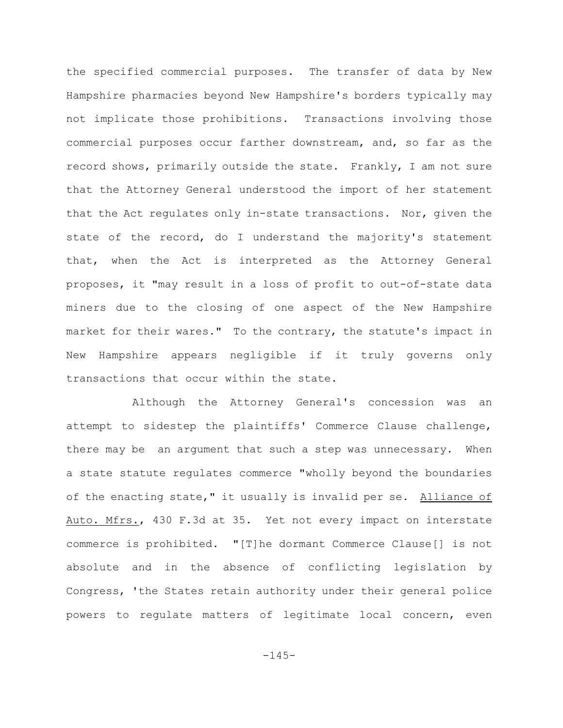the specified commercial purposes. The transfer of data by New Hampshire pharmacies beyond New Hampshire's borders typically may not implicate those prohibitions. Transactions involving those commercial purposes occur farther downstream, and, so far as the record shows, primarily outside the state. Frankly, I am not sure that the Attorney General understood the import of her statement that the Act regulates only in-state transactions. Nor, given the state of the record, do I understand the majority's statement that, when the Act is interpreted as the Attorney General proposes, it "may result in a loss of profit to out-of-state data miners due to the closing of one aspect of the New Hampshire market for their wares." To the contrary, the statute's impact in New Hampshire appears negligible if it truly governs only transactions that occur within the state.

Although the Attorney General's concession was an attempt to sidestep the plaintiffs' Commerce Clause challenge, there may be an argument that such a step was unnecessary. When a state statute regulates commerce "wholly beyond the boundaries of the enacting state," it usually is invalid per se. Alliance of Auto. Mfrs., 430 F.3d at 35. Yet not every impact on interstate commerce is prohibited. "[T]he dormant Commerce Clause[] is not absolute and in the absence of conflicting legislation by Congress, 'the States retain authority under their general police powers to regulate matters of legitimate local concern, even

 $-145-$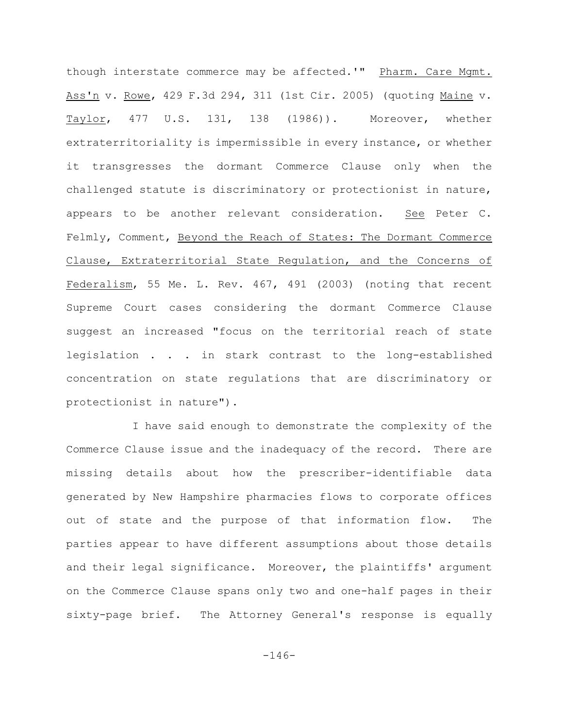though interstate commerce may be affected.'" Pharm. Care Mgmt. Ass'n v. Rowe, 429 F.3d 294, 311 (1st Cir. 2005) (quoting Maine v. Taylor, 477 U.S. 131, 138 (1986)). Moreover, whether extraterritoriality is impermissible in every instance, or whether it transgresses the dormant Commerce Clause only when the challenged statute is discriminatory or protectionist in nature, appears to be another relevant consideration. See Peter C. Felmly, Comment, Beyond the Reach of States: The Dormant Commerce Clause, Extraterritorial State Regulation, and the Concerns of Federalism, 55 Me. L. Rev. 467, 491 (2003) (noting that recent Supreme Court cases considering the dormant Commerce Clause suggest an increased "focus on the territorial reach of state legislation . . . in stark contrast to the long-established concentration on state regulations that are discriminatory or protectionist in nature").

I have said enough to demonstrate the complexity of the Commerce Clause issue and the inadequacy of the record. There are missing details about how the prescriber-identifiable data generated by New Hampshire pharmacies flows to corporate offices out of state and the purpose of that information flow. The parties appear to have different assumptions about those details and their legal significance. Moreover, the plaintiffs' argument on the Commerce Clause spans only two and one-half pages in their sixty-page brief. The Attorney General's response is equally

-146-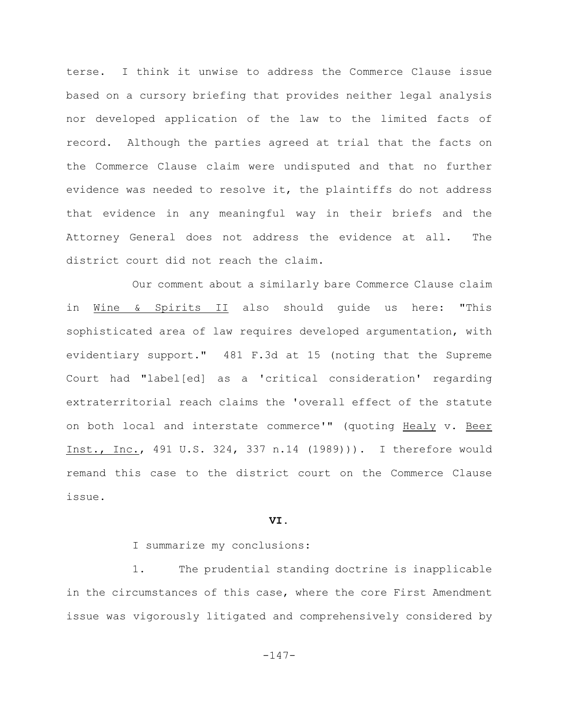terse. I think it unwise to address the Commerce Clause issue based on a cursory briefing that provides neither legal analysis nor developed application of the law to the limited facts of record. Although the parties agreed at trial that the facts on the Commerce Clause claim were undisputed and that no further evidence was needed to resolve it, the plaintiffs do not address that evidence in any meaningful way in their briefs and the Attorney General does not address the evidence at all. The district court did not reach the claim.

Our comment about a similarly bare Commerce Clause claim in Wine & Spirits II also should guide us here: "This sophisticated area of law requires developed argumentation, with evidentiary support." 481 F.3d at 15 (noting that the Supreme Court had "label[ed] as a 'critical consideration' regarding extraterritorial reach claims the 'overall effect of the statute on both local and interstate commerce'" (quoting Healy v. Beer Inst., Inc., 491 U.S. 324, 337 n.14 (1989))). I therefore would remand this case to the district court on the Commerce Clause issue.

## **VI.**

I summarize my conclusions:

1. The prudential standing doctrine is inapplicable in the circumstances of this case, where the core First Amendment issue was vigorously litigated and comprehensively considered by

-147-